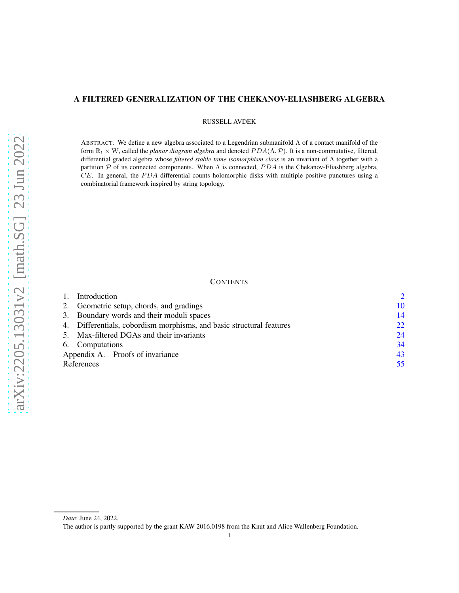# A FILTERED GENERALIZATION OF THE CHEKANOV-ELIASHBERG ALGEBRA

RUSSELL AVDEK

ABSTRACT. We define a new algebra associated to a Legendrian submanifold Λ of a contact manifold of the form  $\mathbb{R}_t \times W$ , called the *planar diagram algebra* and denoted  $PDA(\Lambda, \mathcal{P})$ . It is a non-commutative, filtered, differential graded algebra whose *filtered stable tame isomorphism class* is an invariant of Λ together with a partition P of its connected components. When  $\Lambda$  is connected, PDA is the Chekanov-Eliashberg algebra,  $CE$ . In general, the  $PDA$  differential counts holomorphic disks with multiple positive punctures using a combinatorial framework inspired by string topology.

### **CONTENTS**

|                                           | Introduction                                                         |    |  |
|-------------------------------------------|----------------------------------------------------------------------|----|--|
|                                           | 2. Geometric setup, chords, and gradings                             | 10 |  |
|                                           | 3. Boundary words and their moduli spaces                            |    |  |
|                                           | 4. Differentials, cobordism morphisms, and basic structural features | 22 |  |
| 5. Max-filtered DGAs and their invariants |                                                                      |    |  |
|                                           | 6. Computations                                                      |    |  |
|                                           | Appendix A. Proofs of invariance                                     | 43 |  |
|                                           | References                                                           | 55 |  |
|                                           |                                                                      |    |  |

*Date*: June 24, 2022.

The author is partly supported by the grant KAW 2016.0198 from the Knut and Alice Wallenberg Foundation.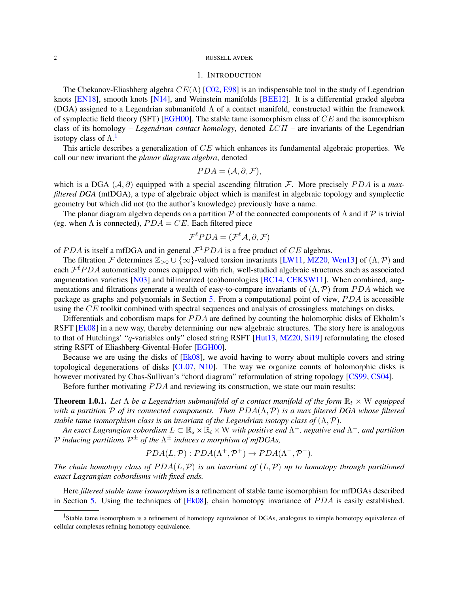### 1. INTRODUCTION

<span id="page-1-3"></span><span id="page-1-0"></span>The Chekanov-Eliashberg algebra  $CE(\Lambda)$  [\[C02,](#page-54-1) [E98\]](#page-55-0) is an indispensable tool in the study of Legendrian knots  $[EN18]$ , smooth knots  $[N14]$ , and Weinstein manifolds  $[BEE12]$ . It is a differential graded algebra (DGA) assigned to a Legendrian submanifold  $\Lambda$  of a contact manifold, constructed within the framework of symplectic field theory (SFT) [\[EGH00\]](#page-55-3). The stable tame isomorphism class of  $CE$  and the isomorphism class of its homology – *Legendrian contact homology*, denoted LCH – are invariants of the Legendrian isotopy class of  $\Lambda$ .<sup>[1](#page-1-1)</sup>

This article describes a generalization of CE which enhances its fundamental algebraic properties. We call our new invariant the *planar diagram algebra*, denoted

$$
PDA = (\mathcal{A}, \partial, \mathcal{F}),
$$

which is a DGA  $(A, \partial)$  equipped with a special ascending filtration F. More precisely PDA is a *maxfiltered DGA* (mfDGA), a type of algebraic object which is manifest in algebraic topology and symplectic geometry but which did not (to the author's knowledge) previously have a name.

The planar diagram algebra depends on a partition  $\mathcal P$  of the connected components of  $\Lambda$  and if  $\mathcal P$  is trivial (eg. when  $\Lambda$  is connected),  $PDA = CE$ . Each filtered piece

$$
\mathcal{F}^{\ell} PDA = (\mathcal{F}^{\ell} A, \partial, \mathcal{F})
$$

of PDA is itself a mfDGA and in general  $\mathcal{F}^1 PDA$  is a free product of CE algebras.

The filtration F determines  $\mathbb{Z}_{>0} \cup \{\infty\}$ -valued torsion invariants [\[LW11,](#page-55-4) [MZ20,](#page-55-5) [Wen13\]](#page-56-0) of  $(\Lambda, \mathcal{P})$  and each  $\mathcal{F}^{\ell}PDA$  automatically comes equipped with rich, well-studied algebraic structures such as associated augmentation varieties [\[N03\]](#page-55-6) and bilinearized (co)homologies [\[BC14,](#page-54-3) [CEKSW11\]](#page-54-4). When combined, augmentations and filtrations generate a wealth of easy-to-compare invariants of  $(\Lambda, \mathcal{P})$  from PDA which we package as graphs and polynomials in Section [5.](#page-23-0) From a computational point of view, PDA is accessible using the CE toolkit combined with spectral sequences and analysis of crossingless matchings on disks.

Differentials and cobordism maps for  $PDA$  are defined by counting the holomorphic disks of Ekholm's RSFT [\[Ek08\]](#page-55-7) in a new way, thereby determining our new algebraic structures. The story here is analogous to that of Hutchings' "q-variables only" closed string RSFT [\[Hut13,](#page-55-8) [MZ20,](#page-55-5) [Si19\]](#page-55-9) reformulating the closed string RSFT of Eliashberg-Givental-Hofer [\[EGH00\]](#page-55-3).

Because we are using the disks of [\[Ek08\]](#page-55-7), we avoid having to worry about multiple covers and string topological degenerations of disks [\[CL07,](#page-54-5) [N10\]](#page-55-10). The way we organize counts of holomorphic disks is however motivated by Chas-Sullivan's "chord diagram" reformulation of string topology [\[CS99,](#page-54-6) [CS04\]](#page-54-7).

Before further motivating  $PDA$  and reviewing its construction, we state our main results:

<span id="page-1-2"></span>**Theorem 1.0.1.** Let  $\Lambda$  be a Legendrian submanifold of a contact manifold of the form  $\mathbb{R}_t \times W$  equipped *with a partition*  $P$  *of its connected components. Then*  $PDA(\Lambda, P)$  *is a max filtered DGA whose filtered stable tame isomorphism class is an invariant of the Legendrian isotopy class of*  $(\Lambda, \mathcal{P})$ *.* 

An exact Lagrangian cobordism  $L\subset \R_s\times \R_t\times W$  with positive end  $\Lambda^+$ , negative end  $\Lambda^-$ , and partition  $\mathcal P$  *inducing partitions*  $\mathcal P^{\pm}$  *of the*  $\Lambda^{\pm}$  *induces a morphism of mfDGAs,* 

$$
PDA(L, \mathcal{P}): PDA(\Lambda^+, \mathcal{P}^+) \to PDA(\Lambda^-, \mathcal{P}^-).
$$

*The chain homotopy class of*  $PDA(L, \mathcal{P})$  *is an invariant of*  $(L, \mathcal{P})$  *up to homotopy through partitioned exact Lagrangian cobordisms with fixed ends.*

Here *filtered stable tame isomorphism* is a refinement of stable tame isomorphism for mfDGAs described in Section [5.](#page-23-0) Using the techniques of  $[Ek08]$ , chain homotopy invariance of  $PDA$  is easily established.

<span id="page-1-1"></span><sup>&</sup>lt;sup>1</sup>Stable tame isomorphism is a refinement of homotopy equivalence of DGAs, analogous to simple homotopy equivalence of cellular complexes refining homotopy equivalence.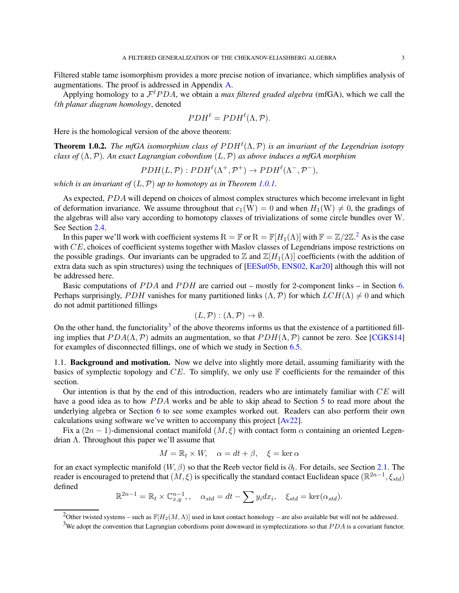<span id="page-2-2"></span>Filtered stable tame isomorphism provides a more precise notion of invariance, which simplifies analysis of augmentations. The proof is addressed in Appendix [A.](#page-42-0)

Applying homology to a  $\mathcal{F}^{\ell}PDA$ , we obtain a *max filtered graded algebra* (mfGA), which we call the ℓ*th planar diagram homology*, denoted

$$
PDH^{\ell} = PDH^{\ell}(\Lambda, \mathcal{P}).
$$

Here is the homological version of the above theorem:

**Theorem 1.0.2.** The mfGA isomorphism class of  $PDH^{\ell}(\Lambda, \mathcal{P})$  is an invariant of the Legendrian isotopy *class of* (Λ,P)*. An exact Lagrangian cobordism* (L,P) *as above induces a mfGA morphism*

 $PDH(L, \mathcal{P}): PDH^{\ell}(\Lambda^{+}, \mathcal{P}^{+}) \to PDH^{\ell}(\Lambda^{-}, \mathcal{P}^{-}),$ 

*which is an invariant of* (L,P) *up to homotopy as in Theorem [1.0.1.](#page-1-2)*

As expected, PDA will depend on choices of almost complex structures which become irrelevant in light of deformation invariance. We assume throughout that  $c_1(W) = 0$  and when  $H_1(W) \neq 0$ , the gradings of the algebras will also vary according to homotopy classes of trivializations of some circle bundles over W. See Section [2.4.](#page-11-0)

In this paper we'll work with coefficient systems  $R = \mathbb{F}$  or  $R = \mathbb{F}[H_1(\Lambda)]$  with  $\mathbb{F} = \mathbb{Z}/2\mathbb{Z}$  $\mathbb{F} = \mathbb{Z}/2\mathbb{Z}$  $\mathbb{F} = \mathbb{Z}/2\mathbb{Z}$ .<sup>2</sup> As is the case with CE, choices of coefficient systems together with Maslov classes of Legendrians impose restrictions on the possible gradings. Our invariants can be upgraded to Z and  $\mathbb{Z}[H_1(\Lambda)]$  coefficients (with the addition of extra data such as spin structures) using the techniques of [\[EESu05b,](#page-55-11) [ENS02,](#page-55-12) [Kar20\]](#page-55-13) although this will not be addressed here.

Basic computations of  $PDA$  and  $PDH$  are carried out – mostly for 2-component links – in Section [6.](#page-33-0) Perhaps surprisingly, PDH vanishes for many partitioned links  $(\Lambda, \mathcal{P})$  for which  $LCH(\Lambda) \neq 0$  and which do not admit partitioned fillings

$$
(L, \mathcal{P}): (\Lambda, \mathcal{P}) \to \emptyset.
$$

On the other hand, the functoriality<sup>[3](#page-2-1)</sup> of the above theorems informs us that the existence of a partitioned filling implies that  $PDA(\Lambda, \mathcal{P})$  admits an augmentation, so that  $PDH(\Lambda, \mathcal{P})$  cannot be zero. See [\[CGKS14\]](#page-54-8) for examples of disconnected fillings, one of which we study in Section [6.5.](#page-36-0)

1.1. Background and motivation. Now we delve into slightly more detail, assuming familiarity with the basics of symplectic topology and  $CE$ . To simplify, we only use  $\mathbb F$  coefficients for the remainder of this section.

Our intention is that by the end of this introduction, readers who are intimately familiar with CE will have a good idea as to how *PDA* works and be able to skip ahead to Section [5](#page-23-0) to read more about the underlying algebra or Section [6](#page-33-0) to see some examples worked out. Readers can also perform their own calculations using software we've written to accompany this project [\[Av22\]](#page-54-9).

Fix a  $(2n-1)$ -dimensional contact manifold  $(M,\xi)$  with contact form  $\alpha$  containing an oriented Legendrian  $\Lambda$ . Throughout this paper we'll assume that

$$
M = \mathbb{R}_t \times W, \quad \alpha = dt + \beta, \quad \xi = \ker \alpha
$$

for an exact symplectic manifold  $(W, \beta)$  so that the Reeb vector field is  $\partial_t$ . For details, see Section [2.1.](#page-9-1) The reader is encouraged to pretend that  $(M,\xi)$  is specifically the standard contact Euclidean space  $(\mathbb{R}^{2n-1},\xi_{std})$ defined

$$
\mathbb{R}^{2n-1} = \mathbb{R}_t \times \mathbb{C}_{x,y}^{n-1}, \quad \alpha_{std} = dt - \sum y_i dx_i, \quad \xi_{std} = \ker(\alpha_{std}).
$$

<sup>&</sup>lt;sup>2</sup>Other twisted systems – such as  $\mathbb{F}[H_2(M, \Lambda)]$  used in knot contact homology – are also available but will not be addressed.

<span id="page-2-1"></span><span id="page-2-0"></span><sup>&</sup>lt;sup>3</sup>We adopt the convention that Lagrangian cobordisms point downward in symplectizations so that *PDA* is a covariant functor.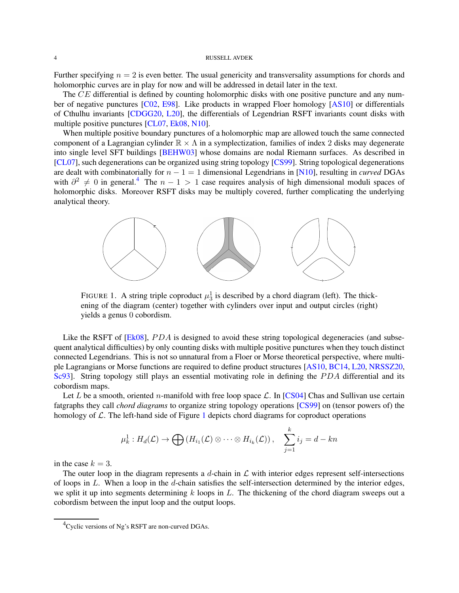<span id="page-3-2"></span>Further specifying  $n = 2$  is even better. The usual genericity and transversality assumptions for chords and holomorphic curves are in play for now and will be addressed in detail later in the text.

The CE differential is defined by counting holomorphic disks with one positive puncture and any number of negative punctures [\[C02,](#page-54-1) [E98\]](#page-55-0). Like products in wrapped Floer homology [\[AS10\]](#page-54-10) or differentials of Cthulhu invariants [\[CDGG20,](#page-54-11) [L20\]](#page-55-14), the differentials of Legendrian RSFT invariants count disks with multiple positive punctures [\[CL07,](#page-54-5) [Ek08,](#page-55-7) [N10\]](#page-55-10).

When multiple positive boundary punctures of a holomorphic map are allowed touch the same connected component of a Lagrangian cylinder  $\mathbb{R} \times \Lambda$  in a symplectization, families of index 2 disks may degenerate into single level SFT buildings [\[BEHW03\]](#page-54-12) whose domains are nodal Riemann surfaces. As described in [\[CL07\]](#page-54-5), such degenerations can be organized using string topology [\[CS99\]](#page-54-6). String topological degenerations are dealt with combinatorially for  $n - 1 = 1$  dimensional Legendrians in [\[N10\]](#page-55-10), resulting in *curved* DGAs with  $\partial^2 \neq 0$  in general.<sup>[4](#page-3-0)</sup> The  $n - 1 > 1$  case requires analysis of high dimensional moduli spaces of holomorphic disks. Moreover RSFT disks may be multiply covered, further complicating the underlying analytical theory.



<span id="page-3-1"></span>FIGURE 1. A string triple coproduct  $\mu_3^1$  is described by a chord diagram (left). The thickening of the diagram (center) together with cylinders over input and output circles (right) yields a genus 0 cobordism.

Like the RSFT of  $[Ek08]$ ,  $PDA$  is designed to avoid these string topological degeneracies (and subsequent analytical difficulties) by only counting disks with multiple positive punctures when they touch distinct connected Legendrians. This is not so unnatural from a Floer or Morse theoretical perspective, where multiple Lagrangians or Morse functions are required to define product structures [\[AS10,](#page-54-10) [BC14,](#page-54-3) [L20,](#page-55-14) [NRSSZ20,](#page-55-15) [Sc93\]](#page-55-16). String topology still plays an essential motivating role in defining the PDA differential and its cobordism maps.

Let L be a smooth, oriented n-manifold with free loop space  $\mathcal{L}$ . In [\[CS04\]](#page-54-7) Chas and Sullivan use certain fatgraphs they call *chord diagrams* to organize string topology operations [\[CS99\]](#page-54-6) on (tensor powers of) the homology of  $\mathcal{L}$ . The left-hand side of Figure [1](#page-3-1) depicts chord diagrams for coproduct operations

$$
\mu_k^1: H_d(\mathcal{L}) \to \bigoplus \left( H_{i_1}(\mathcal{L}) \otimes \cdots \otimes H_{i_k}(\mathcal{L}) \right), \quad \sum_{j=1}^k i_j = d - kn
$$

in the case  $k = 3$ .

The outer loop in the diagram represents a  $d$ -chain in  $\mathcal L$  with interior edges represent self-intersections of loops in  $L$ . When a loop in the d-chain satisfies the self-intersection determined by the interior edges, we split it up into segments determining  $k$  loops in  $L$ . The thickening of the chord diagram sweeps out a cobordism between the input loop and the output loops.

<span id="page-3-0"></span> ${}^{4}$ Cyclic versions of Ng's RSFT are non-curved DGAs.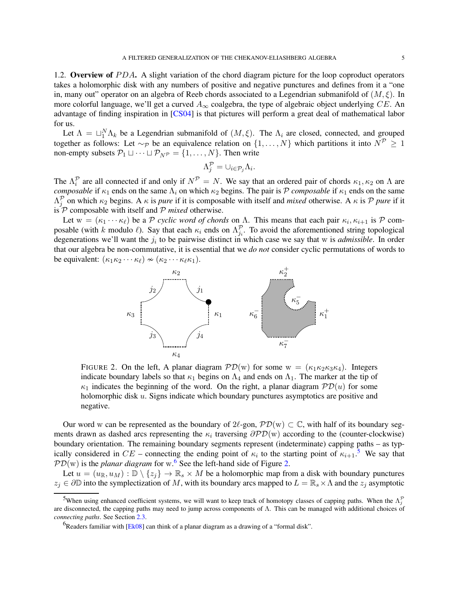<span id="page-4-3"></span>takes a holomorphic disk with any numbers of positive and negative punctures and defines from it a "one in, many out" operator on an algebra of Reeb chords associated to a Legendrian submanifold of  $(M, \xi)$ . In more colorful language, we'll get a curved  $A_{\infty}$  coalgebra, the type of algebraic object underlying CE. An advantage of finding inspiration in [\[CS04\]](#page-54-7) is that pictures will perform a great deal of mathematical labor for us.

Let  $\Lambda = \sqcup_1^N \Lambda_k$  be a Legendrian submanifold of  $(M, \xi)$ . The  $\Lambda_i$  are closed, connected, and grouped together as follows: Let ~p be an equivalence relation on  $\{1,\ldots,N\}$  which partitions it into  $N^{\mathcal{P}}\geq 1$ non-empty subsets  $\mathcal{P}_1 \sqcup \cdots \sqcup \mathcal{P}_{N} = \{1, \ldots, N\}$ . Then write

$$
\Lambda_j^{\mathcal{P}} = \cup_{i \in \mathcal{P}_j} \Lambda_i.
$$

The  $\Lambda_i^{\mathcal{P}}$  are all connected if and only if  $N^{\mathcal{P}} = N$ . We say that an ordered pair of chords  $\kappa_1, \kappa_2$  on  $\Lambda$  are *composable* if  $\kappa_1$  ends on the same  $\Lambda_i$  on which  $\kappa_2$  begins. The pair is P *composable* if  $\kappa_1$  ends on the same  $\Lambda_j^{\mathcal{P}}$  on which  $\kappa_2$  begins. A  $\kappa$  is *pure* if it is composable with itself and *mixed* otherwise. A  $\kappa$  is P *pure* if it is  $\mathcal{P}$  composable with itself and  $\mathcal{P}$  *mixed* otherwise.

Let  $w = (\kappa_1 \cdots \kappa_\ell)$  be a P *cyclic word of chords* on  $\Lambda$ . This means that each pair  $\kappa_i, \kappa_{i+1}$  is P composable (with k modulo  $\ell$ ). Say that each  $\kappa_i$  ends on  $\Lambda_{j_i}^{\mathcal{P}}$ . To avoid the aforementioned string topological degenerations we'll want the  $j_i$  to be pairwise distinct in which case we say that w is *admissible*. In order that our algebra be non-commutative, it is essential that we *do not* consider cyclic permutations of words to be equivalent:  $(\kappa_1 \kappa_2 \cdots \kappa_\ell) \nsim (\kappa_2 \cdots \kappa_\ell \kappa_1)$ .



<span id="page-4-2"></span>FIGURE 2. On the left, A planar diagram  $\mathcal{PD}(w)$  for some  $w = (\kappa_1 \kappa_2 \kappa_3 \kappa_4)$ . Integers indicate boundary labels so that  $\kappa_1$  begins on  $\Lambda_4$  and ends on  $\Lambda_1$ . The marker at the tip of  $\kappa_1$  indicates the beginning of the word. On the right, a planar diagram  $\mathcal{P}D(u)$  for some holomorphic disk u. Signs indicate which boundary punctures asymptotics are positive and negative.

Our word w can be represented as the boundary of  $2\ell$ -gon,  $\mathcal{PD}(w) \subset \mathbb{C}$ , with half of its boundary segments drawn as dashed arcs representing the  $\kappa_i$  traversing  $\partial \mathcal{PD}(w)$  according to the (counter-clockwise) boundary orientation. The remaining boundary segments represent (indeterminate) capping paths – as typically considered in  $CE$  – connecting the ending point of  $\kappa_i$  to the starting point of  $\kappa_{i+1}$ .<sup>[5](#page-4-0)</sup> We say that  $PD(w)$  is the *planar diagram* for w.<sup>[6](#page-4-1)</sup> See the left-hand side of Figure [2.](#page-4-2)

Let  $u = (u_{\mathbb{R}}, u_M) : \mathbb{D} \setminus \{z_i\} \to \mathbb{R}_s \times M$  be a holomorphic map from a disk with boundary punctures  $z_i \in \partial \mathbb{D}$  into the symplectization of M, with its boundary arcs mapped to  $L = \mathbb{R}_s \times \Lambda$  and the  $z_i$  asymptotic

<span id="page-4-0"></span><sup>&</sup>lt;sup>5</sup>When using enhanced coefficient systems, we will want to keep track of homotopy classes of capping paths. When the  $\Lambda_j^{\mathcal{P}}$ are disconnected, the capping paths may need to jump across components of Λ. This can be managed with additional choices of *connecting paths*. See Section [2.3.](#page-10-0)

<span id="page-4-1"></span><sup>&</sup>lt;sup>6</sup>Readers familiar with [\[Ek08\]](#page-55-7) can think of a planar diagram as a drawing of a "formal disk".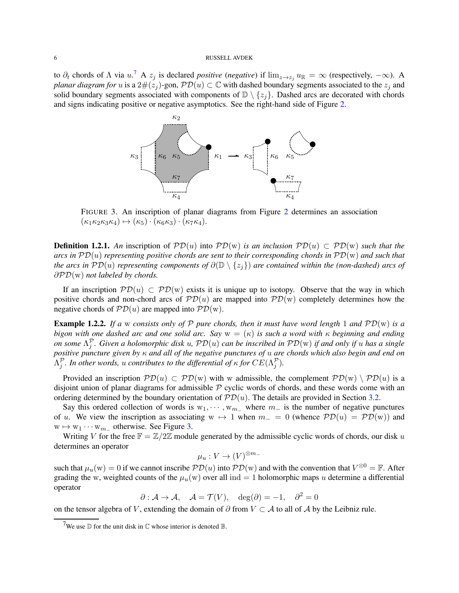to  $\partial_t$  chords of  $\Lambda$  via  $u$ .<sup>[7](#page-5-0)</sup> A  $z_j$  is declared *positive* (*negative*) if  $\lim_{z\to z_j} u_{\mathbb{R}} = \infty$  (respectively,  $-\infty$ ). A *planar diagram for* u is a 2#( $z_j$ )-gon,  $\mathcal{PD}(u) \subset \mathbb{C}$  with dashed boundary segments associated to the  $z_j$  and solid boundary segments associated with components of  $\mathbb{D} \setminus \{z_i\}$ . Dashed arcs are decorated with chords and signs indicating positive or negative asymptotics. See the right-hand side of Figure [2.](#page-4-2)



<span id="page-5-1"></span>FIGURE 3. An inscription of planar diagrams from Figure [2](#page-4-2) determines an association  $(\kappa_1 \kappa_2 \kappa_3 \kappa_4) \mapsto (\kappa_5) \cdot (\kappa_6 \kappa_3) \cdot (\kappa_7 \kappa_4).$ 

**Definition 1.2.1.** An inscription of  $\mathcal{PD}(u)$  into  $\mathcal{PD}(w)$  *is an inclusion*  $\mathcal{PD}(u) \subset \mathcal{PD}(w)$  *such that the arcs in* PD(u) *representing positive chords are sent to their corresponding chords in* PD(w) *and such that the arcs in*  $PD(u)$  *representing components of*  $\partial(D \setminus \{z_i\})$  *are contained within the (non-dashed) arcs of* ∂PD(w) *not labeled by chords.*

If an inscription  $\mathcal{PD}(u) \subset \mathcal{PD}(w)$  exists it is unique up to isotopy. Observe that the way in which positive chords and non-chord arcs of  $\mathcal{PD}(u)$  are mapped into  $\mathcal{PD}(w)$  completely determines how the negative chords of  $PD(u)$  are mapped into  $PD(w)$ .

<span id="page-5-2"></span>**Example 1.2.2.** If a w consists only of P pure chords, then it must have word length 1 and  $\mathcal{PD}(w)$  is a *bigon with one dashed arc and one solid arc.* Say  $w = (\kappa)$  *is such a word with*  $\kappa$  *beginning and ending on some* Λ P j *. Given a holomorphic disk* u*,* PD(u) *can be inscribed in* PD(w) *if and only if* u *has a single positive puncture given by* κ *and all of the negative punctures of* u *are chords which also begin and end on*  $\Lambda_j^{\mathcal{P}}$ *. In other words, u contributes to the differential of*  $\kappa$  *for*  $CE(\Lambda_j^{\mathcal{P}})$ *.* 

Provided an inscription  $\mathcal{PD}(u) \subset \mathcal{PD}(w)$  with w admissible, the complement  $\mathcal{PD}(w) \setminus \mathcal{PD}(u)$  is a disjoint union of planar diagrams for admissible  $P$  cyclic words of chords, and these words come with an ordering determined by the boundary orientation of  $\mathcal{PD}(u)$ . The details are provided in Section [3.2.](#page-14-0)

Say this ordered collection of words is  $w_1, \dots, w_{m-}$  where  $m_-$  is the number of negative punctures of u. We view the inscription as associating w  $\mapsto$  1 when  $m_$  = 0 (whence  $\mathcal{PD}(u) = \mathcal{PD}(w)$ ) and  $w \mapsto w_1 \cdots w_{m-}$  otherwise. See Figure [3.](#page-5-1)

Writing V for the free  $\mathbb{F} = \mathbb{Z}/2\mathbb{Z}$  module generated by the admissible cyclic words of chords, our disk u determines an operator

$$
\mu_u: V \to (V)^{\otimes m_-}
$$

such that  $\mu_u(w) = 0$  if we cannot inscribe  $\mathcal{PD}(u)$  into  $\mathcal{PD}(w)$  and with the convention that  $V^{\otimes 0} = \mathbb{F}$ . After grading the w, weighted counts of the  $\mu_u(w)$  over all ind = 1 holomorphic maps u determine a differential operator

$$
\partial : \mathcal{A} \to \mathcal{A}, \quad \mathcal{A} = \mathcal{T}(V), \quad \deg(\partial) = -1, \quad \partial^2 = 0
$$

on the tensor algebra of V, extending the domain of  $\partial$  from  $V \subset A$  to all of A by the Leibniz rule.

<span id="page-5-0"></span><sup>&</sup>lt;sup>7</sup>We use  $\mathbb D$  for the unit disk in  $\mathbb C$  whose interior is denoted  $\mathbb B$ .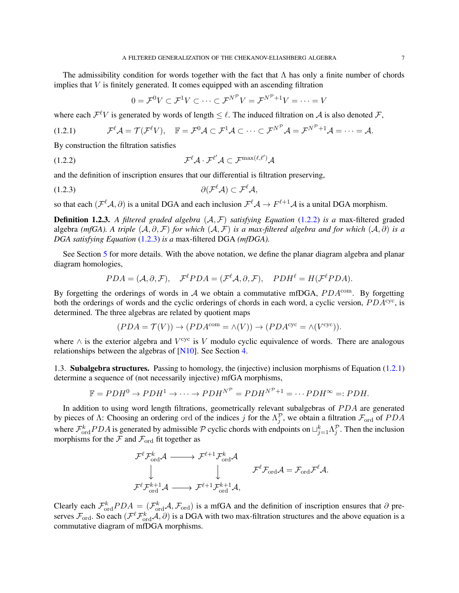<span id="page-6-3"></span>The admissibility condition for words together with the fact that  $\Lambda$  has only a finite number of chords implies that  $V$  is finitely generated. It comes equipped with an ascending filtration

<span id="page-6-2"></span><span id="page-6-1"></span><span id="page-6-0"></span>
$$
0 = \mathcal{F}^0 V \subset \mathcal{F}^1 V \subset \cdots \subset \mathcal{F}^{N^{\mathcal{P}}} V = \mathcal{F}^{N^{\mathcal{P}}+1} V = \cdots = V
$$

where each  $\mathcal{F}^{\ell}V$  is generated by words of length  $\leq \ell$ . The induced filtration on A is also denoted F,

$$
(1.2.1) \t\mathcal{F}^{\ell}\mathcal{A} = \mathcal{T}(\mathcal{F}^{\ell}V), \t\mathbb{F} = \mathcal{F}^{0}\mathcal{A} \subset \mathcal{F}^{1}\mathcal{A} \subset \cdots \subset \mathcal{F}^{N^{\mathcal{P}}} \mathcal{A} = \mathcal{F}^{N^{\mathcal{P}}+1}\mathcal{A} = \cdots = \mathcal{A}.
$$

By construction the filtration satisfies

$$
(\text{1.2.2}) \quad \mathcal{F}^{\ell} \mathcal{A} \cdot \mathcal{F}^{\ell'} \mathcal{A} \subset \mathcal{F}^{\max(\ell,\ell')} \mathcal{A}
$$

and the definition of inscription ensures that our differential is filtration preserving,

$$
\partial(\mathcal{F}^{\ell}\mathcal{A}) \subset \mathcal{F}^{\ell}\mathcal{A},
$$

so that each  $(\mathcal{F}^{\ell}\mathcal{A}, \partial)$  is a unital DGA and each inclusion  $\mathcal{F}^{\ell}\mathcal{A} \to F^{\ell+1}\mathcal{A}$  is a unital DGA morphism.

Definition 1.2.3. *A filtered graded algebra* (A, F) *satisfying Equation* [\(1.2.2\)](#page-6-0) *is a* max-filtered graded algebra *(mfGA).* A triple  $(A, \partial, \mathcal{F})$  *for which*  $(A, \mathcal{F})$  *is a max-filtered algebra and for which*  $(A, \partial)$  *is a DGA satisfying Equation* [\(1.2.3\)](#page-6-1) *is a* max-filtered DGA *(mfDGA).*

See Section [5](#page-23-0) for more details. With the above notation, we define the planar diagram algebra and planar diagram homologies,

$$
PDA = (\mathcal{A}, \partial, \mathcal{F}), \quad \mathcal{F}^{\ell} PDA = (\mathcal{F}^{\ell} \mathcal{A}, \partial, \mathcal{F}), \quad PDH^{\ell} = H(\mathcal{F}^{\ell} PDA).
$$

By forgetting the orderings of words in A we obtain a commutative mfDGA,  $PDA^{\text{com}}$ . By forgetting both the orderings of words and the cyclic orderings of chords in each word, a cyclic version,  $PDA<sup>cyc</sup>$ , is determined. The three algebras are related by quotient maps

$$
(PDA = \mathcal{T}(V)) \to (PDA^{\text{com}} = \land(V)) \to (PDA^{\text{cyc}} = \land(V^{\text{cyc}})).
$$

where  $\wedge$  is the exterior algebra and  $V^{\text{cyc}}$  is V modulo cyclic equivalence of words. There are analogous relationships between the algebras of [\[N10\]](#page-55-10). See Section [4.](#page-21-0)

1.3. Subalgebra structures. Passing to homology, the (injective) inclusion morphisms of Equation [\(1.2.1\)](#page-6-2) determine a sequence of (not necessarily injective) mfGA morphisms,

$$
\mathbb{F} = PDH^0 \to PDH^1 \to \cdots \to PDH^{N^{\mathcal{P}}} = PDH^{N^{\mathcal{P}}+1} = \cdots PDH^{\infty} =: PDH.
$$

In addition to using word length filtrations, geometrically relevant subalgebras of PDA are generated by pieces of  $\Lambda$ : Choosing an ordering ord of the indices j for the  $\Lambda_j^{\mathcal{P}}$ , we obtain a filtration  $\mathcal{F}_{\text{ord}}$  of  $PDA$ where  $\mathcal{F}_{\text{ord}}^k PDA$  is generated by admissible  $\mathcal P$  cyclic chords with endpoints on  $\sqcup_{j=1}^k \Lambda_j^{\mathcal P}$ . Then the inclusion morphisms for the  $\mathcal F$  and  $\mathcal F_{\text{ord}}$  fit together as

$$
\begin{array}{ccc}\n{\mathcal{F}}^{\ell}{\mathcal{F}}^{k}_{\mathrm{ord}}{\mathcal{A}} & \longrightarrow & {\mathcal{F}}^{\ell+1}{\mathcal{F}}^{k}_{\mathrm{ord}}{\mathcal{A}} \\
& \downarrow & \downarrow & {\mathcal{F}}^{\ell}{\mathcal{F}}_{\mathrm{ord}}{\mathcal{A}} = {\mathcal{F}}_{\mathrm{ord}}{\mathcal{F}}^{\ell}{\mathcal{A}}. \\
{\mathcal{F}}^{\ell}{\mathcal{F}}^{k+1}_{\mathrm{ord}}{\mathcal{A}} & \longrightarrow & {\mathcal{F}}^{\ell+1}{\mathcal{F}}^{k+1}_{\mathrm{ord}}{\mathcal{A}},\n\end{array}
$$

Clearly each  $\mathcal{F}_{\text{ord}}^k PDA = (\mathcal{F}_{\text{ord}}^k A, \mathcal{F}_{\text{ord}})$  is a mfGA and the definition of inscription ensures that  $\partial$  preserves  $\mathcal{F}_{\text{ord}}$ . So each  $(\mathcal{F}^{\ell}\mathcal{F}^k_{\text{ord}}\mathcal{A},\partial)$  is a DGA with two max-filtration structures and the above equation is a commutative diagram of mfDGA morphisms.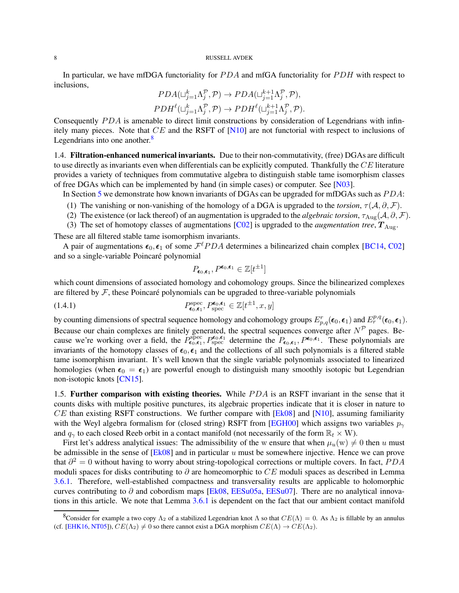<span id="page-7-1"></span>In particular, we have mfDGA functoriality for  $PDA$  and mfGA functoriality for  $PDH$  with respect to inclusions,

$$
PDA(\sqcup_{j=1}^k \Lambda_j^{\mathcal{P}}, \mathcal{P}) \to PDA(\sqcup_{j=1}^{k+1} \Lambda_j^{\mathcal{P}}, \mathcal{P}),
$$
  
\n
$$
PDH^{\ell}(\sqcup_{j=1}^k \Lambda_j^{\mathcal{P}}, \mathcal{P}) \to PDH^{\ell}(\sqcup_{j=1}^{k+1} \Lambda_j^{\mathcal{P}}, \mathcal{P}).
$$

Consequently  $PDA$  is amenable to direct limit constructions by consideration of Legendrians with infinitely many pieces. Note that CE and the RSFT of [\[N10\]](#page-55-10) are not functorial with respect to inclusions of Legendrians into one another. $\frac{8}{3}$  $\frac{8}{3}$  $\frac{8}{3}$ 

1.4. Filtration-enhanced numerical invariants. Due to their non-commutativity, (free) DGAs are difficult to use directly as invariants even when differentials can be explicitly computed. Thankfully the CE literature provides a variety of techniques from commutative algebra to distinguish stable tame isomorphism classes of free DGAs which can be implemented by hand (in simple cases) or computer. See [\[N03\]](#page-55-6).

- In Section [5](#page-23-0) we demonstrate how known invariants of DGAs can be upgraded for mfDGAs such as  $PDA$ :
- (1) The vanishing or non-vanishing of the homology of a DGA is upgraded to the *torsion*,  $\tau(A, \partial, \mathcal{F})$ .
- (2) The existence (or lack thereof) of an augmentation is upgraded to the *algebraic torsion*,  $\tau_{\text{Aug}}(\mathcal{A}, \partial, \mathcal{F})$ .
- (3) The set of homotopy classes of augmentations  $[C02]$  is upgraded to the *augmentation tree*,  $T_{\text{Aug}}$ .

These are all filtered stable tame isomorphism invariants.

A pair of augmentations  $\epsilon_0$ ,  $\epsilon_1$  of some  $\mathcal{F}^{\ell}PDA$  determines a bilinearized chain complex [\[BC14,](#page-54-3) [C02\]](#page-54-1) and so a single-variable Poincaré polynomial

$$
P_{\epsilon_0,\epsilon_1},P^{\epsilon_0,\epsilon_1}\in\mathbb{Z}[t^{\pm 1}]
$$

which count dimensions of associated homology and cohomology groups. Since the bilinearized complexes are filtered by  $\mathcal F$ , these Poincaré polynomials can be upgraded to three-variable polynomials

(1.4.1) 
$$
P_{\epsilon_0,\epsilon_1}^{\text{spec}}, P_{\text{spec}}^{\epsilon_0,\epsilon_1} \in \mathbb{Z}[t^{\pm 1},x,y]
$$

by counting dimensions of spectral sequence homology and cohomology groups  $E_{p,q}^r(\epsilon_0,\epsilon_1)$  and  $E_r^{p,q}(\epsilon_0,\epsilon_1)$ . Because our chain complexes are finitely generated, the spectral sequences converge after  $N^{\mathcal{P}}$  pages. Because we're working over a field, the  $P_{\epsilon_0,\epsilon_1}^{\text{spec}},P_{\text{spec}}^{\epsilon_0,\epsilon_1}$  determine the  $P_{\epsilon_0,\epsilon_1},P^{\epsilon_0,\epsilon_1}$ . These polynomials are invariants of the homotopy classes of  $\epsilon_0$ ,  $\epsilon_1$  and the collections of all such polynomials is a filtered stable tame isomorphism invariant. It's well known that the single variable polynomials associated to linearized homologies (when  $\epsilon_0 = \epsilon_1$ ) are powerful enough to distinguish many smoothly isotopic but Legendrian non-isotopic knots [\[CN15\]](#page-54-13).

1.5. Further comparison with existing theories. While PDA is an RSFT invariant in the sense that it counts disks with multiple positive punctures, its algebraic properties indicate that it is closer in nature to  $CE$  than existing RSFT constructions. We further compare with  $[Ek08]$  and  $[N10]$ , assuming familiarity with the Weyl algebra formalism for (closed string) RSFT from [\[EGH00\]](#page-55-3) which assigns two variables  $p_{\gamma}$ and  $q_{\gamma}$  to each closed Reeb orbit in a contact manifold (not necessarily of the form  $\mathbb{R}_t \times W$ ).

First let's address analytical issues: The admissibility of the w ensure that when  $\mu_u(w) \neq 0$  then u must be admissible in the sense of  $[Ek08]$  and in particular u must be somewhere injective. Hence we can prove that  $\partial^2 = 0$  without having to worry about string-topological corrections or multiple covers. In fact, PDA moduli spaces for disks contributing to  $\partial$  are homeomorphic to CE moduli spaces as described in Lemma [3.6.1.](#page-20-0) Therefore, well-established compactness and transversality results are applicable to holomorphic curves contributing to  $\partial$  and cobordism maps [\[Ek08,](#page-55-7) [EESu05a,](#page-55-17) [EESu07\]](#page-55-18). There are no analytical innovations in this article. We note that Lemma [3.6.1](#page-20-0) is dependent on the fact that our ambient contact manifold

<span id="page-7-0"></span><sup>&</sup>lt;sup>8</sup>Consider for example a two copy  $\Lambda_2$  of a stabilized Legendrian knot  $\Lambda$  so that  $CE(\Lambda) = 0$ . As  $\Lambda_2$  is fillable by an annulus (cf. [\[EHK16,](#page-55-19) [NT05\]](#page-55-20)),  $CE(\Lambda_2) \neq 0$  so there cannot exist a DGA morphism  $CE(\Lambda) \rightarrow CE(\Lambda_2)$ .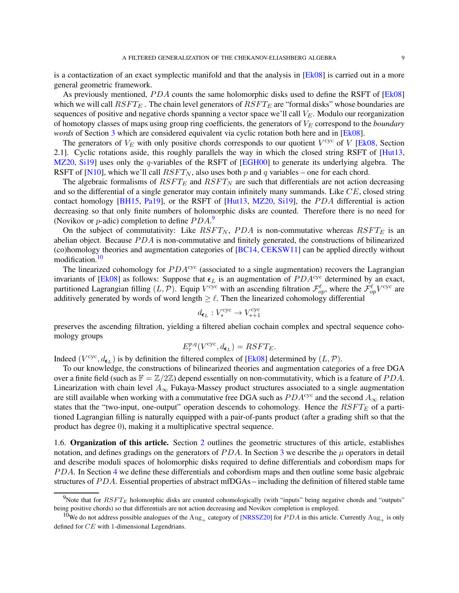<span id="page-8-2"></span>is a contactization of an exact symplectic manifold and that the analysis in [\[Ek08\]](#page-55-7) is carried out in a more general geometric framework.

As previously mentioned,  $PDA$  counts the same holomorphic disks used to define the RSFT of [\[Ek08\]](#page-55-7) which we will call  $RSFT_E$ . The chain level generators of  $RSFT_E$  are "formal disks" whose boundaries are sequences of positive and negative chords spanning a vector space we'll call  $V_E$ . Modulo our reorganization of homotopy classes of maps using group ring coefficients, the generators of  $V_E$  correspond to the *boundary words* of Section [3](#page-13-0) which are considered equivalent via cyclic rotation both here and in [\[Ek08\]](#page-55-7).

The generators of  $V_E$  with only positive chords corresponds to our quotient  $V^{\text{cyc}}$  of V [\[Ek08,](#page-55-7) Section 2.1]. Cyclic rotations aside, this roughly parallels the way in which the closed string RSFT of [\[Hut13,](#page-55-8) [MZ20,](#page-55-5) [Si19\]](#page-55-9) uses only the q-variables of the RSFT of [\[EGH00\]](#page-55-3) to generate its underlying algebra. The RSFT of [\[N10\]](#page-55-10), which we'll call  $RSFT_N$ , also uses both p and q variables – one for each chord.

The algebraic formalisms of  $RSFT_E$  and  $RSFT_N$  are such that differentials are not action decreasing and so the differential of a single generator may contain infinitely many summands. Like  $CE$ , closed string contact homology [\[BH15,](#page-54-14) [Pa19\]](#page-55-21), or the RSFT of [\[Hut13,](#page-55-8) [MZ20,](#page-55-5) [Si19\]](#page-55-9), the PDA differential is action decreasing so that only finite numbers of holomorphic disks are counted. Therefore there is no need for (Novikov or *p*-adic) completion to define  $PDA$ .<sup>[9](#page-8-0)</sup>

On the subject of commutativity: Like  $RSFT_N$ , PDA is non-commutative whereas  $RSFT_E$  is an abelian object. Because  $PDA$  is non-commutative and finitely generated, the constructions of bilinearized (co)homology theories and augmentation categories of [\[BC14,](#page-54-3) [CEKSW11\]](#page-54-4) can be applied directly without modification.[10](#page-8-1)

The linearized cohomology for  $PDA<sup>cyc</sup>$  (associated to a single augmentation) recovers the Lagrangian invariants of [\[Ek08\]](#page-55-7) as follows: Suppose that  $\epsilon_L$  is an augmentation of  $PDA<sup>cyc</sup>$  determined by an exact, partitioned Lagrangian filling  $(L, \mathcal{P})$ . Equip  $V^{\text{cyc}}$  with an ascending filtration  $\mathcal{F}^{\ell}_{op}$ , where the  $\mathcal{F}^{\ell}_{op}V^{\text{cyc}}$  are additively generated by words of word length  $\geq \ell$ . Then the linearized cohomology differential

$$
d_{\pmb{\epsilon}_L}: V_*^{\mathrm{cyc}} \to V_{*+1}^{\mathrm{cyc}}
$$

preserves the ascending filtration, yielding a filtered abelian cochain complex and spectral sequence cohomology groups

$$
E_r^{p,q}(V^{\text{cyc}}, d_{\pmb{\epsilon}_L}) = RSFT_E.
$$

Indeed ( $V^{\text{cyc}}, d_{\epsilon_L}$ ) is by definition the filtered complex of [\[Ek08\]](#page-55-7) determined by  $(L, \mathcal{P})$ .

To our knowledge, the constructions of bilinearized theories and augmentation categories of a free DGA over a finite field (such as  $\mathbb{F} = \mathbb{Z}/2\mathbb{Z}$ ) depend essentially on non-commutativity, which is a feature of PDA. Linearization with chain level  $A_{\infty}$  Fukaya-Massey product structures associated to a single augmentation are still available when working with a commutative free DGA such as  $PDA<sup>cyc</sup>$  and the second  $A<sub>∞</sub>$  relation states that the "two-input, one-output" operation descends to cohomology. Hence the  $RSFT<sub>E</sub>$  of a partitioned Lagrangian filling is naturally equipped with a pair-of-pants product (after a grading shift so that the product has degree 0), making it a multiplicative spectral sequence.

1.6. Organization of this article. Section [2](#page-9-0) outlines the geometric structures of this article, establishes notation, and defines gradings on the generators of  $PDA$ . In Section [3](#page-13-0) we describe the  $\mu$  operators in detail and describe moduli spaces of holomorphic disks required to define differentials and cobordism maps for PDA. In Section [4](#page-21-0) we define these differentials and cobordism maps and then outline some basic algebraic structures of  $PDA$ . Essential properties of abstract mfDGAs – including the definition of filtered stable tame

<span id="page-8-0"></span><sup>&</sup>lt;sup>9</sup>Note that for  $RSFT_E$  holomorphic disks are counted cohomologically (with "inputs" being negative chords and "outputs" being positive chords) so that differentials are not action decreasing and Novikov completion is employed.

<span id="page-8-1"></span><sup>&</sup>lt;sup>10</sup>We do not address possible analogues of the Aug<sub>+</sub> category of [\[NRSSZ20\]](#page-55-15) for *PDA* in this article. Currently Aug<sub>+</sub> is only defined for CE with 1-dimensional Legendrians.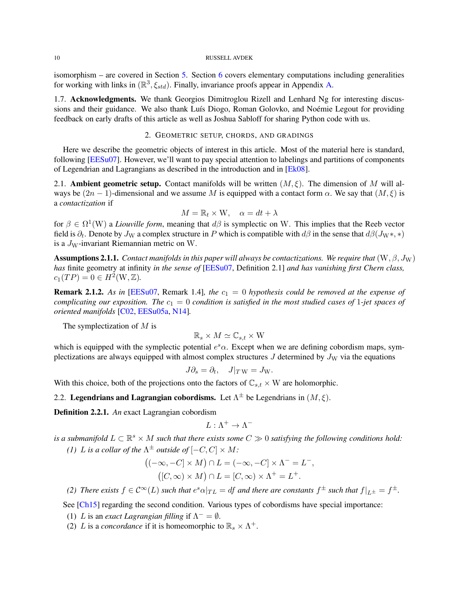<span id="page-9-2"></span>isomorphism – are covered in Section [5.](#page-23-0) Section [6](#page-33-0) covers elementary computations including generalities for working with links in  $(\mathbb{R}^3, \xi_{std})$ . Finally, invariance proofs appear in Appendix [A.](#page-42-0)

1.7. Acknowledgments. We thank Georgios Dimitroglou Rizell and Lenhard Ng for interesting discussions and their guidance. We also thank Luís Diogo, Roman Golovko, and Noémie Legout for providing feedback on early drafts of this article as well as Joshua Sabloff for sharing Python code with us.

## 2. GEOMETRIC SETUP, CHORDS, AND GRADINGS

<span id="page-9-0"></span>Here we describe the geometric objects of interest in this article. Most of the material here is standard, following [\[EESu07\]](#page-55-18). However, we'll want to pay special attention to labelings and partitions of components of Legendrian and Lagrangians as described in the introduction and in [\[Ek08\]](#page-55-7).

<span id="page-9-1"></span>2.1. **Ambient geometric setup.** Contact manifolds will be written  $(M, \xi)$ . The dimension of M will always be  $(2n - 1)$ -dimensional and we assume M is equipped with a contact form  $\alpha$ . We say that  $(M, \xi)$  is a *contactization* if

$$
M = \mathbb{R}_t \times \mathbf{W}, \quad \alpha = dt + \lambda
$$

for  $\beta \in \Omega^1(W)$  a *Liouville form*, meaning that  $d\beta$  is symplectic on W. This implies that the Reeb vector field is  $\partial_t$ . Denote by  $J_W$  a complex structure in P which is compatible with  $d\beta$  in the sense that  $d\beta(J_W*, *)$ is a  $J_W$ -invariant Riemannian metric on W.

**Assumptions 2.1.1.** *Contact manifolds in this paper will always be contactizations. We require that*  $(W, \beta, J_W)$ *has* finite geometry at infinity *in the sense of* [\[EESu07,](#page-55-18) Definition 2.1] *and has vanishing first Chern class,*  $c_1(TP) = 0 \in H^2(W, \mathbb{Z}).$ 

**Remark 2.1.2.** As in [\[EESu07,](#page-55-18) Remark 1.4], the  $c_1 = 0$  hypothesis could be removed at the expense of *complicating our exposition. The*  $c_1 = 0$  *condition is satisfied in the most studied cases of* 1-jet *spaces of oriented manifolds* [\[C02,](#page-54-1) [EESu05a,](#page-55-17) [N14\]](#page-55-2)*.*

The symplectization of  $M$  is

$$
\mathbb{R}_s \times M \simeq \mathbb{C}_{s,t} \times W
$$

which is equipped with the symplectic potential  $e^s \alpha$ . Except when we are defining cobordism maps, symplectizations are always equipped with almost complex structures  $J$  determined by  $J_W$  via the equations

$$
J\partial_s = \partial_t, \quad J|_{TW} = J_W.
$$

With this choice, both of the projections onto the factors of  $\mathbb{C}_{s,t} \times W$  are holomorphic.

2.2. Legendrians and Lagrangian cobordisms. Let  $\Lambda^{\pm}$  be Legendrians in  $(M,\xi)$ .

Definition 2.2.1. *An* exact Lagrangian cobordism

$$
L:\Lambda^+\to\Lambda^-
$$

*is a submanifold*  $L \subset \mathbb{R}^s \times M$  *such that there exists some*  $C \gg 0$  *satisfying the following conditions hold: (1)* L is a collar of the  $\Lambda^{\pm}$  outside of  $[-C, C] \times M$ :

$$
((-\infty, -C] \times M) \cap L = (-\infty, -C] \times \Lambda^{-} = L^{-},
$$
  

$$
([C, \infty) \times M) \cap L = [C, \infty) \times \Lambda^{+} = L^{+}.
$$

*(2) There exists*  $f \in C^{\infty}(L)$  *such that*  $e^{s} \alpha |_{TL} = df$  *and there are constants*  $f^{\pm}$  *such that*  $f|_{L^{\pm}} = f^{\pm}$ *.* 

See [\[Ch15\]](#page-54-15) regarding the second condition. Various types of cobordisms have special importance:

- (1) L is an *exact Lagrangian filling* if  $\Lambda^{-} = \emptyset$ .
- (2) L is a *concordance* if it is homeomorphic to  $\mathbb{R}_s \times \Lambda^+$ .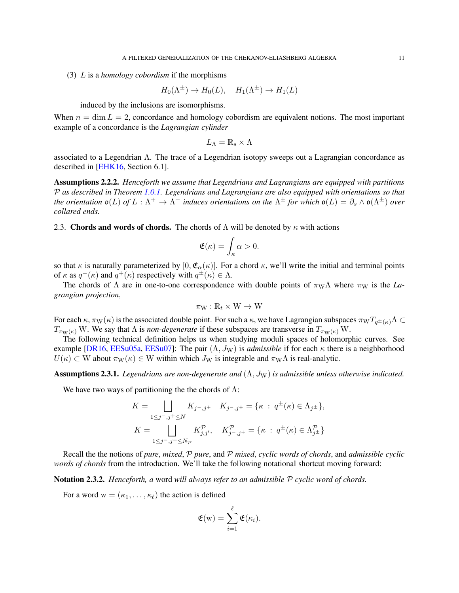<span id="page-10-1"></span>(3) L is a *homology cobordism* if the morphisms

$$
H_0(\Lambda^{\pm}) \to H_0(L), \quad H_1(\Lambda^{\pm}) \to H_1(L)
$$

induced by the inclusions are isomorphisms.

When  $n = \dim L = 2$ , concordance and homology cobordism are equivalent notions. The most important example of a concordance is the *Lagrangian cylinder*

$$
L_\Lambda=\mathbb{R}_s\times\Lambda
$$

associated to a Legendrian Λ. The trace of a Legendrian isotopy sweeps out a Lagrangian concordance as described in [\[EHK16,](#page-55-19) Section 6.1].

Assumptions 2.2.2. *Henceforth we assume that Legendrians and Lagrangians are equipped with partitions* P *as described in Theorem [1.0.1.](#page-1-2) Legendrians and Lagrangians are also equipped with orientations so that the orientation*  $\mathfrak{o}(L)$  *of*  $L:\Lambda^+\to\Lambda^-$  *induces orientations on the*  $\Lambda^{\pm}$  *for which*  $\mathfrak{o}(L)=\partial_s\wedge\mathfrak{o}(\Lambda^{\pm})$  *over collared ends.*

<span id="page-10-0"></span>2.3. Chords and words of chords. The chords of  $\Lambda$  will be denoted by  $\kappa$  with actions

$$
\mathfrak{E}(\kappa)=\int_{\kappa}\alpha>0.
$$

so that  $\kappa$  is naturally parameterized by [0,  $\mathfrak{E}_{\alpha}(\kappa)$ ]. For a chord  $\kappa$ , we'll write the initial and terminal points of  $\kappa$  as  $q^-(\kappa)$  and  $q^+(\kappa)$  respectively with  $q^{\pm}(\kappa) \in \Lambda$ .

The chords of  $\Lambda$  are in one-to-one correspondence with double points of  $\pi_{\rm W}\Lambda$  where  $\pi_{\rm W}$  is the *Lagrangian projection*,

$$
\pi_W : \mathbb{R}_t \times W \to W
$$

For each  $\kappa$ ,  $\pi_W(\kappa)$  is the associated double point. For such a  $\kappa$ , we have Lagrangian subspaces  $\pi_WT_{q^{\pm}(\kappa)}\Lambda \subset$  $T_{\pi_{\mathbf{W}}(\kappa)}$  W. We say that  $\Lambda$  is *non-degenerate* if these subspaces are transverse in  $T_{\pi_{\mathbf{W}}(\kappa)}$  W.

The following technical definition helps us when studying moduli spaces of holomorphic curves. See example [\[DR16,](#page-54-16) [EESu05a,](#page-55-17) [EESu07\]](#page-55-18): The pair  $(\Lambda, J_W)$  is *admissible* if for each  $\kappa$  there is a neighborhood  $U(\kappa) \subset W$  about  $\pi_W(\kappa) \in W$  within which  $J_W$  is integrable and  $\pi_W \Lambda$  is real-analytic.

**Assumptions 2.3.1.** *Legendrians are non-degenerate and*  $(\Lambda, J_W)$  *is admissible unless otherwise indicated.* 

We have two ways of partitioning the the chords of  $\Lambda$ :

$$
K = \bigsqcup_{1 \le j^-, j^+ \le N} K_{j^-, j^+} \quad K_{j^-, j^+} = \{ \kappa : q^{\pm}(\kappa) \in \Lambda_{j^{\pm}} \},
$$
  

$$
K = \bigsqcup_{1 \le j^-, j^+ \le N_{\mathcal{P}}} K_{j, j^{'}}^{\mathcal{P}}, \quad K_{j^-, j^+}^{\mathcal{P}} = \{ \kappa : q^{\pm}(\kappa) \in \Lambda_{j^{\pm}}^{\mathcal{P}} \}
$$

Recall the the notions of *pure*, *mixed*, P *pure*, and P *mixed*, *cyclic words of chords*, and *admissible cyclic words of chords* from the introduction. We'll take the following notational shortcut moving forward:

Notation 2.3.2. *Henceforth, a* word *will always refer to an admissible* P *cyclic word of chords.*

For a word  $w = (\kappa_1, \ldots, \kappa_\ell)$  the action is defined

$$
\mathfrak{E}(\mathbf{w}) = \sum_{i=1}^{\ell} \mathfrak{E}(\kappa_i).
$$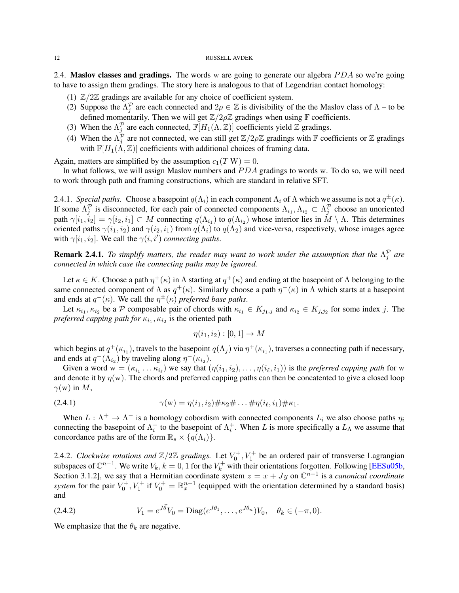<span id="page-11-2"></span><span id="page-11-0"></span>2.4. Maslov classes and gradings. The words w are going to generate our algebra  $PDA$  so we're going to have to assign them gradings. The story here is analogous to that of Legendrian contact homology:

- (1)  $\mathbb{Z}/2\mathbb{Z}$  gradings are available for any choice of coefficient system.
- (2) Suppose the  $\Lambda_j^{\mathcal{P}}$  are each connected and  $2\rho \in \mathbb{Z}$  is divisibility of the the Maslov class of  $\Lambda$  to be defined momentarily. Then we will get  $\mathbb{Z}/2\rho\mathbb{Z}$  gradings when using  $\mathbb F$  coefficients.
- (3) When the  $\Lambda_j^{\mathcal{P}}$  are each connected,  $\mathbb{F}[H_1(\Lambda,\mathbb{Z})]$  coefficients yield  $\mathbb Z$  gradings.
- (4) When the  $\Lambda_j^{\mathcal{P}}$  are not connected, we can still get  $\mathbb{Z}/2\rho\mathbb{Z}$  gradings with  $\mathbb F$  coefficients or  $\mathbb Z$  gradings with  $\mathbb{F}[H_1(\Lambda,\mathbb{Z})]$  coefficients with additional choices of framing data.

Again, matters are simplified by the assumption  $c_1(T W) = 0$ .

In what follows, we will assign Maslov numbers and  $PDA$  gradings to words w. To do so, we will need to work through path and framing constructions, which are standard in relative SFT.

2.4.1. *Special paths.* Choose a basepoint  $q(\Lambda_i)$  in each component  $\Lambda_i$  of  $\Lambda$  which we assume is not a  $q^{\pm}(\kappa)$ . If some  $\Lambda_j^{\mathcal{P}}$  is disconnected, for each pair of connected components  $\Lambda_{i_1}, \Lambda_{i_2} \subset \Lambda_j^{\mathcal{P}}$  choose an unoriented path  $\gamma[i_1, i_2] = \gamma[i_2, i_1] \subset M$  connecting  $q(\Lambda_{i_1})$  to  $q(\Lambda_{i_2})$  whose interior lies in  $M \setminus \Lambda$ . This determines oriented paths  $\gamma(i_1, i_2)$  and  $\gamma(i_2, i_1)$  from  $q(\Lambda_i)$  to  $q(\Lambda_2)$  and vice-versa, respectively, whose images agree with  $\gamma[i_1, i_2]$ . We call the  $\gamma(i, i')$  *connecting paths.* 

**Remark 2.4.1.** To simplify matters, the reader may want to work under the assumption that the  $\Lambda_j^{\mathcal{P}}$  are *connected in which case the connecting paths may be ignored.*

Let  $\kappa \in K$ . Choose a path  $\eta^+(\kappa)$  in  $\Lambda$  starting at  $q^+(\kappa)$  and ending at the basepoint of  $\Lambda$  belonging to the same connected component of  $\Lambda$  as  $q^+(\kappa)$ . Similarly choose a path  $\eta^-(\kappa)$  in  $\Lambda$  which starts at a basepoint and ends at  $q^-(\kappa)$ . We call the  $\eta^{\pm}(\kappa)$  *preferred base paths*.

Let  $\kappa_{i_1}, \kappa_{i_2}$  be a P composable pair of chords with  $\kappa_{i_1} \in K_{j_1,j}$  and  $\kappa_{i_2} \in K_{j_1,j_2}$  for some index j. The *preferred capping path for*  $\kappa_{i_1}, \kappa_{i_2}$  is the oriented path

<span id="page-11-1"></span>
$$
\eta(i_1, i_2) : [0, 1] \to M
$$

which begins at  $q^+(\kappa_{i_1})$ , travels to the basepoint  $q(\Lambda_j)$  via  $\eta^+(\kappa_{i_1})$ , traverses a connecting path if necessary, and ends at  $q^{-}(\Lambda_{i_2})$  by traveling along  $\eta^{-}(\kappa_{i_2})$ .

Given a word  $w = (\kappa_{i_1} \ldots \kappa_{i_\ell})$  we say that  $(\eta(i_1, i_2), \ldots, \eta(i_\ell, i_1))$  is the *preferred capping path* for w and denote it by  $\eta(w)$ . The chords and preferred capping paths can then be concatented to give a closed loop  $\gamma(w)$  in M,

(2.4.1) 
$$
\gamma(w) = \eta(i_1, i_2) \# \kappa_2 \# \dots \# \eta(i_\ell, i_1) \# \kappa_1.
$$

When  $L : \Lambda^+ \to \Lambda^-$  is a homology cobordism with connected components  $L_i$  we also choose paths  $\eta_i$ connecting the basepoint of  $\Lambda_i^-$  to the basepoint of  $\Lambda_i^+$ . When L is more specifically a  $L_\Lambda$  we assume that concordance paths are of the form  $\mathbb{R}_s \times \{q(\Lambda_i)\}.$ 

2.4.2. *Clockwise rotations and*  $\mathbb{Z}/2\mathbb{Z}$  *gradings.* Let  $V_0^+, V_1^+$  be an ordered pair of transverse Lagrangian subspaces of  $\mathbb{C}^{n-1}$ . We write  $V_k$ ,  $k = 0, 1$  for the  $V_k^+$  with their orientations forgotten. Following [\[EESu05b,](#page-55-11) Section 3.1.2], we say that a Hermitian coordinate system  $z = x + Jy$  on  $\mathbb{C}^{n-1}$  is a *canonical coordinate system* for the pair  $V_0^+$ ,  $V_1^+$  if  $V_0^+ = \mathbb{R}_x^{n-1}$  (equipped with the orientation determined by a standard basis) and

(2.4.2) 
$$
V_1 = e^{J\vec{\theta}} V_0 = \text{Diag}(e^{J\theta_1}, \dots, e^{J\theta_n}) V_0, \quad \theta_k \in (-\pi, 0).
$$

We emphasize that the  $\theta_k$  are negative.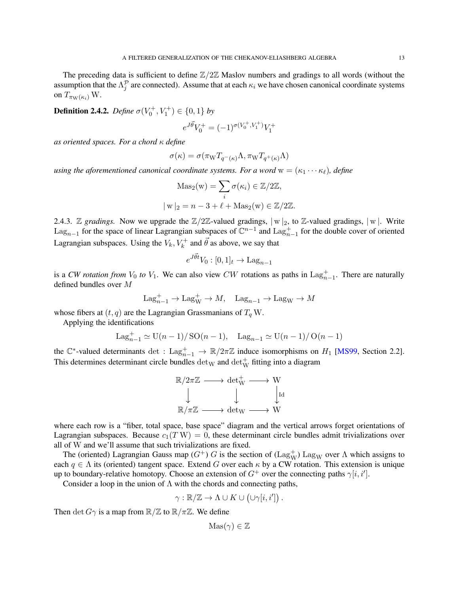<span id="page-12-0"></span>The preceding data is sufficient to define  $\mathbb{Z}/2\mathbb{Z}$  Maslov numbers and gradings to all words (without the assumption that the  $\Lambda_j^{\mathcal{P}}$  are connected). Assume that at each  $\kappa_i$  we have chosen canonical coordinate systems on  $T_{\pi_{\mathrm{W}}(\kappa_i)}$  W.

**Definition 2.4.2.** *Define*  $\sigma(V_0^+, V_1^+) \in \{0, 1\}$  *by* 

$$
e^{J\vec{\theta}}V_0^+ = (-1)^{\sigma(V_0^+,V_1^+)}V_1^+
$$

*as oriented spaces. For a chord* κ *define*

$$
\sigma(\kappa) = \sigma(\pi_{\mathbf{W}} T_{q^-(\kappa)} \Lambda, \pi_{\mathbf{W}} T_{q^+(\kappa)} \Lambda)
$$

*using the aforementioned canonical coordinate systems. For a word*  $w = (\kappa_1 \cdots \kappa_\ell)$ , *define* 

$$
\text{Mas}_2(\mathbf{w}) = \sum_i \sigma(\kappa_i) \in \mathbb{Z}/2\mathbb{Z},
$$
  

$$
|\mathbf{w}|_2 = n - 3 + \ell + \text{Mas}_2(\mathbf{w}) \in \mathbb{Z}/2\mathbb{Z}.
$$

2.4.3. Z *gradings*. Now we upgrade the  $\mathbb{Z}/2\mathbb{Z}$ -valued gradings,  $|w|_2$ , to Z-valued gradings,  $|w|$ . Write Lag<sub>n−1</sub> for the space of linear Lagrangian subspaces of  $\mathbb{C}^{n-1}$  and  $\text{Lag}_{n-1}^+$  for the double cover of oriented Lagrangian subspaces. Using the  $V_k$ ,  $V_k^+$  and  $\vec{\theta}$  as above, we say that

$$
e^{J\vec{\theta}t}V_0: [0,1]_t \to \text{Lag}_{n-1}
$$

is a *CW rotation from*  $V_0$  *to*  $V_1$ . We can also view *CW* rotations as paths in  $\text{Lag}_{n-1}^+$ . There are naturally defined bundles over M

$$
\mathrm{Lag}_{n-1}^+ \to \mathrm{Lag}_W^+ \to M, \quad \mathrm{Lag}_{n-1} \to \mathrm{Lag}_W \to M
$$

whose fibers at  $(t, q)$  are the Lagrangian Grassmanians of  $T_q$  W.

Applying the identifications

$$
Lag_{n-1}^{+} \simeq \mathrm{U}(n-1)/\mathrm{SO}(n-1), \quad Lag_{n-1} \simeq \mathrm{U}(n-1)/\mathrm{O}(n-1)
$$

the  $\mathbb{C}^*$ -valued determinants det : Lag $_{n-1}^+$   $\to \mathbb{R}/2\pi\mathbb{Z}$  induce isomorphisms on  $H_1$  [\[MS99,](#page-55-22) Section 2.2]. This determines determinant circle bundles  $\text{det}_W$  and  $\text{det}_W^+$  fitting into a diagram

$$
\mathbb{R}/2\pi\mathbb{Z} \longrightarrow \text{det}_{W}^{+} \longrightarrow W
$$
  

$$
\downarrow \qquad \qquad \downarrow \qquad \qquad \downarrow \text{Id}
$$
  

$$
\mathbb{R}/\pi\mathbb{Z} \longrightarrow \text{det}_{W} \longrightarrow W
$$

where each row is a "fiber, total space, base space" diagram and the vertical arrows forget orientations of Lagrangian subspaces. Because  $c_1(T W) = 0$ , these determinant circle bundles admit trivializations over all of W and we'll assume that such trivializations are fixed.

The (oriented) Lagrangian Gauss map  $(G^+)$  G is the section of  $(\text{Lag}_W^+)$  Lag<sub>W</sub> over  $\Lambda$  which assigns to each  $q \in \Lambda$  its (oriented) tangent space. Extend G over each  $\kappa$  by a CW rotation. This extension is unique up to boundary-relative homotopy. Choose an extension of  $G^+$  over the connecting paths  $\gamma[i, i']$ .

Consider a loop in the union of  $\Lambda$  with the chords and connecting paths,

$$
\gamma : \mathbb{R}/\mathbb{Z} \to \Lambda \cup K \cup (\cup \gamma[i, i'])
$$

.

Then det  $G\gamma$  is a map from  $\mathbb{R}/\mathbb{Z}$  to  $\mathbb{R}/\pi\mathbb{Z}$ . We define

$$
Mas(\gamma) \in \mathbb{Z}
$$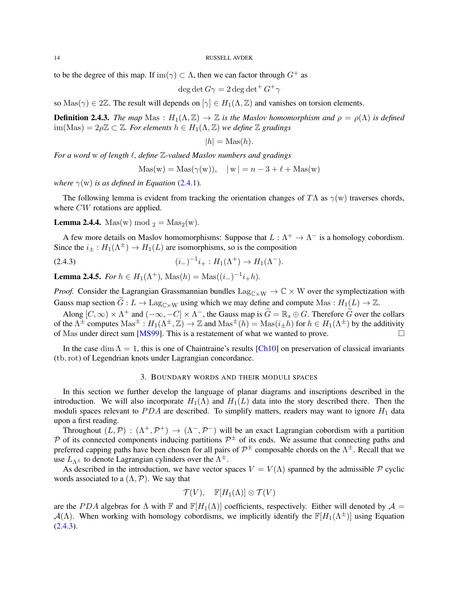<span id="page-13-3"></span>to be the degree of this map. If  $\text{im}(\gamma) \subset \Lambda$ , then we can factor through  $G^+$  as

$$
\deg \det G\gamma = 2\deg \det^+ G^+\gamma
$$

so Mas( $\gamma$ )  $\in$  2Z. The result will depends on  $[\gamma] \in H_1(\Lambda, \mathbb{Z})$  and vanishes on torsion elements.

**Definition 2.4.3.** *The map* Mas :  $H_1(\Lambda, \mathbb{Z}) \to \mathbb{Z}$  *is the Maslov homomorphism and*  $\rho = \rho(\Lambda)$  *is defined*  $\lim(Mas) = 2\rho\mathbb{Z} \subset \mathbb{Z}$ *. For elements*  $h \in H_1(\Lambda, \mathbb{Z})$  *we define*  $\mathbb{Z}$  *gradings* 

$$
|h| = \text{Mas}(h).
$$

*For a word* w *of length* ℓ*, define* Z*-valued Maslov numbers and gradings*

<span id="page-13-1"></span>
$$
Mas(w) = Mas(\gamma(w)), \quad |w| = n - 3 + \ell + Mas(w)
$$

*where*  $\gamma(w)$  *is as defined in Equation* [\(2.4.1\)](#page-11-1)*.* 

The following lemma is evident from tracking the orientation changes of  $T\Lambda$  as  $\gamma(w)$  traverses chords, where *CW* rotations are applied.

**Lemma 2.4.4.** Mas(w) mod  $_2 = \text{Mas}_2(w)$ .

A few more details on Maslov homomorphisms: Suppose that  $L : \Lambda^+ \to \Lambda^-$  is a homology cobordism. Since the  $i_{\pm}: H_1(\Lambda^{\pm}) \to H_1(L)$  are isomorphisms, so is the composition

(2.4.3) 
$$
(i_{-})^{-1}i_{+}:H_{1}(\Lambda^{+})\to H_{1}(\Lambda^{-}).
$$

<span id="page-13-2"></span>**Lemma 2.4.5.** *For*  $h \in H_1(\Lambda^+)$ ,  $\text{Mas}(h) = \text{Mas}((i_-)^{-1}i_+h)$ *.* 

*Proof.* Consider the Lagrangian Grassmannian bundles  $\text{Lag}_{\text{C} \times \text{W}} \to \mathbb{C} \times \text{W}$  over the symplectization with Gauss map section  $G: L \to \text{Lag}_{\text{C} \times \text{W}}$  using which we may define and compute Mas :  $H_1(L) \to \mathbb{Z}$ .

Along  $[C, \infty) \times \Lambda^+$  and  $(-\infty, -C] \times \Lambda^-$ , the Gauss map is  $\widetilde{G} = \mathbb{R}_s \oplus G$ . Therefore  $\widetilde{G}$  over the collars of the  $\Lambda^{\pm}$  computes  $\text{Mas}^{\pm}: H_1(\Lambda^{\pm}, \mathbb{Z}) \to \mathbb{Z}$  and  $\text{Mas}^{\pm}(h) = \text{Mas}(i_{\pm}h)$  for  $h \in H_1(\Lambda^{\pm})$  by the additivity of Mas under direct sum [\[MS99\]](#page-55-22). This is a restatement of what we wanted to prove.  $\Box$ 

<span id="page-13-0"></span>In the case dim  $\Lambda = 1$ , this is one of Chaintraine's results [\[Ch10\]](#page-54-17) on preservation of classical invariants (tb,rot) of Legendrian knots under Lagrangian concordance.

### 3. BOUNDARY WORDS AND THEIR MODULI SPACES

In this section we further develop the language of planar diagrams and inscriptions described in the introduction. We will also incorporate  $H_1(\Lambda)$  and  $H_1(L)$  data into the story described there. Then the moduli spaces relevant to  $PDA$  are described. To simplify matters, readers may want to ignore  $H_1$  data upon a first reading.

Throughout  $(L, \mathcal{P}) : (\Lambda^+, \mathcal{P}^+) \to (\Lambda^-, \mathcal{P}^-)$  will be an exact Lagrangian cobordism with a partition P of its connected components inducing partitions  $\mathcal{P}^{\pm}$  of its ends. We assume that connecting paths and preferred capping paths have been chosen for all pairs of  $\mathcal{P}^\pm$  composable chords on the  $\Lambda^\pm$ . Recall that we use  $L_{\Lambda^{\pm}}$  to denote Lagrangian cylinders over the  $\Lambda^{\pm}$ .

As described in the introduction, we have vector spaces  $V = V(\Lambda)$  spanned by the admissible P cyclic words associated to a  $(\Lambda, \mathcal{P})$ . We say that

$$
\mathcal{T}(V), \quad \mathbb{F}[H_1(\Lambda)] \otimes \mathcal{T}(V)
$$

are the PDA algebras for  $\Lambda$  with F and  $\mathbb{F}[H_1(\Lambda)]$  coefficients, respectively. Either will denoted by  $\mathcal{A} =$  $\mathcal{A}(\Lambda)$ . When working with homology cobordisms, we implicitly identify the  $\mathbb{F}[H_1(\Lambda^{\pm})]$  using Equation  $(2.4.3).$  $(2.4.3).$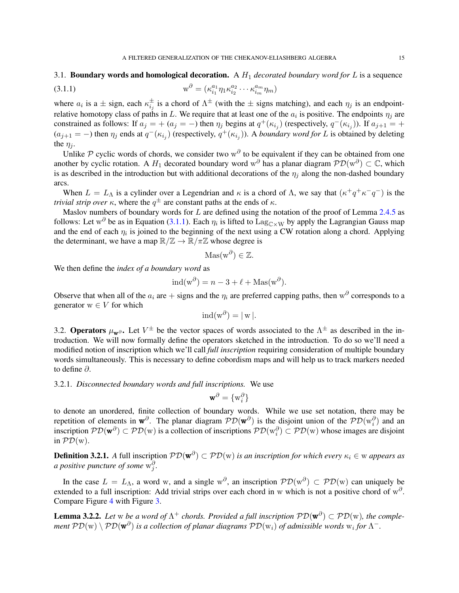### 3.1. **Boundary words and homological decoration.** A  $H_1$  *decorated boundary word for*  $L$  is a sequence

<span id="page-14-1"></span>(3.1.1) 
$$
w^{\partial} = (\kappa_{i_1}^{a_1} \eta_1 \kappa_{i_2}^{a_2} \cdots \kappa_{i_m}^{a_m} \eta_m)
$$

where  $a_i$  is a  $\pm$  sign, each  $\kappa_{i_j}^{\pm}$  is a chord of  $\Lambda^{\pm}$  (with the  $\pm$  signs matching), and each  $\eta_j$  is an endpointrelative homotopy class of paths in L. We require that at least one of the  $a_i$  is positive. The endpoints  $\eta_j$  are constrained as follows: If  $a_j = + (a_j = -)$  then  $\eta_j$  begins at  $q^+(k_{i_j})$  (respectively,  $q^-(k_{i_j})$ ). If  $a_{j+1} = +$  $(a_{j+1} = -)$  then  $\eta_j$  ends at  $q^-(\kappa_{i_j})$  (respectively,  $q^+(\kappa_{i_j})$ ). A *boundary word for* L is obtained by deleting the  $\eta_i$ .

Unlike P cyclic words of chords, we consider two  $w^{\partial}$  to be equivalent if they can be obtained from one another by cyclic rotation. A  $H_1$  decorated boundary word w<sup>∂</sup> has a planar diagram  $\mathcal{PD}(w^{\partial}) \subset \mathbb{C}$ , which is as described in the introduction but with additional decorations of the  $\eta_i$  along the non-dashed boundary arcs.

When  $L = L_{\Lambda}$  is a cylinder over a Legendrian and  $\kappa$  is a chord of  $\Lambda$ , we say that  $(\kappa^+ q^+ \kappa^- q^-)$  is the *trivial strip over*  $\kappa$ , where the  $q^{\pm}$  are constant paths at the ends of  $\kappa$ .

Maslov numbers of boundary words for  $L$  are defined using the notation of the proof of Lemma [2.4.5](#page-13-2) as follows: Let w<sup> $\partial$ </sup> be as in Equation [\(3.1.1\)](#page-14-1). Each  $\eta_i$  is lifted to  $\text{Lag}_{\text{C} \times W}$  by apply the Lagrangian Gauss map and the end of each  $\eta_i$  is joined to the beginning of the next using a CW rotation along a chord. Applying the determinant, we have a map  $\mathbb{R}/\mathbb{Z} \to \mathbb{R}/\pi\mathbb{Z}$  whose degree is

$$
Mas(w^{\partial}) \in \mathbb{Z}.
$$

We then define the *index of a boundary word* as

$$
ind(w^{\partial}) = n - 3 + \ell + \text{Mas}(w^{\partial}).
$$

Observe that when all of the  $a_i$  are  $+$  signs and the  $\eta_i$  are preferred capping paths, then w<sup> $\partial$ </sup> corresponds to a generator  $w \in V$  for which

$$
ind(w^{\partial}) = |w|.
$$

<span id="page-14-0"></span>3.2. Operators  $\mu_{\bf w}\partial$ . Let  $V^{\pm}$  be the vector spaces of words associated to the  $\Lambda^{\pm}$  as described in the introduction. We will now formally define the operators sketched in the introduction. To do so we'll need a modified notion of inscription which we'll call *full inscription* requiring consideration of multiple boundary words simultaneously. This is necessary to define cobordism maps and will help us to track markers needed to define ∂.

3.2.1. *Disconnected boundary words and full inscriptions.* We use

$$
\mathbf{w}^{\partial} = \{w_i^{\partial}\}
$$

to denote an unordered, finite collection of boundary words. While we use set notation, there may be repetition of elements in  $\mathbf{w}^\partial$ . The planar diagram  $\mathcal{PD}(\mathbf{w}^\partial)$  is the disjoint union of the  $\mathcal{PD}(\mathbf{w}_i^\partial)$  and an inscription  $PD(w^{\partial}) \subset PD(w)$  is a collection of inscriptions  $PD(w_i^{\partial}) \subset PD(w)$  whose images are disjoint in  $\mathcal{PD}(w)$ .

**Definition 3.2.1.** A full inscription  $\mathcal{PD}(\mathbf{w}^{\partial}) \subset \mathcal{PD}(\mathbf{w})$  *is an inscription for which every*  $\kappa_i \in \mathbf{w}$  appears as *a positive puncture of some*  $w_j^{\partial}$ .

In the case  $L = L_{\Lambda}$ , a word w, and a single  $w^{\partial}$ , an inscription  $\mathcal{PD}(w^{\partial}) \subset \mathcal{PD}(w)$  can uniquely be extended to a full inscription: Add trivial strips over each chord in w which is not a positive chord of  $w^{\partial}$ . Compare Figure [4](#page-15-0) with Figure [3.](#page-5-1)

<span id="page-14-2"></span>**Lemma 3.2.2.** Let w be a word of  $\Lambda^+$  chords. Provided a full inscription  $\mathcal{PD}(\mathbf{w}^{\partial}) \subset \mathcal{PD}(\mathbf{w})$ , the complement  $\mathcal{PD}(w)\setminus \mathcal{PD}(\mathbf{w}^\partial)$  is a collection of planar diagrams  $\mathcal{PD}(w_i)$  of admissible words  $w_i$  for  $\Lambda^-$ .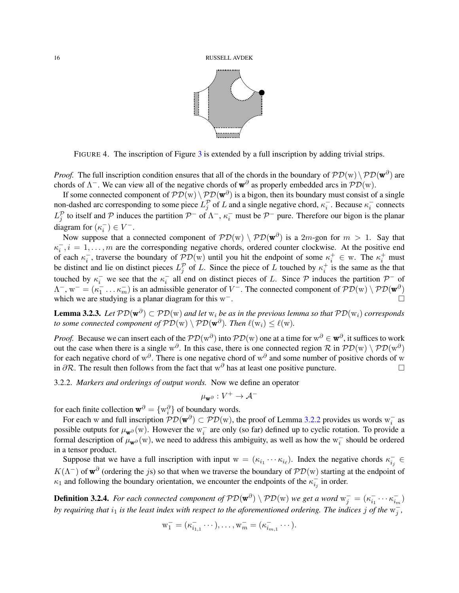

<span id="page-15-0"></span>FIGURE 4. The inscription of Figure [3](#page-5-1) is extended by a full inscription by adding trivial strips.

*Proof.* The full inscription condition ensures that all of the chords in the boundary of  $\mathcal{PD}(w) \setminus \mathcal{PD}(w^{\partial})$  are chords of  $\Lambda^-$ . We can view all of the negative chords of  $\mathbf{w}^\partial$  as properly embedded arcs in  $\mathcal{PD}(w)$ .

If some connected component of  $P\mathcal{D}(w) \setminus P\mathcal{D}(w^{\partial})$  is a bigon, then its boundary must consist of a single non-dashed arc corresponding to some piece  $L_j^{\mathcal{P}}$  of L and a single negative chord,  $\kappa_i^-$ . Because  $\kappa_i^-$  connects  $L_j^{\mathcal{P}}$  to itself and  $\mathcal P$  induces the partition  $\mathcal P^-$  of  $\Lambda^-$ ,  $\kappa_i^-$  must be  $\mathcal P^-$  pure. Therefore our bigon is the planar diagram for  $(\kappa_i^-) \in V^-$ .

Now suppose that a connected component of  $\mathcal{PD}(w) \setminus \mathcal{PD}(\mathbf{w}^{\partial})$  is a  $2m$ -gon for  $m > 1$ . Say that  $\kappa_i^-, i = 1, \ldots, m$  are the corresponding negative chords, ordered counter clockwise. At the positive end of each  $\kappa_i^-$ , traverse the boundary of  $\mathcal{PD}(w)$  until you hit the endpoint of some  $\kappa_i^+ \in w$ . The  $\kappa_i^+$  must be distinct and lie on distinct pieces  $L_j^{\mathcal{P}}$  of L. Since the piece of L touched by  $\kappa_i^+$  is the same as the that touched by  $\kappa_i^-$  we see that the  $\kappa_i^-$  all end on distinct pieces of L. Since P induces the partition  $\mathcal{P}^-$  of  $\Lambda^-$ ,  $w^- = (\kappa_1^- \dots \kappa_m^-)$  is an admissible generator of  $V^-$ . The connected component of  $\mathcal{PD}(w) \setminus \mathcal{PD}(w^{\partial})$ which we are studying is a planar diagram for this  $w^-$ . <sup>−</sup>.

<span id="page-15-1"></span>**Lemma 3.2.3.** Let  $PD(w^{\partial}) \subset PD(w)$  and let  $w_i$  be as in the previous lemma so that  $PD(w_i)$  corresponds *to some connected component of*  $\mathcal{PD}(w) \setminus \mathcal{PD}(\mathbf{w}^{\partial})$ *. Then*  $\ell(w_i) \leq \ell(w)$ *.* 

*Proof.* Because we can insert each of the  $PD(w^{\partial})$  into  $PD(w)$  one at a time for  $w^{\partial} \in \mathbf{w}^{\partial}$ , it suffices to work out the case when there is a single w<sup> $\partial$ </sup>. In this case, there is one connected region R in  $\mathcal{PD}(w) \setminus \mathcal{PD}(w^{\partial})$ for each negative chord of w<sup> $\partial$ </sup>. There is one negative chord of w<sup> $\partial$ </sup> and some number of positive chords of w in  $\partial \mathcal{R}$ . The result then follows from the fact that w<sup>∂</sup> has at least one positive puncture.  $\Box$ 

3.2.2. *Markers and orderings of output words.* Now we define an operator

$$
\mu_{\mathbf{w}^{\partial}}:V^+\to\mathcal{A}^-
$$

for each finite collection  $\mathbf{w}^{\partial} = \{w_i^{\partial}\}\$  of boundary words.

For each w and full inscription  $\mathcal{PD}(\mathbf{w}^{\partial}) \subset \mathcal{PD}(\mathbf{w})$ , the proof of Lemma [3.2.2](#page-14-2) provides us words  $\mathbf{w}_i^-$  as possible outputs for  $\mu_{\mathbf{w}}\partial(\mathbf{w})$ . However the w<sub>i</sub> are only (so far) defined up to cyclic rotation. To provide a formal description of  $\mu_{\mathbf{w}^{\partial}}(w)$ , we need to address this ambiguity, as well as how the  $w_i^-$  should be ordered in a tensor product.

Suppose that we have a full inscription with input  $w = (\kappa_{i_1} \cdots \kappa_{i_\ell})$ . Index the negative chords  $\kappa_{i_j}^- \in$  $K(\Lambda^-)$  of  $\mathbf{w}^\partial$  (ordering the js) so that when we traverse the boundary of  $\mathcal{PD}(w)$  starting at the endpoint of  $\kappa_1$  and following the boundary orientation, we encounter the endpoints of the  $\kappa_{i_j}^-$  in order.

**Definition 3.2.4.** For each connected component of  $PD(w^{\partial}) \setminus \mathcal{PD}(w)$  we get a word  $w_j^- = (\kappa_{i_1}^- \cdots \kappa_{i_m}^-)$ *by requiring that*  $i_1$  *is the least index with respect to the aforementioned ordering. The indices j of the*  $w_j^-$ ,

$$
\mathbf{w}_1^- = (\kappa_{i_{1,1}}^- \cdots), \ldots, \mathbf{w}_m^- = (\kappa_{i_{m,1}}^- \cdots).
$$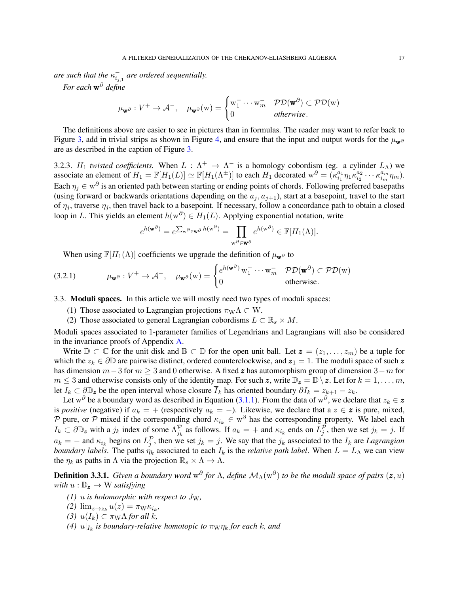*are such that the*  $\kappa_{i_{j,1}}^-$  *are ordered sequentially.* 

*For each* w <sup>∂</sup> *define*

$$
\mu_{\mathbf{w}^{\partial}} : V^+ \to \mathcal{A}^-, \quad \mu_{\mathbf{w}^{\partial}}(\mathbf{w}) = \begin{cases} \mathbf{w}_1^- \cdots \mathbf{w}_m^- & \mathcal{PD}(\mathbf{w}^{\partial}) \subset \mathcal{PD}(\mathbf{w}) \\ 0 & \text{otherwise.} \end{cases}
$$

The definitions above are easier to see in pictures than in formulas. The reader may want to refer back to Figure [3,](#page-5-1) add in trivial strips as shown in Figure [4,](#page-15-0) and ensure that the input and output words for the  $\mu_{\bf w}\delta$ are as described in the caption of Figure [3.](#page-5-1)

<span id="page-16-1"></span>3.2.3.  $H_1$  *twisted coefficients*. When  $L : \Lambda^+ \to \Lambda^-$  is a homology cobordism (eg. a cylinder  $L_{\Lambda}$ ) we associate an element of  $H_1 = \mathbb{F}[H_1(L)] \simeq \mathbb{F}[H_1(\Lambda^{\pm})]$  to each  $H_1$  decorated  $w^{\partial} = (\kappa_{i_1}^{a_1})$  $\frac{a_1}{i_1}\eta_1\kappa^{a_2}_{i_2}$  $\frac{a_2}{i_2} \cdots \kappa_{i_m}^{a_m}$  $_{i_{m}}^{a_{m}}\eta_{m}$ ). Each  $\eta_j \in w^{\partial}$  is an oriented path between starting or ending points of chords. Following preferred basepaths (using forward or backwards orientations depending on the  $a_j, a_{j+1}$ ), start at a basepoint, travel to the start of  $\eta_i$ , traverse  $\eta_i$ , then travel back to a basepoint. If necessary, follow a concordance path to obtain a closed loop in L. This yields an element  $h(w^{\partial}) \in H_1(L)$ . Applying exponential notation, write

$$
e^{h({\bf w}^{\partial})}=e^{\sum_{{\bf w}^{\partial}\in {\bf w}^{\partial}}h({\bf w}^{\partial})}=\prod_{{\bf w}^{\partial}\in {\bf w}^{\partial}}e^{h({\bf w}^{\partial})}\in \mathbb{F}[H_1(\Lambda)].
$$

<span id="page-16-0"></span>When using  $\mathbb{F}[H_1(\Lambda)]$  coefficients we upgrade the definition of  $\mu_{\mathbf{w}^{\partial}}$  to

(3.2.1) 
$$
\mu_{\mathbf{w}^{\partial}} : V^+ \to \mathcal{A}^-, \quad \mu_{\mathbf{w}^{\partial}}(w) = \begin{cases} e^{h(\mathbf{w}^{\partial})} w_1^- \cdots w_m^- & \mathcal{PD}(\mathbf{w}^{\partial}) \subset \mathcal{PD}(w) \\ 0 & \text{otherwise.} \end{cases}
$$

3.3. Moduli spaces. In this article we will mostly need two types of moduli spaces:

- (1) Those associated to Lagrangian projections  $\pi_{W}\Lambda \subset W$ .
- (2) Those associated to general Lagrangian cobordisms  $L \subset \mathbb{R}_s \times M$ .

Moduli spaces associated to 1-parameter families of Legendrians and Lagrangians will also be considered in the invariance proofs of Appendix [A.](#page-42-0)

Write  $\mathbb{D} \subset \mathbb{C}$  for the unit disk and  $\mathbb{B} \subset \mathbb{D}$  for the open unit ball. Let  $z = (z_1, \ldots, z_m)$  be a tuple for which the  $z_k \in \partial \mathbb{D}$  are pairwise distinct, ordered counterclockwise, and  $z_1 = 1$ . The moduli space of such z has dimension  $m-3$  for  $m \geq 3$  and 0 otherwise. A fixed z has automorphism group of dimension  $3-m$  for  $m \leq 3$  and otherwise consists only of the identity map. For such z, write  $\mathbb{D}_z = \mathbb{D} \setminus z$ . Let for  $k = 1, \ldots, m$ , let  $I_k \subset \partial \mathbb{D}_z$  be the open interval whose closure  $\overline{I}_k$  has oriented boundary  $\partial I_k = z_{k+1} - z_k$ .

Let w<sup>∂</sup> be a boundary word as described in Equation [\(3.1.1\)](#page-14-1). From the data of w<sup>∂</sup>, we declare that  $z_k \in \mathbf{z}$ is *positive* (negative) if  $a_k = +$  (respectively  $a_k = -$ ). Likewise, we declare that a  $z \in \mathbf{z}$  is pure, mixed, P pure, or P mixed if the corresponding chord  $\kappa_{i_k} \in w^{\partial}$  has the corresponding property. We label each  $I_k \subset \partial \mathbb{D}_z$  with a  $j_k$  index of some  $\Lambda_{j_k}^{\mathcal{P}}$  as follows. If  $a_k = +$  and  $\kappa_{i_k}$  ends on  $L_j^{\mathcal{P}}$ , then we set  $j_k = j$ . If  $a_k = -$  and  $\kappa_{i_k}$  begins on  $L_j^{\mathcal{P}}$ , then we set  $j_k = j$ . We say that the  $j_k$  associated to the  $I_k$  are *Lagrangian boundary labels*. The paths  $\eta_k$  associated to each  $I_k$  is the *relative path label*. When  $L = L_\Lambda$  we can view the  $\eta_k$  as paths in  $\Lambda$  via the projection  $\mathbb{R}_s \times \Lambda \to \Lambda$ .

**Definition 3.3.1.** Given a boundary word  $w^{\partial}$  for  $\Lambda$ , define  $\mathcal{M}_{\Lambda}(w^{\partial})$  to be the moduli space of pairs  $(z, u)$ *with*  $u : \mathbb{D}_z \to W$  *satisfying* 

- *(1)* u *is holomorphic with respect to*  $J_W$ ,
- $(2) \lim_{z \to z_k} u(z) = \pi_{\mathcal{W}} \kappa_{i_k},$
- *(3)*  $u(I_k) \subset \pi_W \Lambda$  *for all k,*
- *(4)*  $u|_{I_k}$  is boundary-relative homotopic to  $\pi_{W}\eta_k$  for each k, and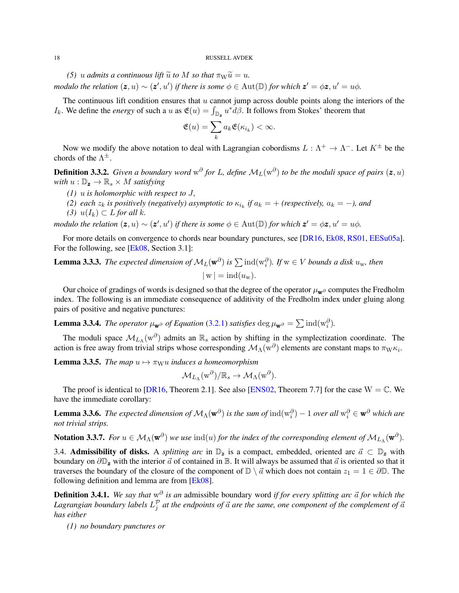<span id="page-17-4"></span>*(5)* u admits a continuous lift  $\tilde{u}$  to M so that  $\pi_{\rm W} \tilde{u} = u$ . *modulo the relation*  $(z, u) \sim (z', u')$  *if there is some*  $\phi \in \text{Aut}(\mathbb{D})$  *for which*  $z' = \phi z, u' = u\phi$ .

The continuous lift condition ensures that  $u$  cannot jump across double points along the interiors of the  $I_k$ . We define the *energy* of such a u as  $\mathfrak{E}(u) = \int_{\mathbb{D}_z} u^* d\beta$ . It follows from Stokes' theorem that

$$
\mathfrak{E}(u)=\sum_k a_k \mathfrak{E}(\kappa_{i_k})<\infty.
$$

Now we modify the above notation to deal with Lagrangian cobordisms  $L : \Lambda^+ \to \Lambda^-$ . Let  $K^{\pm}$  be the chords of the  $\Lambda^{\pm}$ .

**Definition 3.3.2.** Given a boundary word  $w^{\partial}$  for L, define  $M_L(w^{\partial})$  to be the moduli space of pairs  $(z, u)$ *with*  $u : \mathbb{D}_z \to \mathbb{R}_s \times M$  *satisfying* 

- *(1)* u *is holomorphic with respect to* J*,*
- (2) each  $z_k$  is positively (negatively) asymptotic to  $\kappa_{i_k}$  if  $a_k = +$  (respectively,  $a_k = -$ ), and
- *(3)*  $u(I_k)$  ⊂ *L for all*  $k$ *.*

*modulo the relation*  $(z, u) \sim (z', u')$  *if there is some*  $\phi \in \text{Aut}(\mathbb{D})$  *for which*  $z' = \phi z, u' = u\phi$ .

For more details on convergence to chords near boundary punctures, see [\[DR16,](#page-54-16) [Ek08,](#page-55-7) [RS01,](#page-55-23) [EESu05a\]](#page-55-17). For the following, see [\[Ek08,](#page-55-7) Section 3.1]:

**Lemma 3.3.3.** *The expected dimension of*  $M_L(\mathbf{w}^{\partial})$  *is*  $\sum \text{ind}(w_i^{\partial})$ *. If*  $w \in V$  *bounds a disk*  $u_w$ *, then*  $|w| = ind(u_w).$ 

Our choice of gradings of words is designed so that the degree of the operator  $\mu_w$ <sup>∂</sup> computes the Fredholm index. The following is an immediate consequence of additivity of the Fredholm index under gluing along pairs of positive and negative punctures:

<span id="page-17-3"></span>**Lemma 3.3.4.** *The operator*  $\mu_{\mathbf{w}^{\partial}}$  *of Equation* [\(3.2.1\)](#page-16-0) *satisfies* deg  $\mu_{\mathbf{w}^{\partial}} = \sum \text{ind}(\mathbf{w}_i^{\partial})$ *.* 

The moduli space  $\mathcal{M}_{L_{\Lambda}}(w^{\partial})$  admits an  $\mathbb{R}_s$  action by shifting in the symplectization coordinate. The action is free away from trivial strips whose corresponding  $\mathcal{M}_\Lambda(w^\partial)$  elements are constant maps to  $\pi_W \kappa_i$ .

<span id="page-17-1"></span>**Lemma 3.3.5.** *The map*  $u \mapsto \pi_{\mathbf{W}}u$  *induces a homeomorphism* 

$$
\mathcal{M}_{L_{\Lambda}}(\boldsymbol{\mathrm{w}}^{\partial})/\mathbb{R}_{s} \rightarrow \mathcal{M}_{\Lambda}(\boldsymbol{\mathrm{w}}^{\partial}).
$$

The proof is identical to [\[DR16,](#page-54-16) Theorem 2.1]. See also [\[ENS02,](#page-55-12) Theorem 7.7] for the case  $W = \mathbb{C}$ . We have the immediate corollary:

<span id="page-17-2"></span>**Lemma 3.3.6.** The expected dimension of  $M_\Lambda(\mathbf{w}^\partial)$  is the sum of  $\text{ind}(\text{w}_i^\partial) - 1$  over all  $\text{w}_i^\partial \in \mathbf{w}^\partial$  which are *not trivial strips.*

Notation 3.3.7. For  $u \in M_\Lambda(\mathbf{w}^\partial)$  we use  $\text{ind}(u)$  for the index of the corresponding element of  $\mathcal{M}_{L_\Lambda}(\mathbf{w}^\partial)$ .

3.4. Admissibility of disks. A *splitting arc* in  $\mathbb{D}_z$  is a compact, embedded, oriented arc  $\vec{a} \subset \mathbb{D}_z$  with boundary on  $\partial\mathbb{D}_z$  with the interior  $\vec{a}$  of contained in B. It will always be assumed that  $\vec{a}$  is oriented so that it traverses the boundary of the closure of the component of  $\mathbb{D} \setminus \vec{a}$  which does not contain  $z_1 = 1 \in \partial \mathbb{D}$ . The following definition and lemma are from [\[Ek08\]](#page-55-7).

<span id="page-17-0"></span>**Definition 3.4.1.** We say that  $w^{\partial}$  is an admissible boundary word if for every splitting arc  $\vec{a}$  for which the Lagrangian boundary labels  $L_j^{\mathcal{P}}$  at the endpoints of  $\vec{a}$  are the same, one component of the complement of  $\vec{a}$ *has either*

*(1) no boundary punctures or*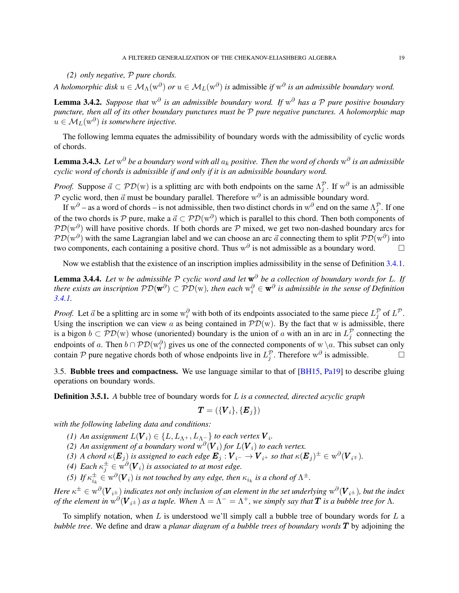<span id="page-18-0"></span>*(2) only negative,* P *pure chords.*

*A holomorphic disk*  $u \in M_\Lambda(w^\partial)$  *or*  $u \in M_L(w^\partial)$  *is* admissible *if*  $w^\partial$  *is an admissible boundary word.* 

**Lemma 3.4.2.** Suppose that  $w^{\partial}$  is an admissible boundary word. If  $w^{\partial}$  has a P pure positive boundary *puncture, then all of its other boundary punctures must be* P *pure negative punctures. A holomorphic map*  $u \in M_L(\mathbf{w}^\partial)$  is somewhere injective.

The following lemma equates the admissibility of boundary words with the admissibility of cyclic words of chords.

 ${\bf Lemma}$  3.4.3. Let  ${\rm w}^\partial$  be a boundary word with all  $a_k$  positive. Then the word of chords  ${\rm w}^\partial$  is an admissible *cyclic word of chords is admissible if and only if it is an admissible boundary word.*

*Proof.* Suppose  $\vec{a} \subset \mathcal{PD}(\mathbf{w})$  is a splitting arc with both endpoints on the same  $\Lambda_j^{\mathcal{P}}$ . If  $\mathbf{w}^\partial$  is an admissible P cyclic word, then  $\vec{a}$  must be boundary parallel. Therefore  $w^{\partial}$  is an admissible boundary word.

If w<sup> $\partial$ </sup> – as a word of chords – is not admissible, then two distinct chords in w<sup> $\partial$ </sup> end on the same  $\Lambda_j^{\mathcal{P}}$ . If one of the two chords is P pure, make a  $\vec{a} \subset \mathcal{PD}(\mathbf{w}^{\partial})$  which is parallel to this chord. Then both components of  $PD(w^{\partial})$  will have positive chords. If both chords are P mixed, we get two non-dashed boundary arcs for  $PD(w^{\partial})$  with the same Lagrangian label and we can choose an arc  $\vec{a}$  connecting them to split  $PD(w^{\partial})$  into two components, each containing a positive chord. Thus w<sup> $\partial$ </sup> is not admissible as a boundary word.  $\Box$ 

Now we establish that the existence of an inscription implies admissibility in the sense of Definition [3.4.1.](#page-17-0)

Lemma 3.4.4. *Let* w *be admissible* P *cyclic word and let* w <sup>∂</sup> *be a collection of boundary words for* L*. If* there exists an inscription  $\mathcal{PD}(\mathbf{w}^{\partial})\subset \mathcal{PD}(\mathbf{w})$ , then each  $\mathbf{w}^{\partial}_i\in\mathbf{w}^{\partial}$  is admissible in the sense of Definition *[3.4.1.](#page-17-0)*

*Proof.* Let  $\vec{a}$  be a splitting arc in some  $w_i^{\partial}$  with both of its endpoints associated to the same piece  $L_j^{\mathcal{P}}$  of  $L^{\mathcal{P}}$ . Using the inscription we can view a as being contained in  $\mathcal{PD}(w)$ . By the fact that w is admissible, there is a bigon  $b \subset \mathcal{PD}(w)$  whose (unoriented) boundary is the union of a with an in arc in  $L_j^{\mathcal{P}}$  connecting the endpoints of a. Then  $b \cap \mathcal{PD}(w_i^{\partial})$  gives us one of the connected components of w \a. This subset can only contain P pure negative chords both of whose endpoints live in  $L_j^{\mathcal{P}}$ . Therefore  $w^{\partial}$  is admissible.

3.5. Bubble trees and compactness. We use language similar to that of [\[BH15,](#page-54-14) [Pa19\]](#page-55-21) to describe gluing operations on boundary words.

Definition 3.5.1. *A* bubble tree of boundary words for L *is a connected, directed acyclic graph*

$$
\boldsymbol{T}=(\{\boldsymbol{V}_i\},\{\boldsymbol{E}_j\})
$$

*with the following labeling data and conditions:*

- *(1)* An assignment  $L(\boldsymbol{V}_i) \in \{L, L_{\Lambda^+}, L_{\Lambda^-}\}$  to each vertex  $\boldsymbol{V}_i$ .
- (2) An assignment of a boundary word  $w^{\partial}(V_i)$  for  $L(V_i)$  to each vertex.

*(3) A chord*  $\kappa(E_j)$  *is assigned to each edge*  $E_j: V_{i^-} \to V_{i^+}$  *so that*  $\kappa(E_j)^\pm \in w^{\partial}(V_{i^+}).$ 

- *(4)* Each  $\kappa_j^{\pm} \in \overline{w}^{\partial}(V_i)$  is associated to at most edge.
- (5) If  $\kappa_{i_k}^{\pm} \in w^{\partial}(V_i)$  *is not touched by any edge, then*  $\kappa_{i_k}$  *is a chord of*  $\Lambda^{\pm}$ *.*

 $He$ re  $\kappa^\pm\in w^{\partial}(V_{i^\pm})$  indicates not only inclusion of an element in the set underlying  $w^{\partial}(V_{i^\pm}),$  but the index *of the element in*  $w^{\partial}(V_{i^{\pm}})$  *as a tuple. When*  $\Lambda = \Lambda^- = \Lambda^+$ , we simply say that  $T$  is a bubble tree for  $\Lambda$ .

To simplify notation, when L is understood we'll simply call a bubble tree of boundary words for L a *bubble tree*. We define and draw a *planar diagram of a bubble trees of boundary words* T by adjoining the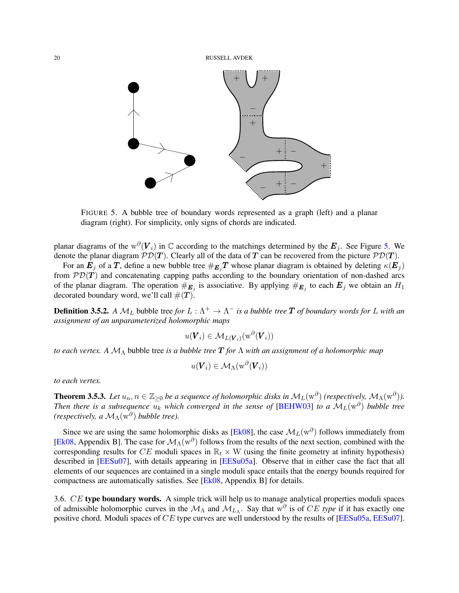<span id="page-19-1"></span>

<span id="page-19-0"></span>FIGURE 5. A bubble tree of boundary words represented as a graph (left) and a planar diagram (right). For simplicity, only signs of chords are indicated.

planar diagrams of the w $\partial(V_i)$  in  $\mathbb C$  according to the matchings determined by the  $E_j$ . See Figure [5.](#page-19-0) We denote the planar diagram  $PD(T)$ . Clearly all of the data of T can be recovered from the picture  $PD(T)$ .

For an  $E_j$  of a T, define a new bubble tree  $#_{E_j}T$  whose planar diagram is obtained by deleting  $\kappa(E_j)$ from  $\mathcal{P}D(T)$  and concatenating capping paths according to the boundary orientation of non-dashed arcs of the planar diagram. The operation  $\#_{E_j}$  is associative. By applying  $\#_{E_j}$  to each  $E_j$  we obtain an  $H_1$ decorated boundary word, we'll call  $\#(T)$ .

**Definition 3.5.2.** A  $M_L$  bubble tree for  $L : \Lambda^+ \to \Lambda^-$  is a bubble tree  $T$  of boundary words for  $L$  with an *assignment of an unparameterized holomorphic maps*

$$
u(\boldsymbol{V}_i) \in \mathcal{M}_{L(\boldsymbol{V}_i)}(\mathrm{w}^{\partial}(\boldsymbol{V}_i))
$$

*to each vertex. A* M<sup>Λ</sup> bubble tree *is a bubble tree* T *for* Λ *with an assignment of a holomorphic map*

$$
u(\boldsymbol{V}_i) \in \mathcal{M}_{\Lambda}(\mathrm{w}^{\partial}(\boldsymbol{V}_i))
$$

*to each vertex.*

**Theorem 3.5.3.** Let  $u_n, n \in \mathbb{Z}_{\geq 0}$  be a sequence of holomorphic disks in  $M_L(w^{\partial})$  (respectively,  $M_{\Lambda}(w^{\partial})$ ). *Then there is a subsequence*  $u_k$  *which converged in the sense of* [\[BEHW03\]](#page-54-12) *to a*  $\mathcal{M}_L(w^{\partial})$  *bubble tree (respectively, a*  $\mathcal{M}_{\Lambda}(\mathbf{w}^{\partial})$  *bubble tree).* 

Since we are using the same holomorphic disks as [\[Ek08\]](#page-55-7), the case  $\mathcal{M}_L(w^\partial)$  follows immediately from [\[Ek08,](#page-55-7) Appendix B]. The case for  $M_\Lambda(w^\partial)$  follows from the results of the next section, combined with the corresponding results for CE moduli spaces in  $\mathbb{R}_t \times W$  (using the finite geometry at infinity hypothesis) described in [\[EESu07\]](#page-55-18), with details appearing in [\[EESu05a\]](#page-55-17). Observe that in either case the fact that all elements of our sequences are contained in a single moduli space entails that the energy bounds required for compactness are automatically satisfies. See [\[Ek08,](#page-55-7) Appendix B] for details.

3.6. CE type boundary words. A simple trick will help us to manage analytical properties moduli spaces of admissible holomorphic curves in the  $\mathcal{M}_{\Lambda}$  and  $\mathcal{M}_{L_{\Lambda}}$ . Say that w<sup> $\partial$ </sup> is of CE type if it has exactly one positive chord. Moduli spaces of CE type curves are well understood by the results of [\[EESu05a,](#page-55-17) [EESu07\]](#page-55-18).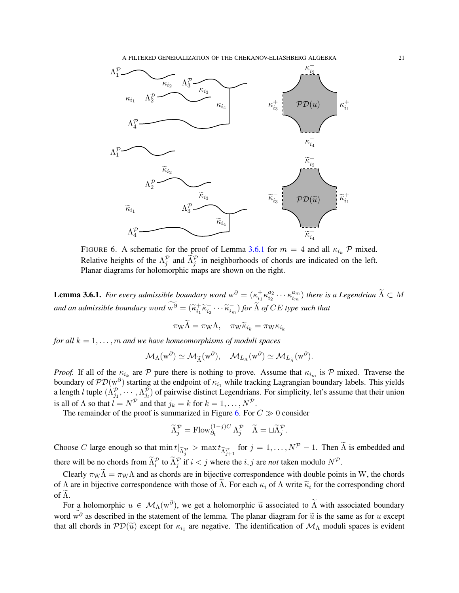A FILTERED GENERALIZATION OF THE CHEKANOV-ELIASHBERG ALGEBRA 21



<span id="page-20-1"></span>FIGURE 6. A schematic for the proof of Lemma [3.6.1](#page-20-0) for  $m = 4$  and all  $\kappa_{i_k}$  P mixed. Relative heights of the  $\Lambda_j^{\mathcal{P}}$  and  $\tilde{\Lambda}_j^{\mathcal{P}}$  in neighborhoods of chords are indicated on the left. Planar diagrams for holomorphic maps are shown on the right.

<span id="page-20-0"></span>**Lemma 3.6.1.** *For every admissible boundary word*  $w^{\partial} = (\kappa_{i_1}^{\dagger} \kappa_{i_2}^{a_2})$  $\alpha_2^{a_2} \cdots \kappa_{i_m}^{a_m}$  $\binom{a_m}{i_m}$  there is a Legendrian  $\Lambda \subset M$ and an admissible boundary word  $w^{\partial} = (\widetilde{\kappa}_{i_1}^+ \widetilde{\kappa}_{i_2}^- \cdots \widetilde{\kappa}_{i_m}^-)$  for  $\widetilde{\Lambda}$  of  $CE$  type such that

$$
\pi_{\mathbf{W}}\Lambda = \pi_{\mathbf{W}}\Lambda, \quad \pi_{\mathbf{W}}\widetilde{\kappa}_{i_k} = \pi_{\mathbf{W}}\kappa_{i_k}
$$

*for all*  $k = 1, \ldots, m$  *and we have homeomorphisms of moduli spaces* 

$$
\mathcal{M}_{\Lambda}(\mathbf{w}^{\partial}) \simeq \mathcal{M}_{\widetilde{\Lambda}}(\mathbf{w}^{\partial}), \quad \mathcal{M}_{L_{\Lambda}}(\mathbf{w}^{\partial}) \simeq \mathcal{M}_{L_{\widetilde{\Lambda}}}(\mathbf{w}^{\partial}).
$$

*Proof.* If all of the  $\kappa_{i_k}$  are P pure there is nothing to prove. Assume that  $\kappa_{i_m}$  is P mixed. Traverse the boundary of  $PD(w^{\partial})$  starting at the endpoint of  $\kappa_{i_1}$  while tracking Lagrangian boundary labels. This yields a length l tuple  $(\Lambda_{j_1}^{\mathcal{P}}, \cdots, \Lambda_{j_l}^{\mathcal{P}})$  of pairwise distinct Legendrians. For simplicity, let's assume that their union is all of  $\Lambda$  so that  $l = N^{\mathcal{P}}$  and that  $j_k = k$  for  $k = 1, ..., N^{\mathcal{P}}$ .

The remainder of the proof is summarized in Figure [6.](#page-20-1) For  $C \gg 0$  consider

$$
\widetilde{\Lambda}_j^{\mathcal{P}} = \text{Flow}_{\partial_t}^{(1-j)C} \Lambda_j^{\mathcal{P}} \quad \widetilde{\Lambda} = \sqcup \widetilde{\Lambda}_j^{\mathcal{P}}.
$$

Choose C large enough so that  $\min t|_{\widetilde{\Lambda}^{\mathcal{P}}_j} > \max t_{\widetilde{\Lambda}^{\mathcal{P}}_{j+1}}$  for  $j = 1, ..., N^{\mathcal{P}} - 1$ . Then  $\widetilde{\Lambda}$  is embedded and there will be no chords from  $\tilde{\Lambda}_i^{\mathcal{P}}$  to  $\tilde{\Lambda}_j^{\mathcal{P}}$  if  $i < j$  where the  $i, j$  are *not* taken modulo  $N^{\mathcal{P}}$ .

Clearly  $\pi_{W}\tilde{\Lambda}=\pi_{W}\Lambda$  and as chords are in bijective correspondence with double points in W, the chords of Λ are in bijective correspondence with those of  $\Lambda$ . For each  $\kappa_i$  of Λ write  $\tilde{\kappa}_i$  for the corresponding chord of  $\tilde{\Lambda}$ .

For a holomorphic  $u \in M_\Lambda(w^\partial)$ , we get a holomorphic  $\tilde{u}$  associated to  $\tilde{\Lambda}$  with associated boundary word w<sup>∂</sup> as described in the statement of the lemma. The planar diagram for  $\tilde{u}$  is the same as for u except that all chords in  $PD(\tilde{u})$  except for  $\kappa_{i_1}$  are negative. The identification of  $M_{\Lambda}$  moduli spaces is evident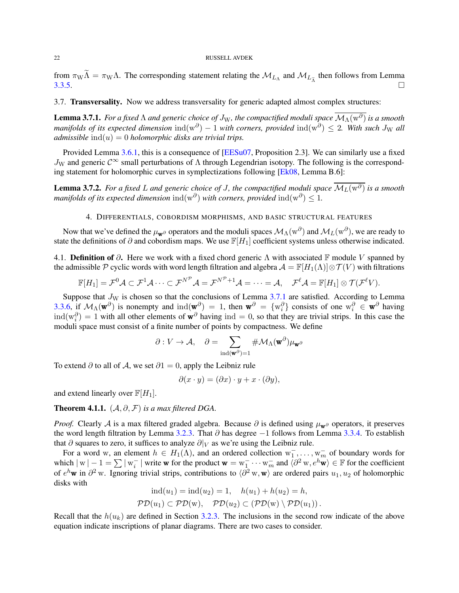<span id="page-21-3"></span>from  $\pi_{\rm W}\Lambda = \pi_{\rm W}\Lambda$ . The corresponding statement relating the  $\mathcal{M}_{L_{\Lambda}}$  and  $\mathcal{M}_{L_{\Lambda}}$  then follows from Lemma [3.3.5.](#page-17-1)  $\Box$ 

3.7. Transversality. Now we address transversality for generic adapted almost complex structures:

<span id="page-21-1"></span>**Lemma 3.7.1.** *For a fixed*  $\Lambda$  *and generic choice of*  $J_W$ *, the compactified moduli space*  $\overline{\mathcal{M}}_A(w^{\partial})$  *is a smooth*  $m$ anifolds of its expected dimension  $ind(w^{\partial}) - 1$  with corners, provided  $ind(w^{\partial}) \leq 2$ . With such  $J_W$  all *admissible*  $ind(u) = 0$  *holomorphic disks are trivial trips.* 

Provided Lemma [3.6.1,](#page-20-0) this is a consequence of [\[EESu07,](#page-55-18) Proposition 2.3]. We can similarly use a fixed  $J_W$  and generic  $\mathcal{C}^{\infty}$  small perturbations of  $\Lambda$  through Legendrian isotopy. The following is the corresponding statement for holomorphic curves in symplectizations following [\[Ek08,](#page-55-7) Lemma B.6]:

<span id="page-21-2"></span><span id="page-21-0"></span>**Lemma 3.7.2.** For a fixed L and generic choice of J, the compactified moduli space  $\overline{\mathcal{M}_L(w^{\partial})}$  is a smooth *manifolds of its expected dimension*  $\text{ind}(\text{w}^{\partial})$  *with corners, provided*  $\text{ind}(\text{w}^{\partial}) \leq 1$ *.* 

# 4. DIFFERENTIALS, COBORDISM MORPHISMS, AND BASIC STRUCTURAL FEATURES

Now that we've defined the  $\mu_{\bf w}$  $\partial$  operators and the moduli spaces  $\mathcal{M}_\Lambda(w^\partial)$  and  $\mathcal{M}_L(w^\partial)$ , we are ready to state the definitions of  $\partial$  and cobordism maps. We use  $\mathbb{F}[H_1]$  coefficient systems unless otherwise indicated.

4.1. **Definition of**  $\partial$ . Here we work with a fixed chord generic  $\Lambda$  with associated F module V spanned by the admissible P cyclic words with word length filtration and algebra  $A = \mathbb{F}[H_1(\Lambda)] \otimes \mathcal{T}(V)$  with filtrations

$$
\mathbb{F}[H_1] = \mathcal{F}^0 \mathcal{A} \subset \mathcal{F}^1 \mathcal{A} \cdots \subset \mathcal{F}^{N^{\mathcal{P}}} \mathcal{A} = \mathcal{F}^{N^{\mathcal{P}}+1} \mathcal{A} = \cdots = \mathcal{A}, \quad \mathcal{F}^{\ell} \mathcal{A} = \mathbb{F}[H_1] \otimes \mathcal{T}(\mathcal{F}^{\ell} V).
$$

Suppose that  $J_W$  is chosen so that the conclusions of Lemma [3.7.1](#page-21-1) are satisfied. According to Lemma [3.3.6,](#page-17-2) if  $\mathcal{M}_{\Lambda}(\mathbf{w}^{\partial})$  is nonempty and  $\text{ind}(\mathbf{w}^{\partial}) = 1$ , then  $\mathbf{w}^{\partial} = \{w_i^{\partial}\}\)$  consists of one  $w_i^{\partial} \in \mathbf{w}^{\partial}$  having  $\text{ind}(w_i^{\partial}) = 1$  with all other elements of  $\mathbf{w}^{\partial}$  having  $\text{ind} = 0$ , so that they are trivial strips. In this case the moduli space must consist of a finite number of points by compactness. We define

$$
\partial: V \to \mathcal{A}, \quad \partial = \sum_{\mathrm{ind}(\mathbf{w}^\partial) = 1} \# \mathcal{M}_{\Lambda}(\mathbf{w}^\partial) \mu_{\mathbf{w}^\partial}
$$

To extend  $\partial$  to all of A, we set  $\partial$ 1 = 0, apply the Leibniz rule

$$
\partial(x \cdot y) = (\partial x) \cdot y + x \cdot (\partial y),
$$

and extend linearly over  $\mathbb{F}[H_1]$ .

**Theorem 4.1.1.**  $(A, \partial, \mathcal{F})$  *is a max filtered DGA.* 

*Proof.* Clearly A is a max filtered graded algebra. Because  $\partial$  is defined using  $\mu_w \partial$  operators, it preserves the word length filtration by Lemma [3.2.3.](#page-15-1) That  $\partial$  has degree  $-1$  follows from Lemma [3.3.4.](#page-17-3) To establish that  $\partial$  squares to zero, it suffices to analyze  $\partial|_V$  as we're using the Leibniz rule.

For a word w, an element  $h \in H_1(\Lambda)$ , and an ordered collection  $w_1^-, \ldots, w_m^-$  of boundary words for which  $|w| - 1 = \sum |w_i^{-}|$  write w for the product  $w = w_1^{-} \cdots w_m^{-}$  and  $\langle \partial^2 w, e^h \mathbf{w} \rangle \in \mathbb{F}$  for the coefficient of  $e^h$ **w** in  $\partial^2$  w. Ignoring trivial strips, contributions to  $\langle \partial^2 w, w \rangle$  are ordered pairs  $u_1, u_2$  of holomorphic disks with  $\begin{array}{ccccccccc}\n\diagup \diagup \diagdown \right. & \diagdown \diagdown \rightarrow & \diagdown \diagdown \rightarrow & \diagdown \diagdown \rightarrow & \diagdown \rightarrow & \diagdown \rightarrow & \diagdown \rightarrow & \diagdown \rightarrow & \diagdown \rightarrow & \diagdown \rightarrow & \diagdown \rightarrow & \diagdown \rightarrow & \diagdown \rightarrow & \diagdown \end{array}$ 

$$
ind(u_1) = ind(u_2) = 1, \quad h(u_1) + h(u_2) = h,
$$
  

$$
\mathcal{PD}(u_1) \subset \mathcal{PD}(w), \quad \mathcal{PD}(u_2) \subset (\mathcal{PD}(w) \setminus \mathcal{PD}(u_1)).
$$

Recall that the  $h(u_k)$  are defined in Section [3.2.3.](#page-16-1) The inclusions in the second row indicate of the above equation indicate inscriptions of planar diagrams. There are two cases to consider.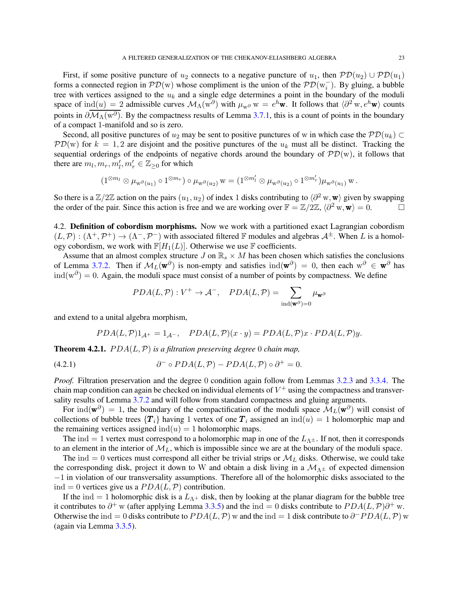First, if some positive puncture of  $u_2$  connects to a negative puncture of  $u_1$ , then  $\mathcal{PD}(u_2) \cup \mathcal{PD}(u_1)$ forms a connected region in  $\mathcal{PD}(w)$  whose compliment is the union of the  $\mathcal{PD}(w_i^-)$ . By gluing, a bubble tree with vertices assigned to the  $u_k$  and a single edge determines a point in the boundary of the moduli space of  $ind(u) = 2$  admissible curves  $\mathcal{M}_{\Lambda}(w^{\partial})$  with  $\mu_w \partial w = e^h \mathbf{w}$ . It follows that  $\langle \partial^2 w, e^h \mathbf{w} \rangle$  counts points in  $\partial \mathcal{M}_\Lambda(w^\partial)$ . By the compactness results of Lemma [3.7.1,](#page-21-1) this is a count of points in the boundary of a compact 1-manifold and so is zero.

Second, all positive punctures of  $u_2$  may be sent to positive punctures of w in which case the  $\mathcal{P}D(u_k) \subset$  $\mathcal{P}D(w)$  for  $k = 1, 2$  are disjoint and the positive punctures of the  $u_k$  must all be distinct. Tracking the sequential orderings of the endpoints of negative chords around the boundary of  $\mathcal{PD}(w)$ , it follows that there are  $m_l, m_r, m'_l, m'_r \in \mathbb{Z}_{\geq 0}$  for which

$$
(1^{\otimes m_l}\otimes \mu_{w^{\partial}(u_1)}\circ 1^{\otimes m_r})\circ \mu_{w^{\partial}(u_2)}\, w=(1^{\otimes m'_l}\otimes \mu_{w^{\partial}(u_2)}\circ 1^{\otimes m'_r})\mu_{w^{\partial}(u_1)}\, w\, .
$$

So there is a  $\mathbb{Z}/2\mathbb{Z}$  action on the pairs  $(u_1, u_2)$  of index 1 disks contributing to  $\langle \partial^2 w, w \rangle$  given by swapping the order of the pair. Since this action is free and we are working over  $\mathbb{F} = \mathbb{Z}/2\mathbb{Z}$ ,  $\langle \partial^2 w, w \rangle = 0$ .

4.2. Definition of cobordism morphisms. Now we work with a partitioned exact Lagrangian cobordism  $(L, \mathcal{P}) : (\Lambda^+, \mathcal{P}^+) \to (\Lambda^-, \mathcal{P}^-)$  with associated filtered F modules and algebras  $\mathcal{A}^{\pm}$ . When L is a homology cobordism, we work with  $\mathbb{F}[H_1(L)]$ . Otherwise we use  $\mathbb F$  coefficients.

Assume that an almost complex structure  $J$  on  $\mathbb{R}_s \times M$  has been chosen which satisfies the conclusions of Lemma [3.7.2.](#page-21-2) Then if  $M_L(\mathbf{w}^{\partial})$  is non-empty and satisfies  $\text{ind}(\mathbf{w}^{\partial}) = 0$ , then each  $\text{w}^{\partial} \in \mathbf{w}^{\partial}$  has  $\text{ind}(w^{\partial}) = 0$ . Again, the moduli space must consist of a number of points by compactness. We define

$$
PDA(L, \mathcal{P}): V^+ \to \mathcal{A}^-, \quad PDA(L, \mathcal{P}) = \sum_{\text{ind}(\mathbf{w}^{\partial})=0} \mu_{\mathbf{w}^{\partial}}
$$

and extend to a unital algebra morphism,

$$
PDA(L, \mathcal{P})1_{\mathcal{A}^+} = 1_{\mathcal{A}^-}, \quad PDA(L, \mathcal{P})(x \cdot y) = PDA(L, \mathcal{P})x \cdot PDA(L, \mathcal{P})y.
$$

**Theorem 4.2.1.**  $PDA(L, \mathcal{P})$  *is a filtration preserving degree* 0 *chain map*,

(4.2.1) 
$$
\partial^{-} \circ PDA(L, \mathcal{P}) - PDA(L, \mathcal{P}) \circ \partial^{+} = 0.
$$

*Proof.* Filtration preservation and the degree 0 condition again follow from Lemmas [3.2.3](#page-15-1) and [3.3.4.](#page-17-3) The chain map condition can again be checked on individual elements of  $V^+$  using the compactness and transversality results of Lemma [3.7.2](#page-21-2) and will follow from standard compactness and gluing arguments.

For ind( $\mathbf{w}^{\partial}$ ) = 1, the boundary of the compactification of the moduli space  $\mathcal{M}_L(\mathbf{w}^{\partial})$  will consist of collections of bubble trees  $\{T_i\}$  having 1 vertex of one  $T_i$  assigned an  $\text{ind}(u) = 1$  holomorphic map and the remaining vertices assigned  $ind(u) = 1$  holomorphic maps.

The ind = 1 vertex must correspond to a holomorphic map in one of the  $L_{\Lambda^{\pm}}$ . If not, then it corresponds to an element in the interior of  $M_L$ , which is impossible since we are at the boundary of the moduli space.

The ind = 0 vertices must correspond all either be trivial strips or  $M_L$  disks. Otherwise, we could take the corresponding disk, project it down to W and obtain a disk living in a  $\mathcal{M}_{\Lambda^{\pm}}$  of expected dimension −1 in violation of our transversality assumptions. Therefore all of the holomorphic disks associated to the ind = 0 vertices give us a  $PDA(L, P)$  contribution.

If the ind = 1 holomorphic disk is a  $L_{\Lambda^+}$  disk, then by looking at the planar diagram for the bubble tree it contributes to  $\partial^+$  w (after applying Lemma [3.3.5\)](#page-17-1) and the ind = 0 disks contribute to  $PDA(L, \mathcal{P})\partial^+$  w. Otherwise the ind = 0 disks contribute to  $PDA(L, \mathcal{P})$  w and the ind = 1 disk contribute to  $\partial^{-} PDA(L, \mathcal{P})$  w (again via Lemma [3.3.5\)](#page-17-1).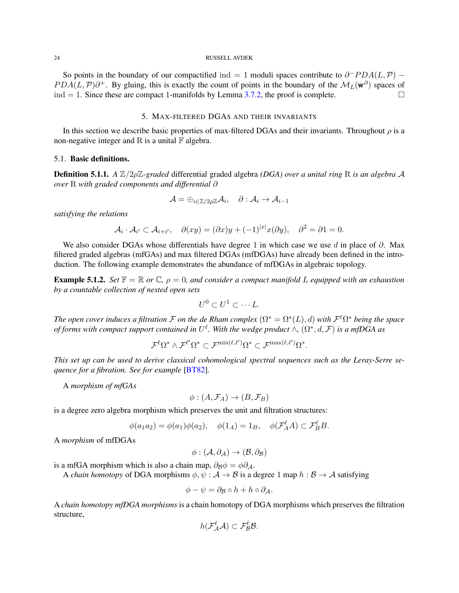<span id="page-23-1"></span>So points in the boundary of our compactified ind = 1 moduli spaces contribute to  $\partial^- PDA(L, \mathcal{P})$  –  $PDA(L, \mathcal{P})\partial^+$ . By gluing, this is exactly the count of points in the boundary of the  $\mathcal{M}_L(\mathbf{w}^{\partial})$  spaces of ind  $= 1$ . Since these are compact 1-manifolds by Lemma [3.7.2,](#page-21-2) the proof is complete.

## 5. MAX-FILTERED DGAS AND THEIR INVARIANTS

<span id="page-23-0"></span>In this section we describe basic properties of max-filtered DGAs and their invariants. Throughout  $\rho$  is a non-negative integer and R is a unital  $\mathbb F$  algebra.

## 5.1. Basic definitions.

Definition 5.1.1. *A* Z/2ρZ*-graded* differential graded algebra *(DGA) over a unital ring* R *is an algebra* A *over* R *with graded components and differential* ∂

$$
\mathcal{A}=\oplus_{i\in\mathbb{Z}/2\rho\mathbb{Z}}\mathcal{A}_i,\quad \partial:\mathcal{A}_i\to\mathcal{A}_{i-1}
$$

*satisfying the relations*

$$
\mathcal{A}_i \cdot \mathcal{A}_{i'} \subset \mathcal{A}_{i+i'}, \quad \partial(xy) = (\partial x)y + (-1)^{|x|}x(\partial y), \quad \partial^2 = \partial 1 = 0.
$$

We also consider DGAs whose differentials have degree 1 in which case we use d in place of  $\partial$ . Max filtered graded algebras (mfGAs) and max filtered DGAs (mfDGAs) have already been defined in the introduction. The following example demonstrates the abundance of mfDGAs in algebraic topology.

**Example 5.1.2.** *Set*  $\mathbb{F} = \mathbb{R}$  *or*  $\mathbb{C}$ *,*  $\rho = 0$ *, and consider a compact manifold* L *equipped with an exhaustion by a countable collection of nested open sets*

$$
U^0 \subset U^1 \subset \cdots L.
$$

*The open cover induces a filtration*  $\cal F$  *on the de Rham complex*  $(\Omega^* = \Omega^*(L), d)$  *with*  ${\cal F}^{\ell}\Omega^*$  *being the space of forms with compact support contained in*  $U^{\ell}$ . With the wedge product  $\wedge$ ,  $(\Omega^*, d, \mathcal{F})$  is a mfDGA as

$$
\mathcal{F}^{\ell}\Omega^{*}\wedge \mathcal{F}^{\ell'}\Omega^{*}\subset \mathcal{F}^{\min(\ell,\ell')}\Omega^{*}\subset \mathcal{F}^{\max(\ell,\ell')}\Omega^{*}.
$$

*This set up can be used to derive classical cohomological spectral sequences such as the Leray-Serre sequence for a fibration. See for example* [\[BT82\]](#page-54-18)*.*

A *morphism of mfGAs*

$$
\phi: (A, \mathcal{F}_A) \to (B, \mathcal{F}_B)
$$

is a degree zero algebra morphism which preserves the unit and filtration structures:

$$
\phi(a_1 a_2) = \phi(a_1)\phi(a_2), \quad \phi(1_A) = 1_B, \quad \phi(\mathcal{F}_A^{\ell} A) \subset \mathcal{F}_B^{\ell} B.
$$

A *morphism* of mfDGAs

 $\phi : (\mathcal{A}, \partial_A) \to (\mathcal{B}, \partial_B)$ 

is a mfGA morphism which is also a chain map,  $\partial_B \phi = \phi \partial_A$ .

A *chain homotopy* of DGA morphisms  $\phi, \psi : A \to B$  is a degree 1 map  $h : B \to A$  satisfying

$$
\phi - \psi = \partial_{\mathcal{B}} \circ h + h \circ \partial_{\mathcal{A}}.
$$

A *chain homotopy mfDGA morphisms* is a chain homotopy of DGA morphisms which preserves the filtration structure,

$$
h(\mathcal{F}_{\mathcal{A}}^{\ell}\mathcal{A})\subset \mathcal{F}_{\mathcal{B}}^{\ell}\mathcal{B}.
$$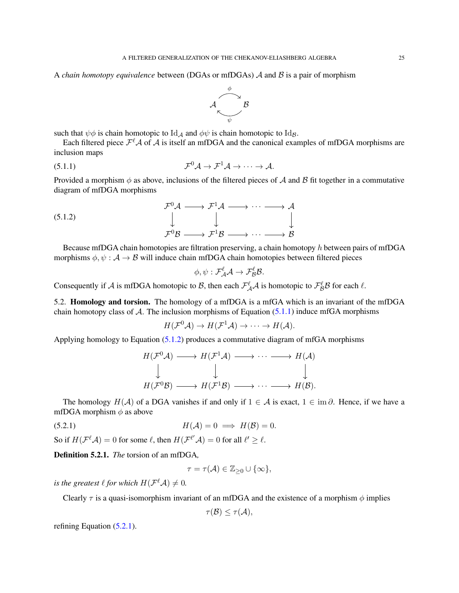A *chain homotopy equivalence* between (DGAs or mfDGAs) A and B is a pair of morphism

<span id="page-24-0"></span>

such that  $\psi \phi$  is chain homotopic to Id<sub>A</sub> and  $\phi \psi$  is chain homotopic to Id<sub>B</sub>.

Each filtered piece  $\mathcal{F}^{\ell} \mathcal{A}$  of  $\mathcal{A}$  is itself an mfDGA and the canonical examples of mfDGA morphisms are inclusion maps

(5.1.1) 
$$
\mathcal{F}^0 \mathcal{A} \to \mathcal{F}^1 \mathcal{A} \to \cdots \to \mathcal{A}.
$$

Provided a morphism  $\phi$  as above, inclusions of the filtered pieces of A and B fit together in a commutative diagram of mfDGA morphisms

$$
\begin{array}{ccc}\n\mathcal{F}^0 \mathcal{A} & \longrightarrow & \mathcal{F}^1 \mathcal{A} & \longrightarrow & \cdots & \longrightarrow & \mathcal{A} \\
\downarrow & & & & \downarrow & & \downarrow & \\
\mathcal{F}^0 \mathcal{B} & \longrightarrow & \mathcal{F}^1 \mathcal{B} & \longrightarrow & \cdots & \longrightarrow & \mathcal{B}\n\end{array}
$$

Because mfDGA chain homotopies are filtration preserving, a chain homotopy h between pairs of mfDGA morphisms  $\phi, \psi : A \to B$  will induce chain mfDGA chain homotopies between filtered pieces

<span id="page-24-1"></span>
$$
\phi, \psi: \mathcal{F}_{\mathcal{A}}^{\ell} \mathcal{A} \to \mathcal{F}_{\mathcal{B}}^{\ell} \mathcal{B}.
$$

Consequently if A is mfDGA homotopic to B, then each  $\mathcal{F}_{\mathcal{A}}^{\ell}$  as homotopic to  $\mathcal{F}_{\mathcal{B}}^{\ell}$ B for each  $\ell$ .

5.2. Homology and torsion. The homology of a mfDGA is a mfGA which is an invariant of the mfDGA chain homotopy class of  $A$ . The inclusion morphisms of Equation [\(5.1.1\)](#page-24-0) induce mfGA morphisms

$$
H(\mathcal{F}^0\mathcal{A}) \to H(\mathcal{F}^1\mathcal{A}) \to \cdots \to H(\mathcal{A}).
$$

Applying homology to Equation [\(5.1.2\)](#page-24-1) produces a commutative diagram of mfGA morphisms

$$
H(\mathcal{F}^0\mathcal{A}) \longrightarrow H(\mathcal{F}^1\mathcal{A}) \longrightarrow \cdots \longrightarrow H(\mathcal{A})
$$
  

$$
\downarrow \qquad \qquad \downarrow \qquad \qquad \downarrow
$$
  

$$
H(\mathcal{F}^0\mathcal{B}) \longrightarrow H(\mathcal{F}^1\mathcal{B}) \longrightarrow \cdots \longrightarrow H(\mathcal{B}).
$$

The homology  $H(\mathcal{A})$  of a DGA vanishes if and only if  $1 \in \mathcal{A}$  is exact,  $1 \in \text{im } \partial$ . Hence, if we have a mfDGA morphism  $\phi$  as above

$$
(5.2.1) \t\t\t H(\mathcal{A}) = 0 \implies H(\mathcal{B}) = 0.
$$

So if  $H(\mathcal{F}^{\ell}\mathcal{A}) = 0$  for some  $\ell$ , then  $H(\mathcal{F}^{\ell'}\mathcal{A}) = 0$  for all  $\ell' \geq \ell$ .

Definition 5.2.1. *The* torsion of an mfDGA*,*

<span id="page-24-2"></span>
$$
\tau=\tau({\mathcal A})\in {\mathbb Z}_{\geq 0}\cup\{\infty\},
$$

*is the greatest*  $\ell$  *for which*  $H(\mathcal{F}^{\ell}\mathcal{A}) \neq 0$ *.* 

Clearly  $\tau$  is a quasi-isomorphism invariant of an mfDGA and the existence of a morphism  $\phi$  implies

$$
\tau(\mathcal{B}) \leq \tau(\mathcal{A}),
$$

refining Equation [\(5.2.1\)](#page-24-2).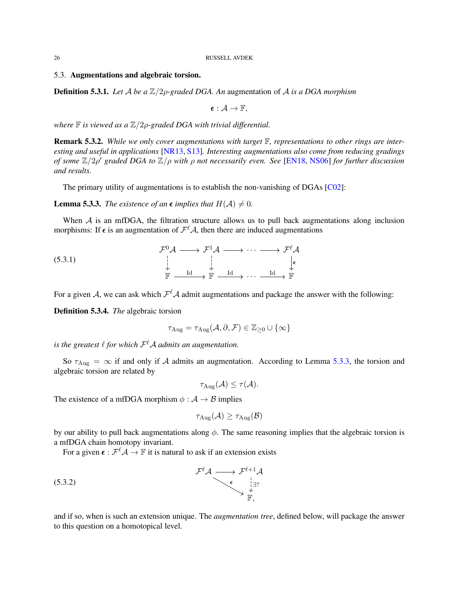## <span id="page-25-3"></span>5.3. Augmentations and algebraic torsion.

Definition 5.3.1. *Let* A *be a* Z/2ρ*-graded DGA. An* augmentation of A *is a DGA morphism*

 $\epsilon : \mathcal{A} \to \mathbb{F}$ ,

*where* **F** *is viewed as a*  $\mathbb{Z}/2$ *ρ*-graded DGA with trivial differential.

Remark 5.3.2. *While we only cover augmentations with target* F*, representations to other rings are interesting and useful in applications* [\[NR13,](#page-55-24) [S13\]](#page-56-1)*. Interesting augmentations also come from reducing gradings of some* Z/2ρ ′ *graded DGA to* Z/ρ *with* ρ *not necessarily even. See* [\[EN18,](#page-55-1) [NS06\]](#page-55-25) *for further discussion and results.*

The primary utility of augmentations is to establish the non-vanishing of DGAs [\[C02\]](#page-54-1):

<span id="page-25-0"></span>**Lemma 5.3.3.** *The existence of an*  $\epsilon$  *implies that*  $H(A) \neq 0$ *.* 

When  $A$  is an mfDGA, the filtration structure allows us to pull back augmentations along inclusion morphisms: If  $\epsilon$  is an augmentation of  $\mathcal{F}^{\ell} A$ , then there are induced augmentations

$$
\begin{array}{ccccccc}\n\mathcal{F}^{0}\mathcal{A} & \longrightarrow & \mathcal{F}^{1}\mathcal{A} & \longrightarrow & \cdots & \longrightarrow & \mathcal{F}^{\ell}\mathcal{A} \\
\downarrow & & & & & & & \\
\downarrow & & & & & & & & \\
\downarrow & & & & & & & & \\
\downarrow & & & & & & & & \\
\downarrow & & & & & & & & \\
\downarrow & & & & & & & & & \\
\downarrow & & & & & & & & & \\
\downarrow & & & & & & & & & \\
\downarrow & & & & & & & & & & \\
\downarrow & & & & & & & & & & \\
\downarrow & & & & & & & & & & \\
\downarrow & & & & & & & & & & \\
\downarrow & & & & & & & & & & \\
\downarrow & & & & & & & & & & & \\
\downarrow & & & & & & & & & & & & \\
\end{array}
$$

For a given A, we can ask which  $\mathcal{F}^{\ell}$ A admit augmentations and package the answer with the following:

Definition 5.3.4. *The* algebraic torsion

<span id="page-25-1"></span>
$$
\tau_{\text{Aug}} = \tau_{\text{Aug}}(\mathcal{A}, \partial, \mathcal{F}) \in \mathbb{Z}_{\geq 0} \cup \{\infty\}
$$

is the greatest  $\ell$  for which  $\mathcal{F}^{\ell} \mathcal{A}$  admits an augmentation.

So  $\tau_{\text{Aug}} = \infty$  if and only if A admits an augmentation. According to Lemma [5.3.3,](#page-25-0) the torsion and algebraic torsion are related by

$$
\tau_{\text{Aug}}(\mathcal{A}) \leq \tau(\mathcal{A}).
$$

The existence of a mfDGA morphism  $\phi : A \rightarrow B$  implies

<span id="page-25-2"></span>
$$
\tau_{\text{Aug}}(\mathcal{A}) \geq \tau_{\text{Aug}}(\mathcal{B})
$$

by our ability to pull back augmentations along  $\phi$ . The same reasoning implies that the algebraic torsion is a mfDGA chain homotopy invariant.

For a given  $\epsilon : \mathcal{F}^{\ell} \mathcal{A} \to \mathbb{F}$  it is natural to ask if an extension exists

$$
\mathcal{F}^{\ell} \mathcal{A} \longrightarrow \mathcal{F}^{\ell+1} \mathcal{A} \longrightarrow (\mathcal{F}^{\ell+1} \mathcal{A}) \longrightarrow (\mathcal{F}^{\ell+1} \mathcal{A}) \longrightarrow (\mathcal{F}^{\ell+1} \mathcal{A}) \longrightarrow (\mathcal{F}^{\ell} \mathcal{A}) \longrightarrow (\mathcal{F}^{\ell} \mathcal{A}) \longrightarrow (\mathcal{F}^{\ell} \mathcal{A}) \longrightarrow (\mathcal{F}^{\ell} \mathcal{A}) \longrightarrow (\mathcal{F}^{\ell} \mathcal{A}) \longrightarrow (\mathcal{F}^{\ell} \mathcal{A}) \longrightarrow (\mathcal{F}^{\ell} \mathcal{A}) \longrightarrow (\mathcal{F}^{\ell} \mathcal{A}) \longrightarrow (\mathcal{F}^{\ell} \mathcal{A}) \longrightarrow (\mathcal{F}^{\ell} \mathcal{A}) \longrightarrow (\mathcal{F}^{\ell} \mathcal{A}) \longrightarrow (\mathcal{F}^{\ell} \mathcal{A}) \longrightarrow (\mathcal{F}^{\ell} \mathcal{A}) \longrightarrow (\mathcal{F}^{\ell} \mathcal{A}) \longrightarrow (\mathcal{F}^{\ell} \mathcal{A}) \longrightarrow (\mathcal{F}^{\ell} \mathcal{A}) \longrightarrow (\mathcal{F}^{\ell} \mathcal{A}) \longrightarrow (\mathcal{F}^{\ell} \mathcal{A}) \longrightarrow (\mathcal{F}^{\ell} \mathcal{A}) \longrightarrow (\mathcal{F}^{\ell} \mathcal{A}) \longrightarrow (\mathcal{F}^{\ell} \mathcal{A}) \longrightarrow (\mathcal{F}^{\ell} \mathcal{A}) \longrightarrow (\mathcal{F}^{\ell} \mathcal{A}) \longrightarrow (\mathcal{F}^{\ell} \mathcal{A}) \longrightarrow (\mathcal{F}^{\ell} \mathcal{A}) \longrightarrow (\mathcal{F}^{\ell} \mathcal{A}) \longrightarrow (\mathcal{F}^{\ell} \mathcal{A}) \longrightarrow (\mathcal{F}^{\ell} \mathcal{A}) \longrightarrow (\mathcal{F}^{\ell} \mathcal{A}) \longrightarrow (\mathcal{F}^{\ell} \mathcal{A}) \longrightarrow (\mathcal{F}^{\ell} \mathcal{A}) \longrightarrow (\mathcal{F}^{\ell} \mathcal{A}) \longrightarrow (\mathcal{F}^{\ell} \mathcal{A}) \longrightarrow (\mathcal{F}^{\ell} \mathcal{A}) \longrightarrow (\mathcal{F}^{\ell} \mathcal{A}) \longrightarrow (\mathcal{F}^{\ell} \mathcal{A}) \longrightarrow (\mathcal{F}^{\ell} \mathcal{
$$

and if so, when is such an extension unique. The *augmentation tree*, defined below, will package the answer to this question on a homotopical level.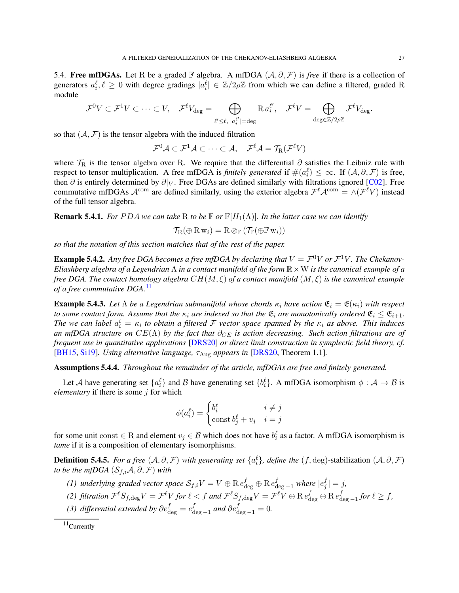<span id="page-26-1"></span>5.4. Free mfDGAs. Let R be a graded F algebra. A mfDGA  $(A, \partial, \mathcal{F})$  is *free* if there is a collection of generators  $a_i^{\ell}, \ell \geq 0$  with degree gradings  $|a_i^{\ell}| \in \mathbb{Z}/2\rho\mathbb{Z}$  from which we can define a filtered, graded R module

$$
\mathcal{F}^0V \subset \mathcal{F}^1V \subset \cdots \subset V, \quad \mathcal{F}^\ell V_{\text{deg}} = \bigoplus_{\ell' \leq \ell, \ |\alpha_i^{\ell'}| = \text{deg}} \mathrm{R} \ a_i^{\ell'}, \quad \mathcal{F}^\ell V = \bigoplus_{\text{deg} \in \mathbb{Z}/2\rho\mathbb{Z}} \mathcal{F}^\ell V_{\text{deg}}.
$$

so that  $(A, \mathcal{F})$  is the tensor algebra with the induced filtration

 $\mathcal{F}^{0}\mathcal{A}\subset \mathcal{F}^{1}\mathcal{A}\subset \cdots \subset \mathcal{A},\quad \mathcal{F}^{\ell}\mathcal{A}=\mathcal{T}_{\mathrm{R}}(\mathcal{F}^{\ell}V)$ 

where  $\mathcal{T}_R$  is the tensor algebra over R. We require that the differential  $\partial$  satisfies the Leibniz rule with respect to tensor multiplication. A free mfDGA is *finitely generated* if  $\#(\alpha_i^{\ell}) \leq \infty$ . If  $(\mathcal{A}, \partial, \mathcal{F})$  is free, then  $\partial$  is entirely determined by  $\partial|_V$ . Free DGAs are defined similarly with filtrations ignored [\[C02\]](#page-54-1). Free commutative mfDGAs  $\mathcal{A}^{\text{com}}$  are defined similarly, using the exterior algebra  $\mathcal{F}^{\ell} \mathcal{A}^{\text{com}} = \wedge (\mathcal{F}^{\ell} V)$  instead of the full tensor algebra.

**Remark 5.4.1.** *For PDA we can take* R *to be*  $\mathbb{F}$  *or*  $\mathbb{F}[H_1(\Lambda)]$ *. In the latter case we can identify* 

$$
\mathcal{T}_{\mathrm{R}}(\oplus \mathrm{R} \, \mathrm{w}_i) = \mathrm{R} \otimes_{\mathbb{F}} (\mathcal{T}_{\mathbb{F}}(\oplus \mathbb{F} \, \mathrm{w}_i))
$$

*so that the notation of this section matches that of the rest of the paper.*

**Example 5.4.2.** Any free DGA becomes a free mfDGA by declaring that  $V = \mathcal{F}^0 V$  or  $\mathcal{F}^1 V$ . The Chekanov-*Eliashberg algebra of a Legendrian* Λ *in a contact manifold of the form* R×W *is the canonical example of a free DGA. The contact homology algebra* CH(M, ξ) *of a contact manifold* (M, ξ) *is the canonical example of a free commutative DGA.*[11](#page-26-0)

**Example 5.4.3.** Let  $\Lambda$  be a Legendrian submanifold whose chords  $\kappa_i$  have action  $\mathfrak{E}_i = \mathfrak{E}(\kappa_i)$  with respect *to some contact form. Assume that the*  $\kappa_i$  *are indexed so that the*  $\mathfrak{E}_i$  *are monotonically ordered*  $\mathfrak{E}_i \leq \mathfrak{E}_{i+1}$ *. The we can label*  $a_i^i = \kappa_i$  to obtain a filtered  $\mathcal F$  vector space spanned by the  $\kappa_i$  as above. This induces *an mfDGA structure on*  $CE(\Lambda)$  *by the fact that*  $\partial_{CE}$  *is action decreasing. Such action filtrations are of frequent use in quantitative applications* [\[DRS20\]](#page-55-26) *or direct limit construction in symplectic field theory, cf.* [\[BH15,](#page-54-14) [Si19\]](#page-55-9)*. Using alternative language,* τAug *appears in* [\[DRS20,](#page-55-26) Theorem 1.1]*.*

Assumptions 5.4.4. *Throughout the remainder of the article, mfDGAs are free and finitely generated.*

Let A have generating set  $\{a_i^{\ell}\}\$  and B have generating set  $\{b_i^{\ell}\}\$ . A mfDGA isomorphism  $\phi: \mathcal{A} \to \mathcal{B}$  is *elementary* if there is some *j* for which

$$
\phi(a_i^{\ell}) = \begin{cases} b_i^{\ell} & i \neq j \\ \text{const}\, b_j^{\ell} + v_j & i = j \end{cases}
$$

for some unit const  $\in$  R and element  $v_j \in \mathcal{B}$  which does not have  $b_i^{\ell}$  as a factor. A mfDGA isomorphism is *tame* if it is a composition of elementary isomorphisms.

**Definition 5.4.5.** *For a free*  $(A, \partial, F)$  *with generating set*  $\{a_i^{\ell}\}$ *, define the*  $(f, deg)$ -stabilization  $(A, \partial, F)$ *to be the mfDGA*  $(S_{f,i}A, \partial, \mathcal{F})$  *with* 

- (1) underlying graded vector space  $\mathcal{S}_{f,i}V = V \oplus \text{R} e_{\text{deg}}^f \oplus \text{R} e_{\text{deg}-1}^f$  where  $|e_j^f|$  $\vert j \vert = j$ ,
- (2) filtration  $\mathcal{F}^\ell S_{f,\deg} V = \mathcal{F}^\ell V$  for  $\ell < f$  and  $\mathcal{F}^\ell S_{f,\deg} V = \mathcal{F}^\ell V \oplus \operatorname{R} e_{\deg}^f \oplus \operatorname{R} e_{\deg}^f$  $\int_{\text{deg } -1}^{f}$  *for*  $\ell \geq f$ ,
- (3) differential extended by  $\partial e_{\rm deg}^f=e_{\rm d}^f$  $\int_{\deg-1}^f$  and  $\partial e_{\deg-1}^f = 0$ .

<span id="page-26-0"></span> $11$ Currently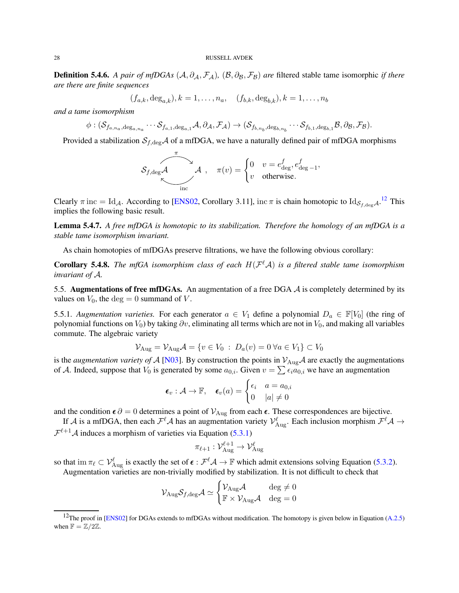<span id="page-27-2"></span><span id="page-27-1"></span>**Definition 5.4.6.** *A pair of mfDGAs*  $(A, \partial_A, \mathcal{F}_A)$ *,*  $(B, \partial_B, \mathcal{F}_B)$  *are* filtered stable tame isomorphic *if there are there are finite sequences*

 $(f_{a,k}, \deg_{a,k}), k = 1, \ldots, n_a, \quad (f_{b,k}, \deg_{b,k}), k = 1, \ldots, n_b$ 

*and a tame isomorphism*

$$
\phi: (\mathcal{S}_{f_{a,n_a},\deg_{a,n_a}}\cdots \mathcal{S}_{f_{a,1},\deg_{a,1}}\mathcal{A}, \partial_{\mathcal{A}}, \mathcal{F}_{\mathcal{A}})\rightarrow (\mathcal{S}_{f_{b,n_b},\deg_{b,n_b}}\cdots \mathcal{S}_{f_{b,1},\deg_{b,1}}\mathcal{B}, \partial_{\mathcal{B}}, \mathcal{F}_{\mathcal{B}}).
$$

Provided a stabilization  $S_{f,\text{deg}}A$  of a mfDGA, we have a naturally defined pair of mfDGA morphisms

$$
\mathcal{S}_{f,\deg}\mathcal{A}\hspace{0.5cm}\mathcal{A}\hspace{0.5cm},\hspace{0.5cm}\pi(v)=\begin{cases}0 & v=e_{\deg}^f,e_{\deg-1}^f,\\v & \text{otherwise.}\end{cases}
$$

Clearly  $\pi$  inc = Id<sub>A</sub>. According to [\[ENS02,](#page-55-12) Corollary 3.11], inc  $\pi$  is chain homotopic to Id<sub>S<sub>f,deg</sub>A.<sup>[12](#page-27-0)</sup> This</sub> implies the following basic result.

Lemma 5.4.7. *A free mfDGA is homotopic to its stabilization. Therefore the homology of an mfDGA is a stable tame isomorphism invariant.*

As chain homotopies of mfDGAs preserve filtrations, we have the following obvious corollary:

**Corollary 5.4.8.** The mfGA isomorphism class of each  $H(\mathcal{F}^{\ell}\mathcal{A})$  is a filtered stable tame isomorphism *invariant of* A*.*

5.5. Augmentations of free mfDGAs. An augmentation of a free DGA  $\mathcal A$  is completely determined by its values on  $V_0$ , the deg = 0 summand of V.

5.5.1. *Augmentation varieties*. For each generator  $a \in V_1$  define a polynomial  $D_a \in \mathbb{F}[V_0]$  (the ring of polynomial functions on  $V_0$ ) by taking  $\partial v$ , eliminating all terms which are not in  $V_0$ , and making all variables commute. The algebraic variety

$$
\mathcal{V}_{\text{Aug}} = \mathcal{V}_{\text{Aug}}\mathcal{A} = \{v \in V_0 : D_a(v) = 0 \,\forall a \in V_1\} \subset V_0
$$

is the *augmentation variety of* A [\[N03\]](#page-55-6). By construction the points in  $V_{\text{Aug}}\mathcal{A}$  are exactly the augmentations of A. Indeed, suppose that  $V_0$  is generated by some  $a_{0,i}$ . Given  $v = \sum \epsilon_i a_{0,i}$  we have an augmentation

$$
\boldsymbol{\epsilon}_v : \mathcal{A} \to \mathbb{F}, \quad \boldsymbol{\epsilon}_v(a) = \begin{cases} \epsilon_i & a = a_{0,i} \\ 0 & |a| \neq 0 \end{cases}
$$

and the condition  $\epsilon \partial = 0$  determines a point of  $\mathcal{V}_{\text{Aug}}$  from each  $\epsilon$ . These correspondences are bijective.

If A is a mfDGA, then each  $\mathcal{F}^{\ell}A$  has an augmentation variety  $\mathcal{V}^{\ell}_{\text{Aug}}$ . Each inclusion morphism  $\mathcal{F}^{\ell}A\to$  $\mathcal{F}^{\ell+1}\mathcal{A}$  induces a morphism of varieties via Equation [\(5.3.1\)](#page-25-1)

$$
\pi_{\ell+1} : \mathcal{V}_{\mathrm{Aug}}^{\ell+1} \to \mathcal{V}_{\mathrm{Aug}}^{\ell}
$$

so that im  $\pi_{\ell} \subset \mathcal{V}_{\text{Aug}}^{\ell}$  is exactly the set of  $\epsilon : \mathcal{F}^{\ell} \mathcal{A} \to \mathbb{F}$  which admit extensions solving Equation [\(5.3.2\)](#page-25-2).

Augmentation varieties are non-trivially modified by stabilization. It is not difficult to check that

$$
\mathcal{V}_{\mathrm{Aug}} \mathcal{S}_{f,\mathrm{deg}} \mathcal{A} \simeq \begin{cases} \mathcal{V}_{\mathrm{Aug}} \mathcal{A} & \deg \neq 0 \\ \mathbb{F} \times \mathcal{V}_{\mathrm{Aug}} \mathcal{A} & \deg = 0 \end{cases}
$$

<span id="page-27-0"></span><sup>&</sup>lt;sup>12</sup>The proof in [\[ENS02\]](#page-55-12) for DGAs extends to mfDGAs without modification. The homotopy is given below in Equation  $(A.2.5)$ when  $\mathbb{F} = \mathbb{Z}/2\mathbb{Z}$ .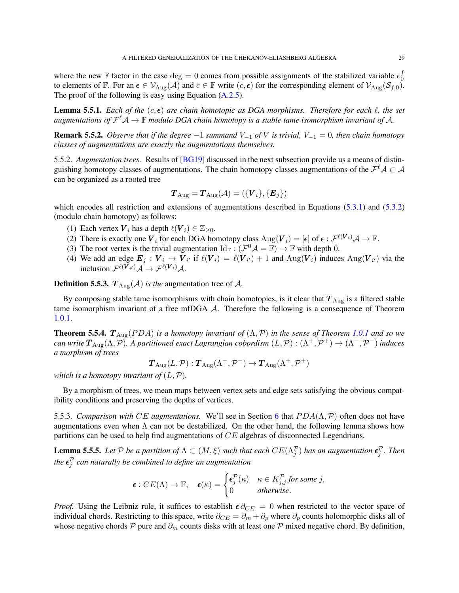<span id="page-28-2"></span>where the new  $\mathbb F$  factor in the case  $\text{deg} = 0$  comes from possible assignments of the stabilized variable  $e_0^f$ 0 to elements of F. For an  $\epsilon \in V_{\text{Aug}}(\mathcal{A})$  and  $c \in \mathbb{F}$  write  $(c, \epsilon)$  for the corresponding element of  $V_{\text{Aug}}(\mathcal{S}_{f,0})$ . The proof of the following is easy using Equation [\(A.2.5\)](#page-50-0).

**Lemma 5.5.1.** *Each of the*  $(c, \epsilon)$  *are chain homotopic as DGA morphisms. Therefore for each*  $\ell$ *, the set* augmentations of  $\mathcal{F}^{\ell} \mathcal{A} \to \mathbb{F}$  modulo DGA chain homotopy is a stable tame isomorphism invariant of  $\mathcal{A}$ .

<span id="page-28-0"></span>**Remark 5.5.2.** *Observe that if the degree*  $-1$  *summand*  $V_{-1}$  *of*  $V$  *is trivial,*  $V_{-1} = 0$ *, then chain homotopy classes of augmentations are exactly the augmentations themselves.*

5.5.2. *Augmentation trees.* Results of [\[BG19\]](#page-54-19) discussed in the next subsection provide us a means of distinguishing homotopy classes of augmentations. The chain homotopy classes augmentations of the  $\mathcal{F}^{\ell}\mathcal{A}\subset\mathcal{A}$ can be organized as a rooted tree

$$
\bm{T}_{\text{Aug}} = \bm{T}_{\text{Aug}}(\mathcal{A}) = (\{\bm{V}_i\}, \{\bm{E}_j\})
$$

which encodes all restriction and extensions of augmentations described in Equations [\(5.3.1\)](#page-25-1) and [\(5.3.2\)](#page-25-2) (modulo chain homotopy) as follows:

- (1) Each vertex  $V_i$  has a depth  $\ell(V_i) \in \mathbb{Z}_{\geq 0}$ .
- (2) There is exactly one  $V_i$  for each DGA homotopy class  $\text{Aug}(V_i) = [\epsilon]$  of  $\epsilon : \mathcal{F}^{\ell(V_i)} \mathcal{A} \to \mathbb{F}$ .
- (3) The root vertex is the trivial augmentation  $\mathrm{Id}_{\mathbb{F}} : (\mathcal{F}^0 \mathcal{A} = \mathbb{F}) \to \mathbb{F}$  with depth 0.
- (4) We add an edge  $E_j: V_i \to V_{i'}$  if  $\ell(V_i) = \ell(V_{i'}) + 1$  and  $\text{Aug}(V_i)$  induces  $\text{Aug}(V_{i'})$  via the inclusion  $\mathcal{F}^{\ell(\boldsymbol{V}_{i'})}\mathcal{A} \to \mathcal{F}^{\ell(\boldsymbol{V}_{i})}\mathcal{A}$ .

**Definition 5.5.3.**  $T_{\text{Aug}}(\mathcal{A})$  *is the* augmentation tree of  $\mathcal{A}$ *.* 

By composing stable tame isomorphisms with chain homotopies, is it clear that  $T_{\text{Aug}}$  is a filtered stable tame isomorphism invariant of a free mfDGA A. Therefore the following is a consequence of Theorem [1.0.1.](#page-1-2)

**Theorem 5.5.4.**  $T_{\text{Aug}}(PDA)$  *is a homotopy invariant of*  $(\Lambda, \mathcal{P})$  *in the sense of Theorem [1.0.1](#page-1-2) and so we*  $c$ an write  $T_{\rm Aug}(\Lambda, \cal P)$ . A partitioned exact Lagrangian cobordism  $(L, \cal P) : (\Lambda^+, \cal P^+) \to (\Lambda^-, \cal P^-)$  induces *a morphism of trees*

$$
\boldsymbol{T}_{\mathrm{Aug}}(L, \mathcal{P}) : \boldsymbol{T}_{\mathrm{Aug}}(\Lambda^{-}, \mathcal{P}^{-}) \to \boldsymbol{T}_{\mathrm{Aug}}(\Lambda^{+}, \mathcal{P}^{+})
$$

*which is a homotopy invariant of*  $(L, \mathcal{P})$ *.* 

By a morphism of trees, we mean maps between vertex sets and edge sets satisfying the obvious compatibility conditions and preserving the depths of vertices.

5.5.3. *Comparison with* CE *augmentations.* We'll see in Section [6](#page-33-0) that  $PDA(\Lambda, \mathcal{P})$  often does not have augmentations even when  $\Lambda$  can not be destabilized. On the other hand, the following lemma shows how partitions can be used to help find augmentations of CE algebras of disconnected Legendrians.

<span id="page-28-1"></span>**Lemma 5.5.5.** Let P be a partition of  $\Lambda \subset (M, \xi)$  such that each  $CE(\Lambda_j^{\mathcal{P}})$  has an augmentation  $\epsilon_j^{\mathcal{P}}$ . Then the  $\boldsymbol{\epsilon}_j^{\mathcal{P}}$  can naturally be combined to define an augmentation

$$
\boldsymbol{\epsilon}: CE(\Lambda) \to \mathbb{F}, \quad \boldsymbol{\epsilon}(\kappa) = \begin{cases} \boldsymbol{\epsilon}_j^{\mathcal{P}}(\kappa) & \kappa \in K_{j,j}^{\mathcal{P}} \text{ for some } j, \\ 0 & otherwise. \end{cases}
$$

*Proof.* Using the Leibniz rule, it suffices to establish  $\epsilon \partial_{CE} = 0$  when restricted to the vector space of individual chords. Restricting to this space, write  $\partial_{CE} = \partial_m + \partial_p$  where  $\partial_p$  counts holomorphic disks all of whose negative chords P pure and  $\partial_m$  counts disks with at least one P mixed negative chord. By definition,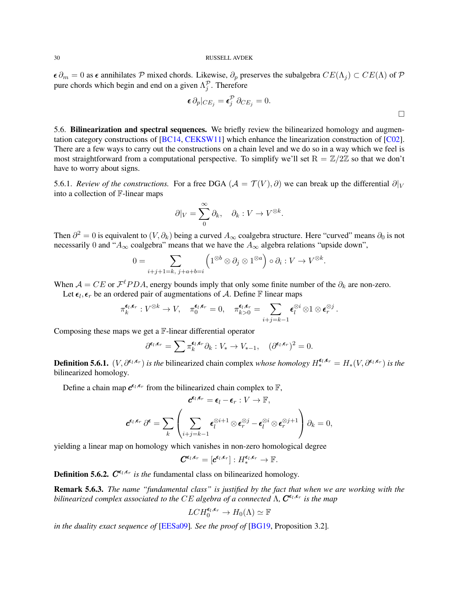<span id="page-29-0"></span> $\epsilon \partial_m = 0$  as  $\epsilon$  annihilates P mixed chords. Likewise,  $\partial_p$  preserves the subalgebra  $CE(\Lambda_j) \subset CE(\Lambda)$  of P pure chords which begin and end on a given  $\Lambda_j^{\mathcal{P}}$ . Therefore

$$
\boldsymbol{\epsilon} \, \partial_p |_{CE_j} = \boldsymbol{\epsilon}_j^{\mathcal{P}} \, \partial_{CE_j} = 0. \tag{}
$$

5.6. Bilinearization and spectral sequences. We briefly review the bilinearized homology and augmentation category constructions of [\[BC14,](#page-54-3) [CEKSW11\]](#page-54-4) which enhance the linearization construction of [\[C02\]](#page-54-1). There are a few ways to carry out the constructions on a chain level and we do so in a way which we feel is most straightforward from a computational perspective. To simplify we'll set  $R = \mathbb{Z}/2\mathbb{Z}$  so that we don't have to worry about signs.

5.6.1. *Review of the constructions.* For a free DGA ( $A = T(V)$ ,  $\partial$ ) we can break up the differential  $\partial|_V$ into a collection of F-linear maps

$$
\partial|_V = \sum_0^\infty \partial_k, \quad \partial_k : V \to V^{\otimes k}.
$$

Then  $\partial^2 = 0$  is equivalent to  $(V, \partial_k)$  being a curved  $A_\infty$  coalgebra structure. Here "curved" means  $\partial_0$  is not necessarily 0 and " $A_{\infty}$  coalgebra" means that we have the  $A_{\infty}$  algebra relations "upside down",

$$
0 = \sum_{i+j+1=k, \ j+a+b=i} \left(1^{\otimes b} \otimes \partial_j \otimes 1^{\otimes a}\right) \circ \partial_i : V \to V^{\otimes k}.
$$

When  $A = CE$  or  $\mathcal{F}^{\ell}PDA$ , energy bounds imply that only some finite number of the  $\partial_k$  are non-zero.

Let  $\epsilon_l$ ,  $\epsilon_r$  be an ordered pair of augmentations of A. Define F linear maps

$$
\pi_k^{\boldsymbol{\epsilon}_l,\boldsymbol{\epsilon}_r}: V^{\otimes k} \to V, \quad \pi_0^{\boldsymbol{\epsilon}_l,\boldsymbol{\epsilon}_r} = 0, \quad \pi_{k>0}^{\boldsymbol{\epsilon}_l,\boldsymbol{\epsilon}_r} = \sum_{i+j=k-1} \boldsymbol{\epsilon}_l^{\otimes i} \otimes 1 \otimes \boldsymbol{\epsilon}_r^{\otimes j} .
$$

Composing these maps we get a F-linear differential operator

$$
\partial^{\epsilon_l,\epsilon_r} = \sum \pi_k^{\epsilon_l,\epsilon_r} \partial_k : V_* \to V_{*-1}, \quad (\partial^{\epsilon_l,\epsilon_r})^2 = 0.
$$

**Definition 5.6.1.**  $(V, \partial^{\epsilon_l, \epsilon_r})$  *is the* bilinearized chain complex *whose homology*  $H_*^{\epsilon_l, \epsilon_r} = H_*(V, \partial^{\epsilon_l, \epsilon_r})$  *is the* bilinearized homology*.*

Define a chain map  $c^{\epsilon_l, \epsilon_r}$  from the bilinearized chain complex to  $\mathbb{F}$ ,

$$
\mathbf{c}^{\epsilon_l, \epsilon_r} = \epsilon_l - \epsilon_r : V \to \mathbb{F},
$$

$$
\mathbf{c}^{\epsilon_l, \epsilon_r} \partial^{\epsilon} = \sum_k \left( \sum_{i+j=k-1} \epsilon_l^{\otimes i+1} \otimes \epsilon_r^{\otimes j} - \epsilon_l^{\otimes i} \otimes \epsilon_r^{\otimes j+1} \right) \partial_k = 0,
$$

yielding a linear map on homology which vanishes in non-zero homological degree

$$
\mathbf{\mathit{C}}^{\boldsymbol{\epsilon}_{l},\boldsymbol{\epsilon}_{r}}=[\boldsymbol{c}^{\boldsymbol{\epsilon}_{l},\boldsymbol{\epsilon}_{r}}]:H_{*}^{\boldsymbol{\epsilon}_{l},\boldsymbol{\epsilon}_{r}}\rightarrow\mathbb{F}.
$$

**Definition 5.6.2.**  $C^{\epsilon_l, \epsilon_r}$  is the fundamental class on bilinearized homology.

Remark 5.6.3. *The name "fundamental class" is justified by the fact that when we are working with the bilinearized complex associated to the CE algebra of a connected*  $\Lambda$ ,  $C^{\epsilon_l,\epsilon_r}$  is the map

$$
LCH_0^{\epsilon_l,\epsilon_r} \to H_0(\Lambda) \simeq \mathbb{F}
$$

*in the duality exact sequence of* [\[EESa09\]](#page-55-27)*. See the proof of* [\[BG19,](#page-54-19) Proposition 3.2]*.*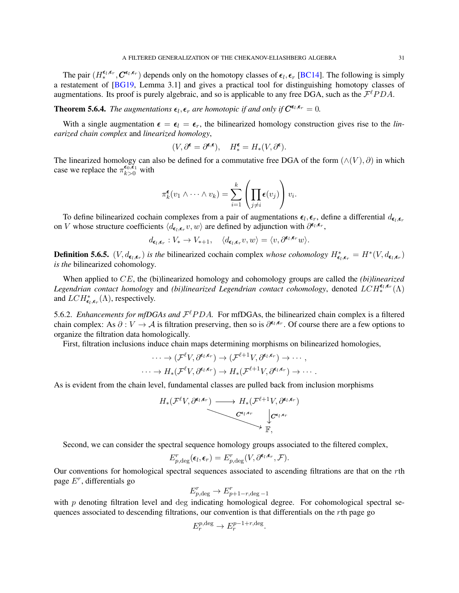<span id="page-30-0"></span>The pair  $(H^{\epsilon_l, \epsilon_r}_*, C^{\epsilon_l, \epsilon_r})$  depends only on the homotopy classes of  $\epsilon_l, \epsilon_r$  [\[BC14\]](#page-54-3). The following is simply a restatement of [\[BG19,](#page-54-19) Lemma 3.1] and gives a practical tool for distinguishing homotopy classes of augmentations. Its proof is purely algebraic, and so is applicable to any free DGA, such as the  $\mathcal{F}^{\ell}PDA$ .

**Theorem 5.6.4.** The augmentations  $\epsilon_l$ ,  $\epsilon_r$  are homotopic if and only if  $C^{\epsilon_l, \epsilon_r} = 0$ .

With a single augmentation  $\epsilon = \epsilon_l = \epsilon_r$ , the bilinearized homology construction gives rise to the *linearized chain complex* and *linearized homology*,

$$
(V, \partial^{\epsilon} = \partial^{\epsilon, \epsilon}), \quad H^{\epsilon}_* = H_*(V, \partial^{\epsilon}).
$$

The linearized homology can also be defined for a commutative free DGA of the form  $(\land(V), \partial)$  in which case we replace the  $\pi_{k>0}^{\epsilon_0,\epsilon_1}$  with

$$
\pi_k^{\boldsymbol{\epsilon}}(v_1 \wedge \cdots \wedge v_k) = \sum_{i=1}^k \left( \prod_{j \neq i} {\boldsymbol{\epsilon}}(v_j) \right) v_i.
$$

To define bilinearized cochain complexes from a pair of augmentations  $\epsilon_l, \epsilon_r$ , define a differential  $d_{\epsilon_l, \epsilon_r}$ on V whose structure coefficients  $\langle d_{\epsilon_l, \epsilon_r} v, w \rangle$  are defined by adjunction with  $\partial^{\epsilon_l, \epsilon_r}$ ,

$$
d_{\pmb{\epsilon}_l,\pmb{\epsilon}_r}: V_* \to V_{*+1}, \quad \langle d_{\pmb{\epsilon}_l,\pmb{\epsilon}_r} v, w \rangle = \langle v, \partial^{\pmb{\epsilon}_l,\pmb{\epsilon}_r} w \rangle.
$$

**Definition 5.6.5.**  $(V, d_{\epsilon_l, \epsilon_r})$  *is the* bilinearized cochain complex *whose cohomology*  $H_{\epsilon_l, \epsilon_r}^* = H^*(V, d_{\epsilon_l, \epsilon_r})$ *is the* bilinearized cohomology*.*

When applied to CE, the (bi)linearized homology and cohomology groups are called the *(bi)linearized* Legendrian contact homology and *(bi)linearized Legendrian contact cohomology*, denoted  $LCH_*^{\epsilon_l, \epsilon_r}(\Lambda)$ and  $LCH_{\epsilon_l,\epsilon_r}^*(\Lambda)$ , respectively.

5.6.2. *Enhancements for mfDGAs and*  $\mathcal{F}^{\ell}PDA$ . For mfDGAs, the bilinearized chain complex is a filtered chain complex: As  $\partial: V \to A$  is filtration preserving, then so is  $\partial^{\epsilon_l, \epsilon_r}$ . Of course there are a few options to organize the filtration data homologically.

First, filtration inclusions induce chain maps determining morphisms on bilinearized homologies,

$$
\cdots \to (\mathcal{F}^{\ell}V, \partial^{\epsilon_l, \epsilon_r}) \to (\mathcal{F}^{\ell+1}V, \partial^{\epsilon_l, \epsilon_r}) \to \cdots,
$$
  

$$
\cdots \to H_*(\mathcal{F}^{\ell}V, \partial^{\epsilon_l, \epsilon_r}) \to H_*(\mathcal{F}^{\ell+1}V, \partial^{\epsilon_l, \epsilon_r}) \to \cdots.
$$

As is evident from the chain level, fundamental classes are pulled back from inclusion morphisms

$$
H_*(\mathcal{F}^{\ell}V,\partial^{\epsilon_l,\epsilon_r}) \longrightarrow H_*(\mathcal{F}^{\ell+1}V,\partial^{\epsilon_l,\epsilon_r})
$$

$$
\downarrow \mathcal{C}^{\epsilon_l,\epsilon_r} \downarrow \mathcal{C}^{\epsilon_l,\epsilon_r}
$$

$$
\downarrow \mathcal{C}^{\epsilon_l,\epsilon_r}
$$

$$
\downarrow \mathcal{F}_r
$$

Second, we can consider the spectral sequence homology groups associated to the filtered complex,

$$
E_{p,\deg}^r(\pmb{\epsilon}_l,\pmb{\epsilon}_r) = E_{p,\deg}^r(V,\partial^{\pmb{\epsilon}_l,\pmb{\epsilon}_r},\mathcal{F}).
$$

Our conventions for homological spectral sequences associated to ascending filtrations are that on the rth page E<sup>r</sup> , differentials go

$$
E_{p,\text{deg}}^r \to E_{p+1-r,\text{deg}-1}^r
$$

with  $p$  denoting filtration level and deg indicating homological degree. For cohomological spectral sequences associated to descending filtrations, our convention is that differentials on the rth page go

$$
E_r^{p,\text{deg}} \to E_r^{p-1+r,\text{deg}}.
$$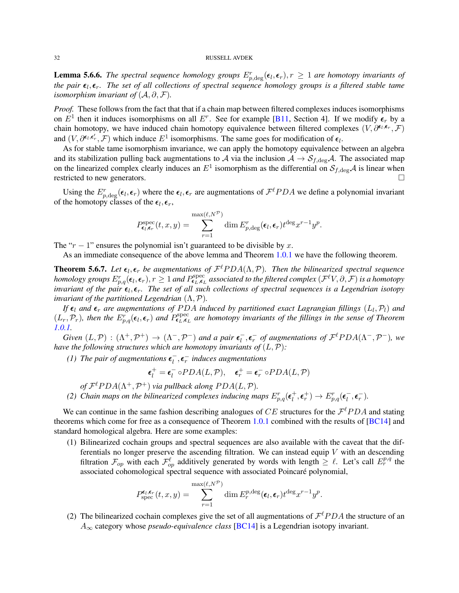<span id="page-31-0"></span>**Lemma 5.6.6.** The spectral sequence homology groups  $E_{p,\text{deg}}^r(\epsilon_l,\epsilon_r), r \geq 1$  are homotopy invariants of the pair  $\epsilon_l, \epsilon_r$ . The set of all collections of spectral sequence homology groups is a filtered stable tame *isomorphism invariant of*  $(A, \partial, \mathcal{F})$ *.* 

*Proof.* These follows from the fact that that if a chain map between filtered complexes induces isomorphisms on  $E^1$  then it induces isomorphisms on all  $E^r$ . See for example [\[B11,](#page-54-20) Section 4]. If we modify  $\epsilon_r$  by a chain homotopy, we have induced chain homotopy equivalence between filtered complexes  $(V, \partial^{\epsilon_l, \epsilon_r}, \mathcal{F})$ and  $(V, \partial^{\epsilon_l, \epsilon'_r}, \mathcal{F})$  which induce  $E^1$  isomorphisms. The same goes for modification of  $\epsilon_l$ .

As for stable tame isomorphism invariance, we can apply the homotopy equivalence between an algebra and its stabilization pulling back augmentations to A via the inclusion  $A \to S_{f,\text{deg}}A$ . The associated map on the linearized complex clearly induces an  $E^1$  isomorphism as the differential on  $S_{f,\text{deg}}\mathcal{A}$  is linear when restricted to new generators.

Using the  $E_{p,\deg}^r(\epsilon_l,\epsilon_r)$  where the  $\epsilon_l,\epsilon_r$  are augmentations of  $\mathcal{F}^{\ell}PDA$  we define a polynomial invariant of the homotopy classes of the  $\epsilon_l, \epsilon_r$ ,

$$
P_{\epsilon_l,\epsilon_r}^{\text{spec}}(t,x,y) = \sum_{r=1}^{\max(\ell,N^{\mathcal{P}})} \dim E_{p,\text{deg}}^r(\epsilon_l,\epsilon_r) t^{\text{deg}} x^{r-1} y^p.
$$

The " $r - 1$ " ensures the polynomial isn't guaranteed to be divisible by x.

As an immediate consequence of the above lemma and Theorem [1.0.1](#page-1-2) we have the following theorem.

**Theorem 5.6.7.** Let  $\epsilon_l$ ,  $\epsilon_r$  be augmentations of  $\mathcal{F}^{\ell}PDA(\Lambda,\mathcal{P})$ . Then the bilinearized spectral sequence  $homology$  groups  $E^r_{p,q}(\epsilon_l,\epsilon_r), r\geq 1$  and  $P^{\rm spec}_{\bm{\epsilon}_L,\bm{\epsilon}_L}$  associated to the filtered complex  $(\mathcal F^\ell V,\partial,\mathcal F)$  is a homotopy *invariant of the pair*  $\epsilon_l, \epsilon_r$ . The set of all such collections of spectral sequences is a Legendrian isotopy *invariant of the partitioned Legendrian* (Λ,P)*.*

*If*  $\epsilon_l$  and  $\epsilon_r$  are augmentations of PDA induced by partitioned exact Lagrangian fillings  $(L_l, \mathcal{P}_l)$  and  $(L_r, \mathcal{P}_r)$ , then the  $E_{p,q}^r(\epsilon_l, \epsilon_r)$  and  $P_{\epsilon_L, \epsilon_L}^{\text{spec}}$  are homotopy invariants of the fillings in the sense of Theorem *[1.0.1.](#page-1-2)*

*Given*  $(L, \mathcal{P})$  :  $(\Lambda^+, \mathcal{P}^+) \rightarrow (\Lambda^-, \mathcal{P}^-)$  *and a pair*  $\epsilon_l^ \overline{l}_l^-, \overline{\epsilon}_r^-$  *of augmentations of*  $\mathcal{F}^{\ell}PDA(\Lambda^-, \mathcal{P}^-)$ *, we have the following structures which are homotopy invariants of*  $(L, P)$ :

*(1)* The pair of augmentations  $\epsilon_l^ \overline{l}$ <sub>,</sub> $\epsilon$ <sub>r</sub><sup> $-$ </sup> induces augmentations

$$
\epsilon_l^+ = \epsilon_l^- \circ PDA(L, \mathcal{P}), \quad \epsilon_r^+ = \epsilon_r^- \circ PDA(L, \mathcal{P})
$$

of  $\mathcal{F}^{\ell}PDA(\Lambda^{+}, \mathcal{P}^{+})$  *via pullback along*  $PDA(L, \mathcal{P})$ *.* 

(2) Chain maps on the bilinearized complexes inducing maps  $E_{p,q}^r(\epsilon_l^+)$  $\epsilon_t^+,\epsilon_r^+) \to E^r_{p,q}(\epsilon_l^-)$  $\frac{1}{l}, \epsilon_r^{-}$ ).

We can continue in the same fashion describing analogues of CE structures for the  $\mathcal{F}^{\ell}PDA$  and stating theorems which come for free as a consequence of Theorem [1.0.1](#page-1-2) combined with the results of [\[BC14\]](#page-54-3) and standard homological algebra. Here are some examples:

(1) Bilinearized cochain groups and spectral sequences are also available with the caveat that the differentials no longer preserve the ascending filtration. We can instead equip  $V$  with an descending filtration  $\mathcal{F}_{op}$  with each  $\mathcal{F}_{op}^{\ell}$  additively generated by words with length  $\geq \ell$ . Let's call  $E_r^{p,q}$  the associated cohomological spectral sequence with associated Poincaré polynomial,

$$
P_{\text{spec}}^{\epsilon_l,\epsilon_r}(t,x,y) = \sum_{r=1}^{\max(\ell,N^{\mathcal{P}})} \dim E_r^{p,\text{deg}}(\epsilon_l,\epsilon_r) t^{\text{deg}} x^{r-1} y^p.
$$

(2) The bilinearized cochain complexes give the set of all augmentations of  $\mathcal{F}^{\ell}PDA$  the structure of an A<sup>∞</sup> category whose *pseudo-equivalence class* [\[BC14\]](#page-54-3) is a Legendrian isotopy invariant.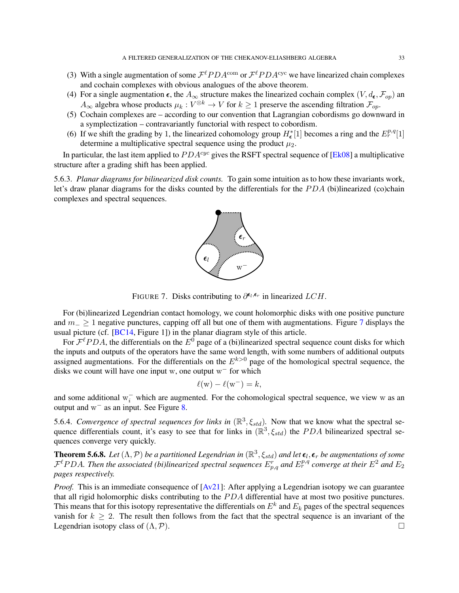- <span id="page-32-1"></span>(3) With a single augmentation of some  $\mathcal{F}^{\ell}PDA^{\text{com}}$  or  $\mathcal{F}^{\ell}PDA^{\text{cyc}}$  we have linearized chain complexes and cochain complexes with obvious analogues of the above theorem.
- (4) For a single augmentation  $\epsilon$ , the  $A_{\infty}$  structure makes the linearized cochain complex  $(V, d_{\epsilon}, \mathcal{F}_{op})$  and  $A_{\infty}$  algebra whose products  $\mu_k : V^{\otimes k} \to V$  for  $k \ge 1$  preserve the ascending filtration  $\mathcal{F}_{op}$ .
- (5) Cochain complexes are according to our convention that Lagrangian cobordisms go downward in a symplectization – contravariantly functorial with respect to cobordism.
- (6) If we shift the grading by 1, the linearized cohomology group  $H_{\epsilon}^{*}[1]$  becomes a ring and the  $E_{r}^{p,q}[1]$ determine a multiplicative spectral sequence using the product  $\mu_2$ .

In particular, the last item applied to  $PDA^{cyc}$  gives the RSFT spectral sequence of [\[Ek08\]](#page-55-7) a multiplicative structure after a grading shift has been applied.

5.6.3. *Planar diagrams for bilinearized disk counts.* To gain some intuition as to how these invariants work, let's draw planar diagrams for the disks counted by the differentials for the PDA (bi)linearized (co)chain complexes and spectral sequences.



<span id="page-32-0"></span>FIGURE 7. Disks contributing to  $\partial^{\epsilon_l, \epsilon_r}$  in linearized  $LCH$ .

For (bi)linearized Legendrian contact homology, we count holomorphic disks with one positive puncture and  $m_$  ≥ 1 negative punctures, capping off all but one of them with augmentations. Figure [7](#page-32-0) displays the usual picture (cf. [\[BC14,](#page-54-3) Figure 1]) in the planar diagram style of this article.

For  $\mathcal{F}^{\ell}PDA$ , the differentials on the  $E^0$  page of a (bi)linearized spectral sequence count disks for which the inputs and outputs of the operators have the same word length, with some numbers of additional outputs assigned augmentations. For the differentials on the  $E^{k>0}$  page of the homological spectral sequence, the disks we count will have one input w, one output  $w^-$  for which

$$
\ell(w) - \ell(w^-) = k,
$$

and some additional  $w_i^-$  which are augmented. For the cohomological spectral sequence, we view w as an output and  $w^-$  as an input. See Figure [8.](#page-33-1)

5.6.4. *Convergence of spectral sequences for links in*  $(\mathbb{R}^3, \xi_{std})$ . Now that we know what the spectral sequence differentials count, it's easy to see that for links in  $(\mathbb{R}^3, \xi_{std})$  the PDA bilinearized spectral sequences converge very quickly.

**Theorem 5.6.8.** Let  $(\Lambda, \mathcal{P})$  be a partitioned Legendrian in  $(\mathbb{R}^3, \xi_{std})$  and let  $\epsilon_l, \epsilon_r$  be augmentations of some  $\mathcal{F}^{\ell}PDA$ . Then the associated (bi)linearized spectral sequences  $E_{p,q}^r$  and  $E_r^{p,q}$  converge at their  $E^2$  and  $E_2$ *pages respectively.*

*Proof.* This is an immediate consequence of  $[Av21]$ : After applying a Legendrian isotopy we can guarantee that all rigid holomorphic disks contributing to the  $PDA$  differential have at most two positive punctures. This means that for this isotopy representative the differentials on  $E^k$  and  $E_k$  pages of the spectral sequences vanish for  $k > 2$ . The result then follows from the fact that the spectral sequence is an invariant of the Legendrian isotopy class of  $(\Lambda, \mathcal{P})$ .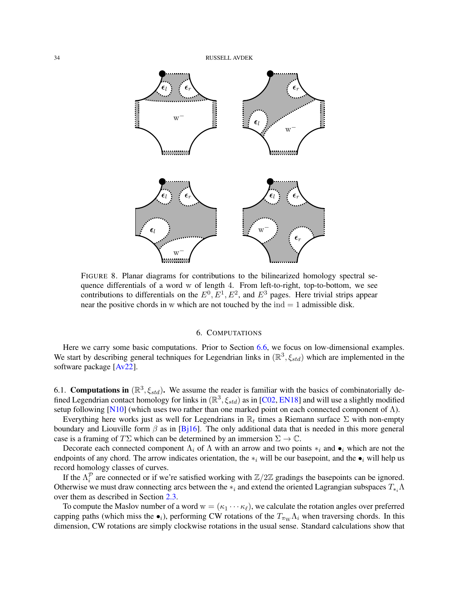<span id="page-33-2"></span>

<span id="page-33-1"></span>FIGURE 8. Planar diagrams for contributions to the bilinearized homology spectral sequence differentials of a word w of length 4. From left-to-right, top-to-bottom, we see contributions to differentials on the  $E^0, E^1, E^2$ , and  $E^3$  pages. Here trivial strips appear near the positive chords in w which are not touched by the  $ind = 1$  admissible disk.

## 6. COMPUTATIONS

<span id="page-33-0"></span>Here we carry some basic computations. Prior to Section [6.6,](#page-39-0) we focus on low-dimensional examples. We start by describing general techniques for Legendrian links in  $(\mathbb{R}^3, \xi_{std})$  which are implemented in the software package [\[Av22\]](#page-54-9).

6.1. Computations in  $(\mathbb{R}^3, \xi_{std})$ . We assume the reader is familiar with the basics of combinatorially defined Legendrian contact homology for links in  $(\mathbb{R}^3, \xi_{std})$  as in [\[C02,](#page-54-1) [EN18\]](#page-55-1) and will use a slightly modified setup following [\[N10\]](#page-55-10) (which uses two rather than one marked point on each connected component of  $\Lambda$ ).

Everything here works just as well for Legendrians in  $\mathbb{R}_t$  times a Riemann surface  $\Sigma$  with non-empty boundary and Liouville form  $\beta$  as in [\[Bj16\]](#page-54-22). The only additional data that is needed in this more general case is a framing of  $T\Sigma$  which can be determined by an immersion  $\Sigma \to \mathbb{C}$ .

Decorate each connected component  $\Lambda_i$  of  $\Lambda$  with an arrow and two points  $*_i$  and  $\bullet_i$  which are not the endpoints of any chord. The arrow indicates orientation, the  $*_i$  will be our basepoint, and the  $\bullet_i$  will help us record homology classes of curves.

If the  $\Lambda_i^{\mathcal{P}}$  are connected or if we're satisfied working with  $\mathbb{Z}/2\mathbb{Z}$  gradings the basepoints can be ignored. Otherwise we must draw connecting arcs between the  $*_i$  and extend the oriented Lagrangian subspaces  $T_{*_i} \Lambda$ over them as described in Section [2.3.](#page-10-0)

To compute the Maslov number of a word  $w = (\kappa_1 \cdots \kappa_\ell)$ , we calculate the rotation angles over preferred capping paths (which miss the  $\bullet_i$ ), performing CW rotations of the  $T_{\pi_W}\Lambda_i$  when traversing chords. In this dimension, CW rotations are simply clockwise rotations in the usual sense. Standard calculations show that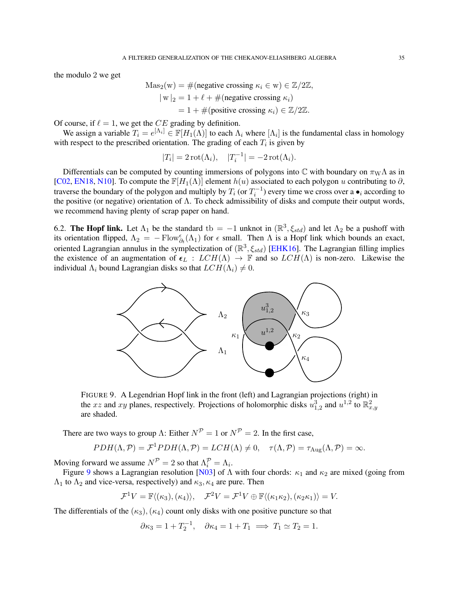<span id="page-34-2"></span>the modulo 2 we get

$$
\begin{aligned} \text{Mas}_2(\mathbf{w}) &= \#(\text{negative crossing } \kappa_i \in \mathbf{w}) \in \mathbb{Z}/2\mathbb{Z}, \\ |\mathbf{w}|_2 &= 1 + \ell + \#(\text{negative crossing } \kappa_i) \\ &= 1 + \#(\text{positive crossing } \kappa_i) \in \mathbb{Z}/2\mathbb{Z}. \end{aligned}
$$

Of course, if  $\ell = 1$ , we get the CE grading by definition.

We assign a variable  $T_i = e^{[\Lambda_i]} \in \mathbb{F}[H_1(\Lambda)]$  to each  $\Lambda_i$  where  $[\Lambda_i]$  is the fundamental class in homology with respect to the prescribed orientation. The grading of each  $T_i$  is given by

$$
|T_i| = 2 \operatorname{rot}(\Lambda_i), \quad |T_i^{-1}| = -2 \operatorname{rot}(\Lambda_i).
$$

Differentials can be computed by counting immersions of polygons into  $\mathbb C$  with boundary on  $\pi_{\rm W}\Lambda$  as in [\[C02,](#page-54-1) [EN18,](#page-55-1) [N10\]](#page-55-10). To compute the  $\mathbb{F}[H_1(\Lambda)]$  element  $h(u)$  associated to each polygon u contributing to  $\partial$ , traverse the boundary of the polygon and multiply by  $T_i$  (or  $T_i^{-1}$ ) every time we cross over a  $\bullet_i$  according to the positive (or negative) orientation of Λ. To check admissibility of disks and compute their output words, we recommend having plenty of scrap paper on hand.

<span id="page-34-1"></span>6.2. The Hopf link. Let  $\Lambda_1$  be the standard tb = -1 unknot in  $(\mathbb{R}^3, \xi_{std})$  and let  $\Lambda_2$  be a pushoff with its orientation flipped,  $\Lambda_2 = -\text{Flow}^{\epsilon}_{\partial t}(\Lambda_1)$  for  $\epsilon$  small. Then  $\Lambda$  is a Hopf link which bounds an exact, oriented Lagrangian annulus in the symplectization of  $(\mathbb{R}^3, \xi_{std})$  [\[EHK16\]](#page-55-19). The Lagrangian filling implies the existence of an augmentation of  $\epsilon_L$  :  $LCH(\Lambda) \rightarrow \mathbb{F}$  and so  $LCH(\Lambda)$  is non-zero. Likewise the individual  $\Lambda_i$  bound Lagrangian disks so that  $LCH(\Lambda_i) \neq 0$ .



<span id="page-34-0"></span>FIGURE 9. A Legendrian Hopf link in the front (left) and Lagrangian projections (right) in the xz and xy planes, respectively. Projections of holomorphic disks  $u_{1,2}^3$  and  $u^{1,2}$  to  $\mathbb{R}^2_{x,y}$ are shaded.

There are two ways to group Λ: Either  $N^P = 1$  or  $N^P = 2$ . In the first case,

$$
PDH(\Lambda,\mathcal{P})=\mathcal{F}^1PDH(\Lambda,\mathcal{P})=LCH(\Lambda)\neq 0,\quad \tau(\Lambda,\mathcal{P})=\tau_{\text{Aug}}(\Lambda,\mathcal{P})=\infty.
$$

Moving forward we assume  $N^{\mathcal{P}} = 2$  so that  $\Lambda_i^{\mathcal{P}} = \Lambda_i$ .

Figure [9](#page-34-0) shows a Lagrangian resolution [\[N03\]](#page-55-6) of  $\Lambda$  with four chords:  $\kappa_1$  and  $\kappa_2$  are mixed (going from  $\Lambda_1$  to  $\Lambda_2$  and vice-versa, respectively) and  $\kappa_3$ ,  $\kappa_4$  are pure. Then

$$
\mathcal{F}^1 V = \mathbb{F}\langle (\kappa_3), (\kappa_4) \rangle, \quad \mathcal{F}^2 V = \mathcal{F}^1 V \oplus \mathbb{F}\langle (\kappa_1 \kappa_2), (\kappa_2 \kappa_1) \rangle = V.
$$

The differentials of the  $(\kappa_3),(\kappa_4)$  count only disks with one positive puncture so that

$$
\partial \kappa_3 = 1 + T_2^{-1}, \quad \partial \kappa_4 = 1 + T_1 \implies T_1 \simeq T_2 = 1.
$$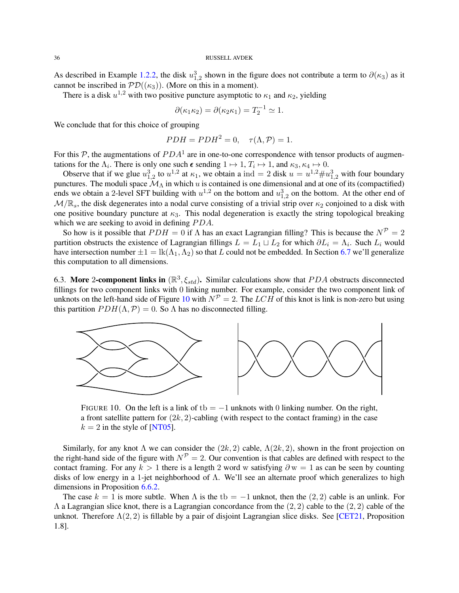<span id="page-35-1"></span>As described in Example [1.2.2,](#page-5-2) the disk  $u_{1,2}^3$  shown in the figure does not contribute a term to  $\partial(\kappa_3)$  as it cannot be inscribed in  $PD((\kappa_3))$ . (More on this in a moment).

There is a disk  $u^{1,2}$  with two positive puncture asymptotic to  $\kappa_1$  and  $\kappa_2$ , yielding

$$
\partial(\kappa_1 \kappa_2) = \partial(\kappa_2 \kappa_1) = T_2^{-1} \simeq 1.
$$

We conclude that for this choice of grouping

$$
PDH = PDH^2 = 0, \quad \tau(\Lambda, \mathcal{P}) = 1.
$$

For this  $P$ , the augmentations of  $PDA<sup>1</sup>$  are in one-to-one correspondence with tensor products of augmentations for the  $\Lambda_i$ . There is only one such  $\epsilon$  sending  $1 \mapsto 1$ ,  $T_i \mapsto 1$ , and  $\kappa_3, \kappa_4 \mapsto 0$ .

Observe that if we glue  $u_{1,2}^3$  to  $u^{1,2}$  at  $\kappa_1$ , we obtain a ind = 2 disk  $u = u^{1,2} \# u_{1,2}^3$  with four boundary punctures. The moduli space  $\mathcal{M}_{\Lambda}$  in which u is contained is one dimensional and at one of its (compactified) ends we obtain a 2-level SFT building with  $u^{1,2}$  on the bottom and  $u_{1,2}^3$  on the bottom. At the other end of  $M/R<sub>s</sub>$ , the disk degenerates into a nodal curve consisting of a trivial strip over  $\kappa_2$  conjoined to a disk with one positive boundary puncture at  $\kappa_3$ . This nodal degeneration is exactly the string topological breaking which we are seeking to avoid in defining  $PDA$ .

So how is it possible that  $PDH = 0$  if  $\Lambda$  has an exact Lagrangian filling? This is because the  $N^P = 2$ partition obstructs the existence of Lagrangian fillings  $L = L_1 \sqcup L_2$  for which  $\partial L_i = \Lambda_i$ . Such  $L_i$  would have intersection number  $\pm 1 = \text{lk}(\Lambda_1, \Lambda_2)$  so that L could not be embedded. In Section [6.7](#page-41-0) we'll generalize this computation to all dimensions.

6.3. More 2-component links in  $(\mathbb{R}^3, \xi_{std})$ . Similar calculations show that PDA obstructs disconnected fillings for two component links with 0 linking number. For example, consider the two component link of unknots on the left-hand side of Figure [10](#page-35-0) with  $N^P = 2$ . The LCH of this knot is link is non-zero but using this partition  $PDH(\Lambda, \mathcal{P}) = 0$ . So  $\Lambda$  has no disconnected filling.



<span id="page-35-0"></span>FIGURE 10. On the left is a link of tb =  $-1$  unknots with 0 linking number. On the right, a front satellite pattern for  $(2k, 2)$ -cabling (with respect to the contact framing) in the case  $k = 2$  in the style of [\[NT05\]](#page-55-20).

Similarly, for any knot  $\Lambda$  we can consider the  $(2k, 2)$  cable,  $\Lambda(2k, 2)$ , shown in the front projection on the right-hand side of the figure with  $N^{\mathcal{P}} = 2$ . Our convention is that cables are defined with respect to the contact framing. For any  $k > 1$  there is a length 2 word w satisfying  $\partial w = 1$  as can be seen by counting disks of low energy in a 1-jet neighborhood of Λ. We'll see an alternate proof which generalizes to high dimensions in Proposition [6.6.2.](#page-40-0)

The case  $k = 1$  is more subtle. When  $\Lambda$  is the tb = −1 unknot, then the (2,2) cable is an unlink. For  $\Lambda$  a Lagrangian slice knot, there is a Lagrangian concordance from the  $(2, 2)$  cable to the  $(2, 2)$  cable of the unknot. Therefore  $\Lambda(2,2)$  is fillable by a pair of disjoint Lagrangian slice disks. See [\[CET21,](#page-54-23) Proposition 1.8].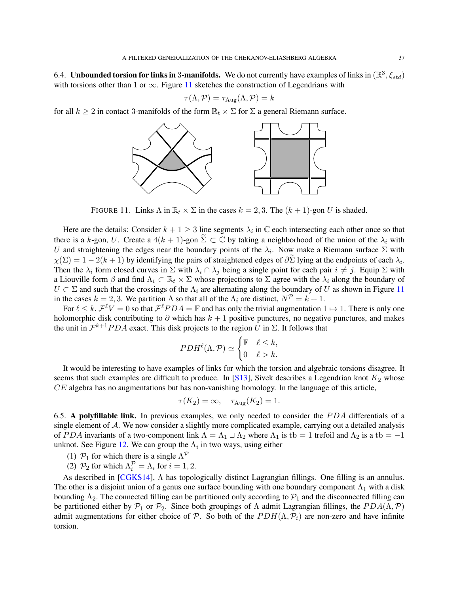<span id="page-36-2"></span>6.4. Unbounded torsion for links in 3-manifolds. We do not currently have examples of links in  $(\mathbb{R}^3,\xi_{std})$ with torsions other than 1 or  $\infty$ . Figure [11](#page-36-1) sketches the construction of Legendrians with

$$
\tau(\Lambda, \mathcal{P}) = \tau_{\text{Aug}}(\Lambda, \mathcal{P}) = k
$$

for all  $k \ge 2$  in contact 3-manifolds of the form  $\mathbb{R}_t \times \Sigma$  for  $\Sigma$  a general Riemann surface.



<span id="page-36-1"></span>FIGURE 11. Links  $\Lambda$  in  $\mathbb{R}_t \times \Sigma$  in the cases  $k = 2, 3$ . The  $(k + 1)$ -gon U is shaded.

Here are the details: Consider  $k + 1 \geq 3$  line segments  $\lambda_i$  in  $\mathbb C$  each intersecting each other once so that there is a k-gon, U. Create a  $4(k + 1)$ -gon  $\Sigma \subset \mathbb{C}$  by taking a neighborhood of the union of the  $\lambda_i$  with U and straightening the edges near the boundary points of the  $\lambda_i$ . Now make a Riemann surface  $\Sigma$  with  $\chi(\Sigma) = 1 - 2(k+1)$  by identifying the pairs of straightened edges of  $\partial \Sigma$  lying at the endpoints of each  $\lambda_i$ . Then the  $\lambda_i$  form closed curves in  $\Sigma$  with  $\lambda_i \cap \lambda_j$  being a single point for each pair  $i \neq j$ . Equip  $\Sigma$  with a Liouville form  $\beta$  and find  $\Lambda_i \subset \mathbb{R}_t \times \Sigma$  whose projections to  $\Sigma$  agree with the  $\lambda_i$  along the boundary of  $U \subset \Sigma$  and such that the crossings of the  $\Lambda_i$  are alternating along the boundary of U as shown in Figure [11](#page-36-1) in the cases  $k = 2, 3$ . We partition  $\Lambda$  so that all of the  $\Lambda_i$  are distinct,  $N^{\mathcal{P}} = k + 1$ .

For  $\ell \leq k$ ,  $\mathcal{F}^{\ell}V = 0$  so that  $\mathcal{F}^{\ell}PDA = \mathbb{F}$  and has only the trivial augmentation  $1 \mapsto 1$ . There is only one holomorphic disk contributing to  $\partial$  which has  $k + 1$  positive punctures, no negative punctures, and makes the unit in  $\mathcal{F}^{k+1}PDA$  exact. This disk projects to the region U in  $\Sigma$ . It follows that

$$
PDH^{\ell}(\Lambda, \mathcal{P}) \simeq \begin{cases} \mathbb{F} & \ell \leq k, \\ 0 & \ell > k. \end{cases}
$$

It would be interesting to have examples of links for which the torsion and algebraic torsions disagree. It seems that such examples are difficult to produce. In [\[S13\]](#page-56-1), Sivek describes a Legendrian knot  $K_2$  whose  $CE$  algebra has no augmentations but has non-vanishing homology. In the language of this article,

$$
\tau(K_2) = \infty, \quad \tau_{\text{Aug}}(K_2) = 1.
$$

<span id="page-36-0"></span>6.5. A polyfillable link. In previous examples, we only needed to consider the  $PDA$  differentials of a single element of A. We now consider a slightly more complicated example, carrying out a detailed analysis of PDA invariants of a two-component link  $\Lambda = \Lambda_1 \sqcup \Lambda_2$  where  $\Lambda_1$  is tb = 1 trefoil and  $\Lambda_2$  is a tb = -1 unknot. See Figure [12.](#page-37-0) We can group the  $\Lambda_i$  in two ways, using either

- (1)  $\mathcal{P}_1$  for which there is a single  $\Lambda^{\mathcal{P}}$
- (2)  $\mathcal{P}_2$  for which  $\Lambda_i^{\mathcal{P}} = \Lambda_i$  for  $i = 1, 2$ .

As described in [\[CGKS14\]](#page-54-8), Λ has topologically distinct Lagrangian fillings. One filling is an annulus. The other is a disjoint union of a genus one surface bounding with one boundary component  $\Lambda_1$  with a disk bounding  $\Lambda_2$ . The connected filling can be partitioned only according to  $\mathcal{P}_1$  and the disconnected filling can be partitioned either by  $\mathcal{P}_1$  or  $\mathcal{P}_2$ . Since both groupings of  $\Lambda$  admit Lagrangian fillings, the  $PDA(\Lambda, \mathcal{P})$ admit augmentations for either choice of P. So both of the  $PDH(\Lambda, \mathcal{P}_i)$  are non-zero and have infinite torsion.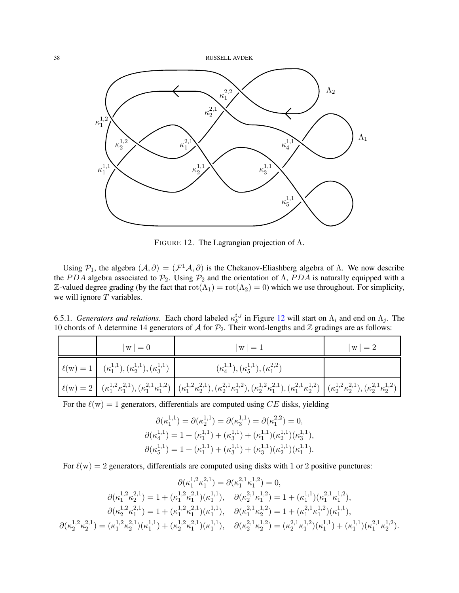

<span id="page-37-0"></span>FIGURE 12. The Lagrangian projection of  $\Lambda$ .

Using  $P_1$ , the algebra  $(A, \partial) = (\mathcal{F}^1 \mathcal{A}, \partial)$  is the Chekanov-Eliashberg algebra of  $\Lambda$ . We now describe the PDA algebra associated to  $\mathcal{P}_2$ . Using  $\mathcal{P}_2$  and the orientation of  $\Lambda$ , PDA is naturally equipped with a Z-valued degree grading (by the fact that  $rot(\Lambda_1) = rot(\Lambda_2) = 0$ ) which we use throughout. For simplicity, we will ignore  $T$  variables.

6.5.1. *Generators and relations*. Each chord labeled  $\kappa_k^{i,j}$  $\lambda_k^{i,j}$  in Figure [12](#page-37-0) will start on  $\Lambda_i$  and end on  $\Lambda_j$ . The 10 chords of Λ determine 14 generators of A for  $\mathcal{P}_2$ . Their word-lengths and Z gradings are as follows:

| $ w =0$                                                                 | $ w =1$                                                                                                                                                                                                                                                                                                                                                                                               | $ w  = 2$ |
|-------------------------------------------------------------------------|-------------------------------------------------------------------------------------------------------------------------------------------------------------------------------------------------------------------------------------------------------------------------------------------------------------------------------------------------------------------------------------------------------|-----------|
| $\ell(w) = 1 \mid (\kappa_1^{1,1}), (\kappa_2^{1,1}), (\kappa_3^{1,1})$ | $(\kappa_4^{1,1}), (\kappa_5^{1,1}), (\kappa_1^{2,2})$                                                                                                                                                                                                                                                                                                                                                |           |
|                                                                         | $\label{eq:ell} \bigg\vert\ \ell({\bf w}) = 2 \ \bigg\vert\ \big(\kappa_1^{1,2} \kappa_1^{2,1}\big), \big(\kappa_1^{2,1} \kappa_1^{1,2}\big) \ \bigg\vert\ \big(\kappa_1^{1,2} \kappa_2^{2,1}\big), \big(\kappa_2^{2,1} \kappa_1^{1,2}\big), \big(\kappa_2^{1,2} \kappa_1^{2,1}\big), \big(\kappa_1^{1,2} \kappa_2^{2,1}\big), \big(\kappa_1^{2,1} \kappa_2^{1,2}\big) \ \bigg\vert\ \big(\kappa_2^{$ |           |

For the  $\ell(w) = 1$  generators, differentials are computed using CE disks, yielding

$$
\partial(\kappa_1^{1,1}) = \partial(\kappa_2^{1,1}) = \partial(\kappa_3^{1,1}) = \partial(\kappa_1^{2,2}) = 0,
$$
  

$$
\partial(\kappa_4^{1,1}) = 1 + (\kappa_1^{1,1}) + (\kappa_3^{1,1}) + (\kappa_1^{1,1})(\kappa_2^{1,1})(\kappa_3^{1,1}),
$$
  

$$
\partial(\kappa_5^{1,1}) = 1 + (\kappa_1^{1,1}) + (\kappa_3^{1,1}) + (\kappa_3^{1,1})(\kappa_2^{1,1})(\kappa_1^{1,1}).
$$

For  $\ell(w) = 2$  generators, differentials are computed using disks with 1 or 2 positive punctures:

$$
\partial(\kappa_1^{1,2}\kappa_1^{2,1}) = \partial(\kappa_1^{2,1}\kappa_1^{1,2}) = 0,
$$
\n
$$
\partial(\kappa_1^{1,2}\kappa_2^{2,1}) = 1 + (\kappa_1^{1,2}\kappa_1^{2,1})(\kappa_1^{1,1}), \quad \partial(\kappa_2^{2,1}\kappa_1^{1,2}) = 1 + (\kappa_1^{1,1})(\kappa_1^{2,1}\kappa_1^{1,2}),
$$
\n
$$
\partial(\kappa_2^{1,2}\kappa_1^{2,1}) = 1 + (\kappa_1^{1,2}\kappa_1^{2,1})(\kappa_1^{1,1}), \quad \partial(\kappa_1^{2,1}\kappa_2^{1,2}) = 1 + (\kappa_1^{2,1}\kappa_1^{1,2})(\kappa_1^{1,1}),
$$
\n
$$
\partial(\kappa_2^{1,2}\kappa_2^{2,1}) = (\kappa_1^{1,2}\kappa_2^{2,1})(\kappa_1^{1,1}) + (\kappa_2^{1,2}\kappa_1^{2,1})(\kappa_1^{1,1}), \quad \partial(\kappa_2^{2,1}\kappa_2^{1,2}) = (\kappa_2^{2,1}\kappa_1^{1,2})(\kappa_1^{1,1}) + (\kappa_1^{1,1})(\kappa_1^{2,1}\kappa_2^{1,2}).
$$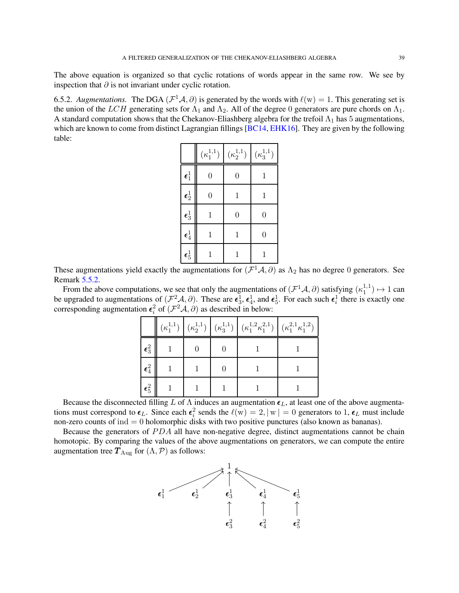<span id="page-38-0"></span>The above equation is organized so that cyclic rotations of words appear in the same row. We see by inspection that  $\partial$  is not invariant under cyclic rotation.

6.5.2. *Augmentations*. The DGA  $(\mathcal{F}^1\mathcal{A}, \partial)$  is generated by the words with  $\ell(w) = 1$ . This generating set is the union of the LCH generating sets for  $\Lambda_1$  and  $\Lambda_2$ . All of the degree 0 generators are pure chords on  $\Lambda_1$ . A standard computation shows that the Chekanov-Eliashberg algebra for the trefoil  $\Lambda_1$  has 5 augmentations, which are known to come from distinct Lagrangian fillings [\[BC14,](#page-54-3) [EHK16\]](#page-55-19). They are given by the following table:

|                      | $(\kappa_1^{1,1})$ | $(\kappa_2^{1,1})$ | $(\kappa_3^{1,1})$ |
|----------------------|--------------------|--------------------|--------------------|
| $\epsilon_1^1$       | $\overline{0}$     | $\overline{0}$     | 1                  |
| $\pmb{\epsilon}^1_2$ | $\overline{0}$     | 1                  | $\mathbf{1}$       |
| $\pmb{\epsilon}_3^1$ | $\mathbf{1}$       | $\overline{0}$     | $\overline{0}$     |
| $\epsilon_4^1$       | 1                  | 1                  | $\overline{0}$     |
| $\epsilon_5^1$       | 1                  |                    | 1                  |

These augmentations yield exactly the augmentations for  $(\mathcal{F}^1\mathcal{A}, \partial)$  as  $\Lambda_2$  has no degree 0 generators. See Remark [5.5.2.](#page-28-0)

From the above computations, we see that only the augmentations of  $(\mathcal{F}^1\mathcal{A}, \partial)$  satisfying  $(\kappa_1^{1,1})$  $\binom{1}{1} \mapsto 1$  can be upgraded to augmentations of  $(\mathcal{F}^2\mathcal{A}, \partial)$ . These are  $\epsilon_3^1$ ,  $\epsilon_4^1$ , and  $\epsilon_5^1$ . For each such  $\epsilon_i^1$  there is exactly one corresponding augmentation  $\epsilon_i^2$  of  $(\mathcal{F}^2\mathcal{A}, \partial)$  as described in below:

|                      | $(\kappa_1^{1,1})$ |  | $\left. \left( \kappa_{2}^{1,1}\right) \,\right \, \left( \kappa_{3}^{1,1}\right) \,\left  \,\left( \kappa_{1}^{1,2}\kappa_{1}^{2,1}\right) \,\right \, \left( \kappa_{1}^{2,1}\kappa_{1}^{1,2}\right)$ |  |
|----------------------|--------------------|--|---------------------------------------------------------------------------------------------------------------------------------------------------------------------------------------------------------|--|
| $\pmb{\epsilon}_3^2$ |                    |  |                                                                                                                                                                                                         |  |
| $\pmb{\epsilon}_4^2$ |                    |  |                                                                                                                                                                                                         |  |
| $\pmb{\epsilon}_5^2$ |                    |  |                                                                                                                                                                                                         |  |

Because the disconnected filling L of  $\Lambda$  induces an augmentation  $\epsilon_L$ , at least one of the above augmentations must correspond to  $\epsilon_L$ . Since each  $\epsilon_i^2$  sends the  $\ell(w) = 2, |w| = 0$  generators to 1,  $\epsilon_L$  must include non-zero counts of  $ind = 0$  holomorphic disks with two positive punctures (also known as bananas).

Because the generators of  $PDA$  all have non-negative degree, distinct augmentations cannot be chain homotopic. By comparing the values of the above augmentations on generators, we can compute the entire augmentation tree  $T_{\text{Aug}}$  for  $(\Lambda, \mathcal{P})$  as follows:

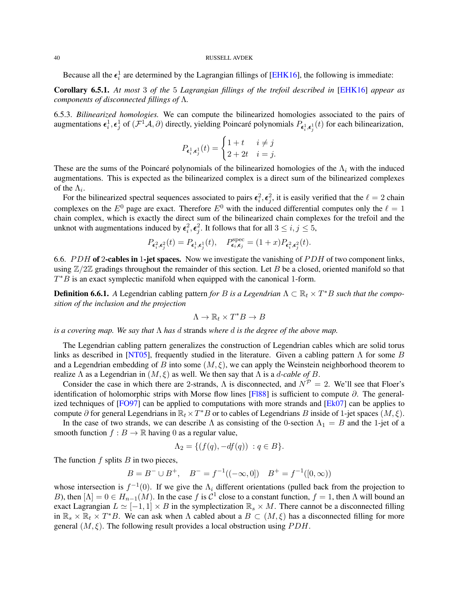<span id="page-39-1"></span>Because all the  $\epsilon_i^1$  are determined by the Lagrangian fillings of [\[EHK16\]](#page-55-19), the following is immediate:

Corollary 6.5.1. *At most* 3 *of the* 5 *Lagrangian fillings of the trefoil described in* [\[EHK16\]](#page-55-19) *appear as components of disconnected fillings of* Λ*.*

6.5.3. *Bilinearized homologies.* We can compute the bilinearized homologies associated to the pairs of augmentations  $\epsilon_i^1, \epsilon_j^1$  of  $(\mathcal{F}^1\mathcal{A}, \partial)$  directly, yielding Poincaré polynomials  $P_{\epsilon_i^1, \epsilon_j^1}(t)$  for each bilinearization,

$$
P_{\pmb{\epsilon}^1_i,\pmb{\epsilon}^1_j}(t)=\begin{cases} 1+t & i\neq j\\ 2+2t & i=j. \end{cases}
$$

These are the sums of the Poincaré polynomials of the bilinearized homologies of the  $\Lambda_i$  with the induced augmentations. This is expected as the bilinearized complex is a direct sum of the bilinearized complexes of the  $\Lambda_i$ .

For the bilinearized spectral sequences associated to pairs  $\epsilon_i^2$ ,  $\epsilon_j^2$ , it is easily verified that the  $\ell = 2$  chain complexes on the  $E^0$  page are exact. Therefore  $E^0$  with the induced differential computes only the  $\ell = 1$ chain complex, which is exactly the direct sum of the bilinearized chain complexes for the trefoil and the unknot with augmentations induced by  $\epsilon_i^2$ ,  $\epsilon_j^2$ . It follows that for all  $3 \leq i, j \leq 5$ ,

$$
P_{\pmb{\epsilon}_i^2,\pmb{\epsilon}_j^2}(t)=P_{\pmb{\epsilon}_i^1,\pmb{\epsilon}_j^1}(t),\quad P^{\rm spec}_{\pmb{\epsilon}_i,\pmb{\epsilon}_j}=(1+x)P_{\pmb{\epsilon}_i^2,\pmb{\epsilon}_j^2}(t).
$$

<span id="page-39-0"></span>6.6. PDH of 2-cables in 1-jet spaces. Now we investigate the vanishing of PDH of two component links, using  $\mathbb{Z}/2\mathbb{Z}$  gradings throughout the remainder of this section. Let B be a closed, oriented manifold so that  $T^*B$  is an exact symplectic manifold when equipped with the canonical 1-form.

**Definition 6.6.1.** A Legendrian cabling pattern *for B is a Legendrian*  $\Lambda \subset \mathbb{R}_t \times T^*B$  *such that the composition of the inclusion and the projection*

$$
\Lambda \to \mathbb{R}_t \times T^*B \to B
$$

*is a covering map. We say that* Λ *has* d strands *where* d *is the degree of the above map.*

The Legendrian cabling pattern generalizes the construction of Legendrian cables which are solid torus links as described in [\[NT05\]](#page-55-20), frequently studied in the literature. Given a cabling pattern  $\Lambda$  for some B and a Legendrian embedding of B into some  $(M, \xi)$ , we can apply the Weinstein neighborhood theorem to realize  $\Lambda$  as a Legendrian in  $(M, \xi)$  as well. We then say that  $\Lambda$  is a *d-cable of* B.

Consider the case in which there are 2-strands,  $\Lambda$  is disconnected, and  $N^{\mathcal{P}} = 2$ . We'll see that Floer's identification of holomorphic strips with Morse flow lines [\[Fl88\]](#page-55-28) is sufficient to compute  $\partial$ . The generalized techniques of  $[FO97]$  can be applied to computations with more strands and  $[Ek07]$  can be applies to compute  $\partial$  for general Legendrians in  $\mathbb{R}_t \times T^*B$  or to cables of Legendrians B inside of 1-jet spaces  $(M, \xi)$ .

In the case of two strands, we can describe  $\Lambda$  as consisting of the 0-section  $\Lambda_1 = B$  and the 1-jet of a smooth function  $f : B \to \mathbb{R}$  having 0 as a regular value,

$$
\Lambda_2 = \{ (f(q), -df(q)) : q \in B \}.
$$

The function  $f$  splits  $B$  in two pieces,

$$
B = B^{-} \cup B^{+}, \quad B^{-} = f^{-1}((-\infty,0]) \quad B^{+} = f^{-1}([0,\infty))
$$

whose intersection is  $f^{-1}(0)$ . If we give the  $\Lambda_i$  different orientations (pulled back from the projection to B), then  $[\Lambda] = 0 \in H_{n-1}(M)$ . In the case f is  $C^1$  close to a constant function,  $f = 1$ , then  $\Lambda$  will bound an exact Lagrangian  $L \simeq [-1, 1] \times B$  in the symplectization  $\mathbb{R}_s \times M$ . There cannot be a disconnected filling in  $\mathbb{R}_s \times \mathbb{R}_t \times T^*B$ . We can ask when  $\Lambda$  cabled about a  $B \subset (M, \xi)$  has a disconnected filling for more general  $(M, \xi)$ . The following result provides a local obstruction using PDH.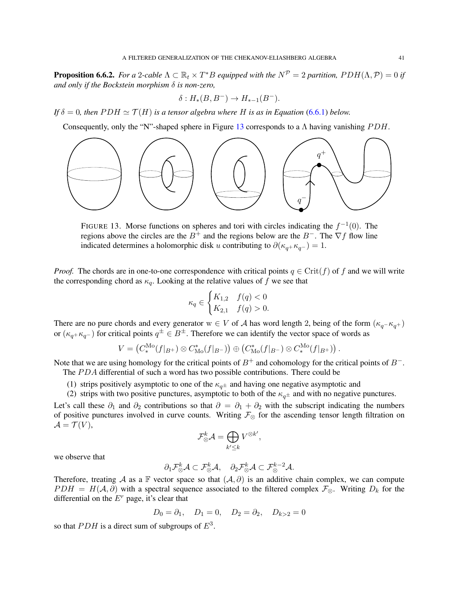<span id="page-40-0"></span>**Proposition 6.6.2.** *For a* 2-cable  $\Lambda \subset \mathbb{R}_t \times T^*B$  *equipped with the*  $N^{\mathcal{P}} = 2$  *partition,*  $PDH(\Lambda, \mathcal{P}) = 0$  *if and only if the Bockstein morphism* δ *is non-zero,*

$$
\delta: H_*(B, B^-) \to H_{*-1}(B^-).
$$

*If*  $\delta = 0$ *, then*  $PDH \simeq T(H)$  *is a tensor algebra where* H *is as in Equation* [\(6.6.1\)](#page-41-1) *below.* 

Consequently, only the "N"-shaped sphere in Figure [13](#page-40-1) corresponds to a  $\Lambda$  having vanishing  $PDH$ .



<span id="page-40-1"></span>FIGURE 13. Morse functions on spheres and tori with circles indicating the  $f^{-1}(0)$ . The regions above the circles are the  $B^+$  and the regions below are the  $B^-$ . The  $\nabla f$  flow line indicated determines a holomorphic disk u contributing to  $\partial(\kappa_q + \kappa_{q^-}) = 1$ .

*Proof.* The chords are in one-to-one correspondence with critical points  $q \in Crit(f)$  of f and we will write the corresponding chord as  $\kappa_q$ . Looking at the relative values of f we see that

$$
\kappa_q\in\begin{cases}K_{1,2} & f(q)<0\\K_{2,1} & f(q)>0.\end{cases}
$$

There are no pure chords and every generator  $w \in V$  of A has word length 2, being of the form  $(\kappa_q - \kappa_{q+})$ or  $(\kappa_{q} + \kappa_{q} -)$  for critical points  $q^{\pm} \in B^{\pm}$ . Therefore we can identify the vector space of words as

$$
V = (C_*^{\text{Mo}}(f|_{B^+}) \otimes C_{\text{Mo}}^*(f|_{B^-})) \oplus (C_{\text{Mo}}^*(f|_{B^-}) \otimes C_*^{\text{Mo}}(f|_{B^+})) .
$$

Note that we are using homology for the critical points of  $B^+$  and cohomology for the critical points of  $B^-$ . The PDA differential of such a word has two possible contributions. There could be

- (1) strips positively asymptotic to one of the  $\kappa_{q^{\pm}}$  and having one negative asymptotic and
- (2) strips with two positive punctures, asymptotic to both of the  $\kappa_{q\pm}$  and with no negative punctures.

Let's call these  $\partial_1$  and  $\partial_2$  contributions so that  $\partial = \partial_1 + \partial_2$  with the subscript indicating the numbers of positive punctures involved in curve counts. Writing  $\mathcal{F}_{\otimes}$  for the ascending tensor length filtration on  $\mathcal{A} = \mathcal{T}(V),$ 

$$
\mathcal{F}^k_{\otimes}\mathcal{A}=\bigoplus_{k'\leq k}V^{\otimes k'},
$$

we observe that

$$
\partial_1 \mathcal{F}_{\otimes}^k \mathcal{A} \subset \mathcal{F}_{\otimes}^k \mathcal{A}, \quad \partial_2 \mathcal{F}_{\otimes}^k \mathcal{A} \subset \mathcal{F}_{\otimes}^{k-2} \mathcal{A}.
$$

Therefore, treating A as a F vector space so that  $(A, \partial)$  is an additive chain complex, we can compute  $PDH = H(A, \partial)$  with a spectral sequence associated to the filtered complex  $\mathcal{F}_{\otimes}$ . Writing  $D_k$  for the differential on the  $E<sup>r</sup>$  page, it's clear that

$$
D_0 = \partial_1
$$
,  $D_1 = 0$ ,  $D_2 = \partial_2$ ,  $D_{k>2} = 0$ 

so that  $PDH$  is a direct sum of subgroups of  $E^3$ .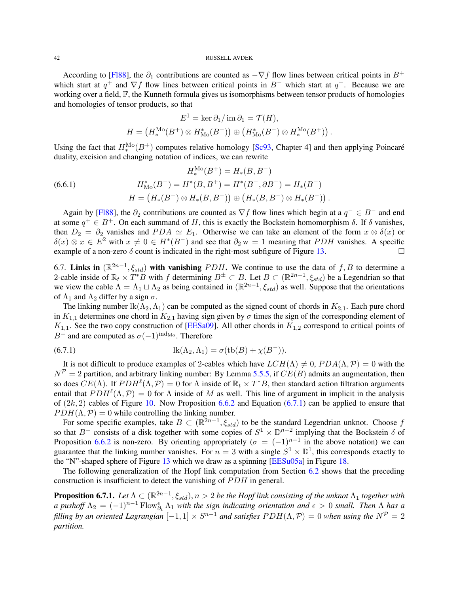<span id="page-41-3"></span>According to [\[Fl88\]](#page-55-28), the  $\partial_1$  contributions are counted as  $-\nabla f$  flow lines between critical points in  $B^+$ which start at  $q^+$  and  $\nabla f$  flow lines between critical points in B<sup>-</sup> which start at  $q^-$ . Because we are working over a field,  $\mathbb{F}$ , the Kunneth formula gives us isomorphisms between tensor products of homologies and homologies of tensor products, so that

<span id="page-41-1"></span>
$$
E^{1} = \ker \partial_{1}/\operatorname{im} \partial_{1} = \mathcal{T}(H),
$$
  

$$
H = (H_{*}^{\text{Mo}}(B^{+}) \otimes H_{\text{Mo}}^{*}(B^{-})) \oplus (H_{\text{Mo}}^{*}(B^{-}) \otimes H_{*}^{\text{Mo}}(B^{+})) .
$$

Using the fact that  $H_*^{\text{Mo}}(B^+)$  computes relative homology [\[Sc93,](#page-55-16) Chapter 4] and then applying Poincaré duality, excision and changing notation of indices, we can rewrite

(6.6.1) 
$$
H_*^{\text{Mo}}(B^+) = H_*(B, B^-)
$$

$$
H_{\text{Mo}}^*(B^-) = H^*(B, B^+) = H^*(B^-, \partial B^-) = H_*(B^-)
$$

$$
H = (H_*(B^-) \otimes H_*(B, B^-)) \oplus (H_*(B, B^-) \otimes H_*(B^-)).
$$

Again by [\[Fl88\]](#page-55-28), the  $\partial_2$  contributions are counted as  $\nabla f$  flow lines which begin at a  $q^- \in B^-$  and end at some  $q^+ \in B^+$ . On each summand of H, this is exactly the Bockstein homomorphism  $\delta$ . If  $\delta$  vanishes, then  $D_2 = \partial_2$  vanishes and  $PDA \simeq E_1$ . Otherwise we can take an element of the form  $x \otimes \delta(x)$  or  $\delta(x) \otimes x \in E^2$  with  $x \neq 0 \in H^*(B^-)$  and see that  $\partial_2 w = 1$  meaning that PDH vanishes. A specific example of a non-zero  $\delta$  count is indicated in the right-most subfigure of Figure [13.](#page-40-1)

<span id="page-41-0"></span>6.7. Links in  $(\mathbb{R}^{2n-1}, \xi_{std})$  with vanishing PDH. We continue to use the data of f, B to determine a 2-cable inside of  $\mathbb{R}_t \times T^*B$  with f determining  $B^{\pm} \subset B$ . Let  $B \subset (\mathbb{R}^{2n-1}, \xi_{std})$  be a Legendrian so that we view the cable  $\Lambda = \Lambda_1 \sqcup \Lambda_2$  as being contained in  $(\mathbb{R}^{2n-1}, \xi_{std})$  as well. Suppose that the orientations of  $\Lambda_1$  and  $\Lambda_2$  differ by a sign  $\sigma$ .

The linking number  $lk(\Lambda_2, \Lambda_1)$  can be computed as the signed count of chords in  $K_{2,1}$ . Each pure chord in  $K_{1,1}$  determines one chord in  $K_{2,1}$  having sign given by  $\sigma$  times the sign of the corresponding element of  $K_{1,1}$ . See the two copy construction of [\[EESa09\]](#page-55-27). All other chords in  $K_{1,2}$  correspond to critical points of B<sup>-</sup> and are computed as  $\sigma(-1)^{\text{ind}_{\text{Mo}}}$ . Therefore

<span id="page-41-2"></span>(6.7.1) 
$$
lk(\Lambda_2, \Lambda_1) = \sigma(tb(B) + \chi(B^-)).
$$

It is not difficult to produce examples of 2-cables which have  $LCH(\Lambda) \neq 0$ ,  $PDA(\Lambda, \mathcal{P}) = 0$  with the  $N^{\mathcal{P}} = 2$  partition, and arbitrary linking number: By Lemma [5.5.5,](#page-28-1) if  $CE(B)$  admits an augmentation, then so does  $CE(\Lambda)$ . If  $PDH^{\ell}(\Lambda, \mathcal{P}) = 0$  for  $\Lambda$  inside of  $\mathbb{R}_t \times T^*B$ , then standard action filtration arguments entail that  $PDH^{\ell}(\Lambda, \mathcal{P}) = 0$  for  $\Lambda$  inside of M as well. This line of argument in implicit in the analysis of  $(2k, 2)$  cables of Figure [10.](#page-35-0) Now Proposition [6.6.2](#page-40-0) and Equation [\(6.7.1\)](#page-41-2) can be applied to ensure that  $PDH(\Lambda, \mathcal{P}) = 0$  while controlling the linking number.

For some specific examples, take  $B \subset (\mathbb{R}^{2n-1}, \xi_{std})$  to be the standard Legendrian unknot. Choose f so that B<sup>-</sup> consists of a disk together with some copies of  $S^1 \times \mathbb{D}^{n-2}$  implying that the Bockstein  $\delta$  of Proposition [6.6.2](#page-40-0) is non-zero. By orienting appropriately  $(\sigma = (-1)^{n-1}$  in the above notation) we can guarantee that the linking number vanishes. For  $n = 3$  with a single  $S^1 \times \mathbb{D}^1$ , this corresponds exactly to the "N"-shaped sphere of Figure [13](#page-40-1) which we draw as a spinning [\[EESu05a\]](#page-55-17) in Figure [18.](#page-48-0)

The following generalization of the Hopf link computation from Section  $6.2$  shows that the preceding construction is insufficient to detect the vanishing of PDH in general.

**Proposition 6.7.1.** Let  $\Lambda \subset (\mathbb{R}^{2n-1},\xi_{std}), n>2$  be the Hopf link consisting of the unknot  $\Lambda_1$  together with *a* pushoff  $\Lambda_2 = (-1)^{n-1}$  Flow $_{\partial_t}^{\epsilon}$   $\Lambda_1$  with the sign indicating orientation and  $\epsilon > 0$  small. Then  $\Lambda$  has a *filling by an oriented Lagrangian*  $[-1,1] \times S^{n-1}$  *and satisfies*  $PDH(\Lambda, \mathcal{P}) = 0$  when using the  $N^{\mathcal{P}} = 2$ *partition.*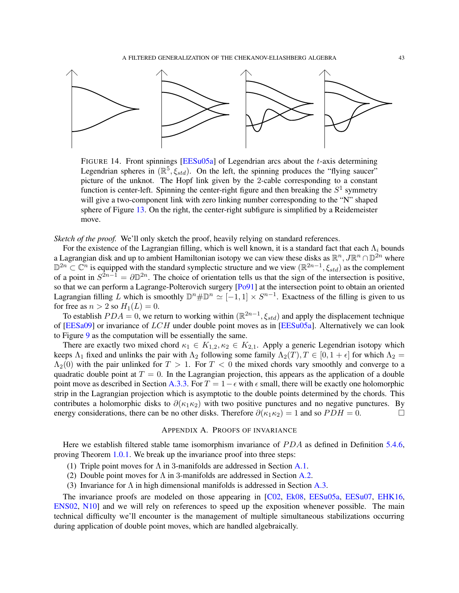<span id="page-42-1"></span>

FIGURE 14. Front spinnings  $[EESu05a]$  of Legendrian arcs about the t-axis determining Legendrian spheres in  $(\mathbb{R}^5, \xi_{std})$ . On the left, the spinning produces the "flying saucer" picture of the unknot. The Hopf link given by the 2-cable corresponding to a constant function is center-left. Spinning the center-right figure and then breaking the  $S<sup>1</sup>$  symmetry will give a two-component link with zero linking number corresponding to the "N" shaped sphere of Figure [13.](#page-40-1) On the right, the center-right subfigure is simplified by a Reidemeister move.

*Sketch of the proof.* We'll only sketch the proof, heavily relying on standard references.

For the existence of the Lagrangian filling, which is well known, it is a standard fact that each  $\Lambda_i$  bounds a Lagrangian disk and up to ambient Hamiltonian isotopy we can view these disks as  $\mathbb{R}^n$ ,  $J\mathbb{R}^n \cap \mathbb{D}^{2n}$  where  $\mathbb{D}^{2n} \subset \mathbb{C}^n$  is equipped with the standard symplectic structure and we view  $(\mathbb{R}^{2n-1}, \xi_{std})$  as the complement of a point in  $S^{2n-1} = \partial \mathbb{D}^{2n}$ . The choice of orientation tells us that the sign of the intersection is positive, so that we can perform a Lagrange-Polterovich surgery  $[Po91]$  at the intersection point to obtain an oriented Lagrangian filling L which is smoothly  $\mathbb{D}^n\#\mathbb{D}^n\cong[-1,1]\times S^{n-1}$ . Exactness of the filling is given to us for free as  $n > 2$  so  $H_1(L) = 0$ .

To establish  $PDA = 0$ , we return to working within  $(\mathbb{R}^{2n-1}, \xi_{std})$  and apply the displacement technique of [\[EESa09\]](#page-55-27) or invariance of  $LCH$  under double point moves as in [\[EESu05a\]](#page-55-17). Alternatively we can look to Figure [9](#page-34-0) as the computation will be essentially the same.

There are exactly two mixed chord  $\kappa_1 \in K_{1,2}, \kappa_2 \in K_{2,1}$ . Apply a generic Legendrian isotopy which keeps  $\Lambda_1$  fixed and unlinks the pair with  $\Lambda_2$  following some family  $\Lambda_2(T)$ ,  $T \in [0, 1 + \epsilon]$  for which  $\Lambda_2 =$  $\Lambda_2(0)$  with the pair unlinked for  $T > 1$ . For  $T < 0$  the mixed chords vary smoothly and converge to a quadratic double point at  $T = 0$ . In the Lagrangian projection, this appears as the application of a double point move as described in Section [A.3.3.](#page-53-0) For  $T = 1 - \epsilon$  with  $\epsilon$  small, there will be exactly one holomorphic strip in the Lagrangian projection which is asymptotic to the double points determined by the chords. This contributes a holomorphic disks to  $\partial(\kappa_1 \kappa_2)$  with two positive punctures and no negative punctures. By energy considerations, there can be no other disks. Therefore  $\partial(\kappa_1 \kappa_2) = 1$  and so  $PDH = 0$ .

### APPENDIX A. PROOFS OF INVARIANCE

<span id="page-42-0"></span>Here we establish filtered stable tame isomorphism invariance of PDA as defined in Definition [5.4.6,](#page-27-1) proving Theorem [1.0.1.](#page-1-2) We break up the invariance proof into three steps:

- (1) Triple point moves for  $\Lambda$  in 3-manifolds are addressed in Section [A.1.](#page-43-0)
- (2) Double point moves for  $\Lambda$  in 3-manifolds are addressed in Section [A.2.](#page-45-0)
- (3) Invariance for  $\Lambda$  in high dimensional manifolds is addressed in Section [A.3.](#page-51-0)

The invariance proofs are modeled on those appearing in [\[C02,](#page-54-1) [Ek08,](#page-55-7) [EESu05a,](#page-55-17) [EESu07,](#page-55-18) [EHK16,](#page-55-19) [ENS02,](#page-55-12) [N10\]](#page-55-10) and we will rely on references to speed up the exposition whenever possible. The main technical difficulty we'll encounter is the management of multiple simultaneous stabilizations occurring during application of double point moves, which are handled algebraically.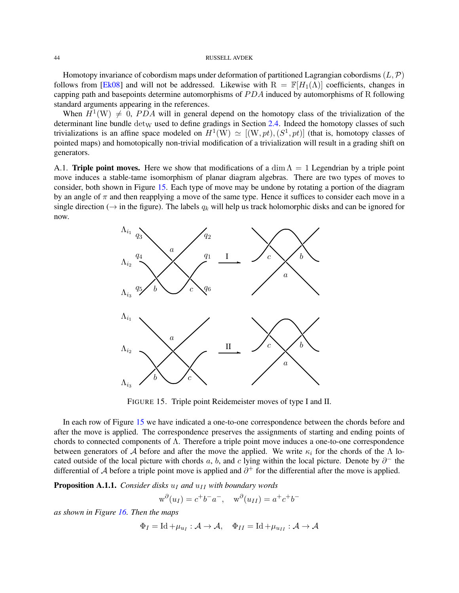<span id="page-43-2"></span>Homotopy invariance of cobordism maps under deformation of partitioned Lagrangian cobordisms  $(L, \mathcal{P})$ follows from [\[Ek08\]](#page-55-7) and will not be addressed. Likewise with  $R = \mathbb{F}[H_1(\Lambda)]$  coefficients, changes in capping path and basepoints determine automorphisms of  $PDA$  induced by automorphisms of R following standard arguments appearing in the references.

When  $H^1(W) \neq 0$ , PDA will in general depend on the homotopy class of the trivialization of the determinant line bundle  $det_W$  used to define gradings in Section [2.4.](#page-11-0) Indeed the homotopy classes of such trivializations is an affine space modeled on  $H^1(W) \simeq [(W, pt), (S^1, pt)]$  (that is, homotopy classes of pointed maps) and homotopically non-trivial modification of a trivialization will result in a grading shift on generators.

<span id="page-43-0"></span>A.1. Triple point moves. Here we show that modifications of a dim  $\Lambda = 1$  Legendrian by a triple point move induces a stable-tame isomorphism of planar diagram algebras. There are two types of moves to consider, both shown in Figure [15.](#page-43-1) Each type of move may be undone by rotating a portion of the diagram by an angle of  $\pi$  and then reapplying a move of the same type. Hence it suffices to consider each move in a single direction ( $\rightarrow$  in the figure). The labels  $q_k$  will help us track holomorphic disks and can be ignored for now.



<span id="page-43-1"></span>FIGURE 15. Triple point Reidemeister moves of type I and II.

In each row of Figure [15](#page-43-1) we have indicated a one-to-one correspondence between the chords before and after the move is applied. The correspondence preserves the assignments of starting and ending points of chords to connected components of  $\Lambda$ . Therefore a triple point move induces a one-to-one correspondence between generators of A before and after the move the applied. We write  $\kappa_i$  for the chords of the  $\Lambda$  located outside of the local picture with chords a, b, and c lying within the local picture. Denote by  $\partial^-$  the differential of A before a triple point move is applied and  $\partial^+$  for the differential after the move is applied.

**Proposition A.1.1.** *Consider disks*  $u_I$  *and*  $u_{II}$  *with boundary words* 

$$
\mathbf{w}^{\partial}(u_I) = c^+b^-a^-, \quad \mathbf{w}^{\partial}(u_{II}) = a^+c^+b^-
$$

*as shown in Figure [16.](#page-44-0) Then the maps*

$$
\Phi_I = \text{Id} + \mu_{u_I} : \mathcal{A} \to \mathcal{A}, \quad \Phi_{II} = \text{Id} + \mu_{u_{II}} : \mathcal{A} \to \mathcal{A}
$$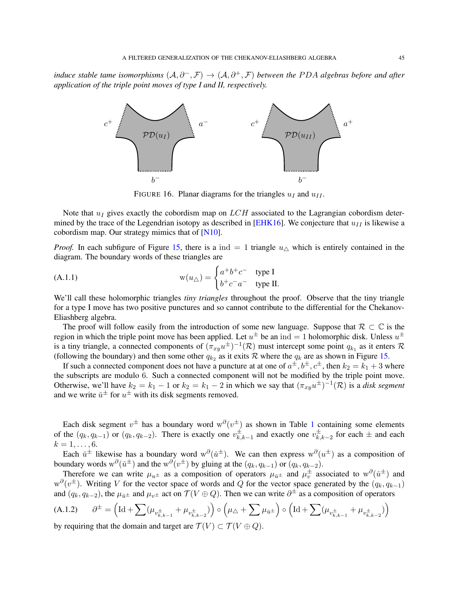<span id="page-44-2"></span>*induce stable tame isomorphisms*  $(A, \partial^-, \mathcal{F}) \to (A, \partial^+, \mathcal{F})$  *between the PDA algebras before and after application of the triple point moves of type I and II, respectively.*



<span id="page-44-0"></span>FIGURE 16. Planar diagrams for the triangles  $u_I$  and  $u_{II}$ .

Note that  $u_I$  gives exactly the cobordism map on  $LCH$  associated to the Lagrangian cobordism deter-mined by the trace of the Legendrian isotopy as described in [\[EHK16\]](#page-55-19). We conjecture that  $u_{II}$  is likewise a cobordism map. Our strategy mimics that of  $[N10]$ .

*Proof.* In each subfigure of Figure [15,](#page-43-1) there is a ind = 1 triangle  $u_{\wedge}$  which is entirely contained in the diagram. The boundary words of these triangles are

(A.1.1) 
$$
w(u_{\triangle}) = \begin{cases} a^+b^+c^- & \text{type } I \\ b^+c^-a^- & \text{type } II. \end{cases}
$$

We'll call these holomorphic triangles *tiny triangles* throughout the proof. Observe that the tiny triangle for a type I move has two positive punctures and so cannot contribute to the differential for the Chekanov-Eliashberg algebra.

The proof will follow easily from the introduction of some new language. Suppose that  $\mathcal{R} \subset \mathbb{C}$  is the region in which the triple point move has been applied. Let  $u^{\pm}$  be an ind = 1 holomorphic disk. Unless  $u^{\pm}$ is a tiny triangle, a connected components of  $(\pi_{xy}u^{\pm})^{-1}(\mathcal{R})$  must intercept some point  $q_{k_1}$  as it enters  $\mathcal R$ (following the boundary) and then some other  $q_{k_2}$  as it exits R where the  $q_k$  are as shown in Figure [15.](#page-43-1)

If such a connected component does not have a puncture at at one of  $a^{\pm}, b^{\pm}, c^{\pm}$ , then  $k_2 = k_1 + 3$  where the subscripts are modulo 6. Such a connected component will not be modified by the triple point move. Otherwise, we'll have  $k_2 = k_1 - 1$  or  $k_2 = k_1 - 2$  in which we say that  $(\pi_{xy}u^{\pm})^{-1}(\mathcal{R})$  is a *disk segment* and we write  $\check{u}^{\pm}$  for  $u^{\pm}$  with its disk segments removed.

Each disk segment  $v^{\pm}$  has a boundary word  $w^{\partial}(v^{\pm})$  as shown in Table [1](#page-45-1) containing some elements of the  $(q_k, q_{k-1})$  or  $(q_k, q_{k-2})$ . There is exactly one  $v_k^{\pm}$ .  $\sum_{k,k-1}^{\pm}$  and exactly one  $v_{k,}^{\pm}$  $_{k,k-2}^{\pm}$  for each  $\pm$  and each  $k = 1, \ldots, 6$ .

Each  $\check{u}^{\pm}$  likewise has a boundary word  $w^{\partial}(\check{u}^{\pm})$ . We can then express  $w^{\partial}(u^{\pm})$  as a composition of boundary words  $w^{\partial}(\check{u}^{\pm})$  and the  $w^{\partial}(v^{\pm})$  by gluing at the  $(q_k, q_{k-1})$  or  $(q_k, q_{k-2})$ .

Therefore we can write  $\mu_{u^{\pm}}$  as a composition of operators  $\mu_{\tilde{u}^{\pm}}$  and  $\mu_{v}^{\pm}$  associated to  $w^{\partial}(\tilde{u}^{\pm})$  and  $w^{\partial}(v^{\pm})$ . Writing V for the vector space of words and Q for the vector space generated by the  $(q_k, q_{k-1})$ and  $(q_k, q_{k-2})$ , the  $\mu_{\tilde{u}^{\pm}}$  and  $\mu_{v^{\pm}}$  act on  $\mathcal{T}(V \oplus Q)$ . Then we can write  $\partial^{\pm}$  as a composition of operators

<span id="page-44-1"></span>(A.1.2) 
$$
\partial^{\pm} = \left(\mathrm{Id} + \sum (\mu_{v_{k,k-1}^{\pm}} + \mu_{v_{k,k-2}^{\pm}})\right) \circ \left(\mu_{\Delta} + \sum \mu_{\check{u}^{\pm}}\right) \circ \left(\mathrm{Id} + \sum (\mu_{v_{k,k-1}^{\pm}} + \mu_{v_{k,k-2}^{\pm}})\right)
$$
by requiring that the domain and target are  $\mathcal{T}(V) \subset \mathcal{T}(V \oplus \Omega)$ 

by requiring that the domain and target are  $T(V) \subset T(V \oplus Q)$ .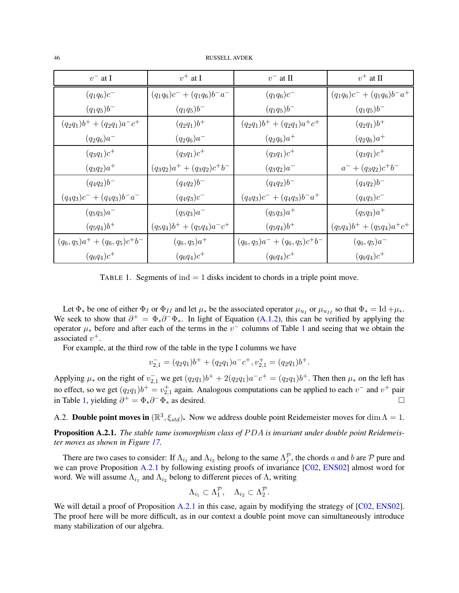<span id="page-45-3"></span>46 RUSSELL AVDEK

| $v^-$ at I                         | $v^+$ at I                     | $v^-$ at II                    | $v^+$ at II                    |
|------------------------------------|--------------------------------|--------------------------------|--------------------------------|
| $(q_1q_6)c^-$                      | $(q_1q_6)c^- + (q_1q_6)b^-a^-$ | $(q_1q_6)c^{-}$                | $(q_1q_6)c^- + (q_1q_6)b^-a^+$ |
| $(q_1q_5)b^{-}$                    | $(q_1q_5)b^{-}$                | $(q_1q_5)b^{-}$                | $(q_1q_5)b^{-}$                |
| $(q_2q_1)b^+ + (q_2q_1)a^-c^+$     | $(q_2q_1)b^+$                  | $(q_2q_1)b^+ + (q_2q_1)a^+c^+$ | $(q_2q_1)b^+$                  |
| $(q_2q_6)a^-$                      | $(q_2q_6)a^-$                  | $(q_2q_6)a^+$                  | $(q_2q_6)a^+$                  |
| $(q_3q_1)c^+$                      | $(q_3q_1)c^+$                  | $(q_3q_1)c^+$                  | $(q_3q_1)c^+$                  |
| $(q_3q_2)a^+$                      | $(q_3q_2)a^+ + (q_3q_2)c^+b^-$ | $(q_3q_2)a^-$                  | $a^- + (q_3q_2)c^+b^-$         |
| $(q_4q_2)b^-$                      | $(q_4q_2)b^-$                  | $(q_4q_2)b^-$                  | $(q_4q_2)b^-$                  |
| $(q_4q_3)c^- + (q_4q_3)b^-a^-$     | $(q_4q_3)c^-$                  | $(q_4q_3)c^- + (q_4q_3)b^-a^+$ | $(q_4q_3)c^-$                  |
| $(q_5q_3)a^-$                      | $(q_5q_3)a^-$                  | $(q_5q_3)a^+$                  | $(q_5q_3)a^+$                  |
| $(q_5q_4)b^+$                      | $(q_5q_4)b^+ + (q_5q_4)a^-c^+$ | $(q_5q_4)b^+$                  | $(q_5q_4)b^+ + (q_5q_4)a^+c^+$ |
| $(q_6, q_5)a^+ + (q_6, q_5)c^+b^-$ | $(q_6, q_5)a^+$                | $(q_6,q_5)a^-+(q_6,q_5)c^+b^-$ | $(q_6, q_5)a^-$                |
| $(q_6q_4)c^+$                      | $(q_6q_4)c^+$                  | $(q_6q_4)c^+$                  | $(q_6q_4)c^+$                  |

<span id="page-45-1"></span>TABLE 1. Segments of  $ind = 1$  disks incident to chords in a triple point move.

Let  $\Phi_*$  be one of either  $\Phi_I$  or  $\Phi_{II}$  and let  $\mu_*$  be the associated operator  $\mu_{u_I}$  or  $\mu_{u_{II}}$  so that  $\Phi_* = \text{Id} + \mu_*$ . We seek to show that  $\partial^+ = \Phi_* \partial^- \Phi_*$ . In light of Equation [\(A.1.2\)](#page-44-1), this can be verified by applying the operator  $\mu_*$  before and after each of the terms in the  $v^-$  columns of Table [1](#page-45-1) and seeing that we obtain the associated  $v^+$ .

For example, at the third row of the table in the type I columns we have

$$
v_{2,1}^- = (q_2 q_1) b^+ + (q_2 q_1) a^- c^+, v_{2,1}^+ = (q_2 q_1) b^+.
$$

Applying  $\mu_*$  on the right of  $v_{2,1}^-$  we get  $(q_2q_1)b^+ + 2(q_2q_1)a^-c^+ = (q_2q_1)b^+$ . Then then  $\mu_*$  on the left has no effect, so we get  $(q_2q_1)b^+ = v_{2,1}^+$  again. Analogous computations can be applied to each  $v^-$  and  $v^+$  pair in Table [1,](#page-45-1) yielding  $\partial^+ = \Phi_* \partial^- \Phi_*$  as desired.  $\Box$ 

<span id="page-45-0"></span>A.2. **Double point moves in**  $(\mathbb{R}^3, \xi_{std})$ . Now we address double point Reidemeister moves for dim  $\Lambda = 1$ .

<span id="page-45-2"></span>**Proposition A.2.1.** The stable tame isomorphism class of PDA is invariant under double point Reidemeis*ter moves as shown in Figure [17.](#page-46-0)*

There are two cases to consider: If  $\Lambda_{i_1}$  and  $\Lambda_{i_2}$  belong to the same  $\Lambda_j^{\mathcal{P}}$ , the chords a and b are  $\mathcal P$  pure and we can prove Proposition [A.2.1](#page-45-2) by following existing proofs of invariance [\[C02,](#page-54-1) [ENS02\]](#page-55-12) almost word for word. We will assume  $\Lambda_{i_1}$  and  $\Lambda_{i_2}$  belong to different pieces of  $\Lambda$ , writing

$$
\Lambda_{i_1} \subset \Lambda_1^{\mathcal{P}}, \quad \Lambda_{i_2} \subset \Lambda_2^{\mathcal{P}}.
$$

We will detail a proof of Proposition [A.2.1](#page-45-2) in this case, again by modifying the strategy of [\[C02,](#page-54-1) [ENS02\]](#page-55-12). The proof here will be more difficult, as in our context a double point move can simultaneously introduce many stabilization of our algebra.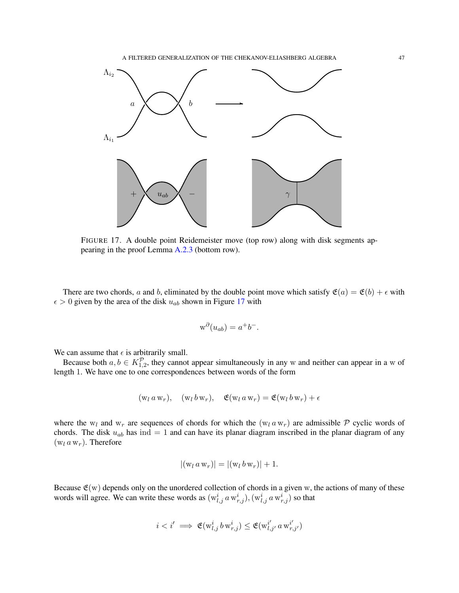

<span id="page-46-0"></span>FIGURE 17. A double point Reidemeister move (top row) along with disk segments appearing in the proof Lemma [A.2.3](#page-49-0) (bottom row).

There are two chords, a and b, eliminated by the double point move which satisfy  $\mathfrak{E}(a) = \mathfrak{E}(b) + \epsilon$  with  $\epsilon > 0$  given by the area of the disk  $u_{ab}$  shown in Figure [17](#page-46-0) with

$$
w^{\partial}(u_{ab}) = a^+b^-.
$$

We can assume that  $\epsilon$  is arbitrarily small.

Because both  $a, b \in K_{1,2}^{\mathcal{P}}$ , they cannot appear simultaneously in any w and neither can appear in a w of length 1. We have one to one correspondences between words of the form

$$
(\mathbf{w}_l \, a \, \mathbf{w}_r), \quad (\mathbf{w}_l \, b \, \mathbf{w}_r), \quad \mathfrak{E}(\mathbf{w}_l \, a \, \mathbf{w}_r) = \mathfrak{E}(\mathbf{w}_l \, b \, \mathbf{w}_r) + \epsilon
$$

where the w<sub>l</sub> and w<sub>r</sub> are sequences of chords for which the  $(w_l a w_r)$  are admissible P cyclic words of chords. The disk  $u_{ab}$  has ind = 1 and can have its planar diagram inscribed in the planar diagram of any  $(w_l a w_r)$ . Therefore

$$
|(\mathbf{w}_l \, a \, \mathbf{w}_r)| = |(\mathbf{w}_l \, b \, \mathbf{w}_r)| + 1.
$$

Because  $\mathfrak{E}(w)$  depends only on the unordered collection of chords in a given w, the actions of many of these words will agree. We can write these words as  $(w_{l,j}^i a w_{r,j}^i)$ ,  $(w_{l,j}^i a w_{r,j}^i)$  so that

$$
i
$$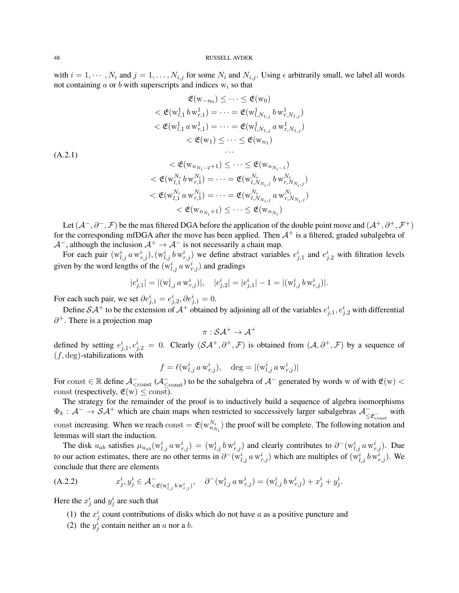with  $i = 1, \dots, N_i$  and  $j = 1, \dots, N_{i,j}$  for some  $N_i$  and  $N_{i,j}$ . Using  $\epsilon$  arbitrarily small, we label all words not containing  $a$  or  $b$  with superscripts and indices  $w_i$  so that

$$
\mathfrak{E}(\mathbf{w}_{-n_0}) \leq \cdots \leq \mathfrak{E}(\mathbf{w}_0)
$$
\n
$$
< \mathfrak{E}(\mathbf{w}_{l,1}^1 b \mathbf{w}_{r,1}^1) = \cdots = \mathfrak{E}(\mathbf{w}_{l,N_{1,j}}^1 b \mathbf{w}_{r,N_{1,j}}^1)
$$
\n
$$
< \mathfrak{E}(\mathbf{w}_{l,1}^1 a \mathbf{w}_{r,1}^1) = \cdots = \mathfrak{E}(\mathbf{w}_{l,N_{1,j}}^1 a \mathbf{w}_{r,N_{1,j}}^1)
$$
\n
$$
< \mathfrak{E}(\mathbf{w}_1) \leq \cdots \leq \mathfrak{E}(\mathbf{w}_{n_1})
$$
\n(1.2.1)

<span id="page-47-0"></span>
$$
\begin{aligned}\n&<\mathfrak{E}(\mathbf{w}_{n_{N_i-2}+1}) \leq \cdots \leq \mathfrak{E}(\mathbf{w}_{n_{N_i-1}}) \\
&<\mathfrak{E}(\mathbf{w}_{l,1}^{N_i} b \mathbf{w}_{r,1}^{N_i}) = \cdots = \mathfrak{E}(\mathbf{w}_{l,N_{N_i,j}}^{N_i} b \mathbf{w}_{r,N_{N_i,j}}^{N_i}) \\
&<\mathfrak{E}(\mathbf{w}_{l,1}^{N_i} a \mathbf{w}_{r,1}^{N_i}) = \cdots = \mathfrak{E}(\mathbf{w}_{l,N_{N_i,j}}^{N_i} a \mathbf{w}_{r,N_{N_i,j}}^{N_i}) \\
&<\mathfrak{E}(\mathbf{w}_{n_{N_i}+1}) \leq \cdots \leq \mathfrak{E}(\mathbf{w}_{n_{N_i}})\n\end{aligned}
$$

Let  $(A^-,\partial^-,\mathcal{F})$  be the max filtered DGA before the application of the double point move and  $(A^+,\partial^+,\mathcal{F}^+)$ for the corresponding mfDGA after the move has been applied. Then  $A^+$  is a filtered, graded subalgebra of  $\mathcal{A}^-$ , although the inclusion  $\mathcal{A}^+ \to \mathcal{A}^-$  is not necessarily a chain map.

For each pair  $(w_{l,j}^i a w_{r,j}^i)$ ,  $(w_{l,j}^i b w_{r,j}^i)$  we define abstract variables  $e_{j,1}^i$  and  $e_{j,2}^i$  with filtration levels given by the word lengths of the  $(w_{l,j}^i, a w_{r,j}^i)$  and gradings

$$
|e_{j,1}^i| = |(\mathbf{w}_{l,j}^i \, a \, \mathbf{w}_{r,j}^i)|, \quad |e_{j,2}^i| = |e_{j,1}^i| - 1 = |(\mathbf{w}_{l,j}^i \, b \, \mathbf{w}_{r,j}^i)|.
$$

For each such pair, we set  $\partial e^i_{j,1} = e^i_{j,2}, \partial e^i_{j,1} = 0.$ 

Define  $SA^+$  to be the extension of  $A^+$  obtained by adjoining all of the variables  $e^i_{j,1}, e^i_{j,2}$  with differential  $\partial^+$ . There is a projection map

$$
\pi: \mathcal{SA}^+ \to \mathcal{A}^+
$$

defined by setting  $e_{j,1}^i, e_{j,2}^i = 0$ . Clearly  $(S\mathcal{A}^+, \partial^+, \mathcal{F})$  is obtained from  $(\mathcal{A}, \partial^+, \mathcal{F})$  by a sequence of  $(f, \text{deg})$ -stabilizations with

$$
f = \ell(\mathbf{w}_{l,j}^i a \mathbf{w}_{r,j}^i), \quad \deg = |(\mathbf{w}_{l,j}^i a \mathbf{w}_{r,j}^i)|
$$

For const  $\in \mathbb{R}$  define  $\mathcal{A}_{\leq \text{const}}^{-}$  ( $\mathcal{A}_{\leq \text{const}}^{-}$ ) to be the subalgebra of  $\mathcal{A}^{-}$  generated by words w of with  $\mathfrak{E}(w)$  < const (respectively,  $\mathfrak{E}(w) \leq \text{const}$ ).

The strategy for the remainder of the proof is to inductively build a sequence of algebra isomorphisms  $\Phi_k : A^- \to S A^+$  which are chain maps when restricted to successively larger subalgebras  $A^ \leq$   $\varepsilon_{\text{const}}$  with const increasing. When we reach const  $= \mathfrak{E}(w_{n_{N_i}}^{N_i})$  the proof will be complete. The following notation and lemmas will start the induction.

The disk  $u_{ab}$  satisfies  $\mu_{u_{ab}}(\mathbf{w}_{l,j}^i a \mathbf{w}_{r,j}^i) = (\mathbf{w}_{l,j}^i b \mathbf{w}_{r,j}^i)$  and clearly contributes to  $\partial^-(\mathbf{w}_{l,j}^i a \mathbf{w}_{r,j}^i)$ . Due to our action estimates, there are no other terms in  $\partial^-(w_{l,j}^i a w_{r,j}^i)$  which are multiples of  $(w_{l,j}^i b w_{r,j}^i)$ . We conclude that there are elements

(A.2.2) 
$$
x_j^i, y_j^i \in \mathcal{A}_{\langle \mathfrak{E}(w_{l,j}^i b w_{r,j}^i) \rangle}^{\circ} \quad \partial^-(w_{l,j}^i a w_{r,j}^i) = (w_{l,j}^i b w_{r,j}^i) + x_j^i + y_j^i.
$$

Here the  $x_j^i$  and  $y_j^i$  are such that

- <span id="page-47-1"></span>(1) the  $x_j^i$  count contributions of disks which do not have a as a positive puncture and
- (2) the  $y_j^i$  contain neither an a nor a b.

(A.2.1)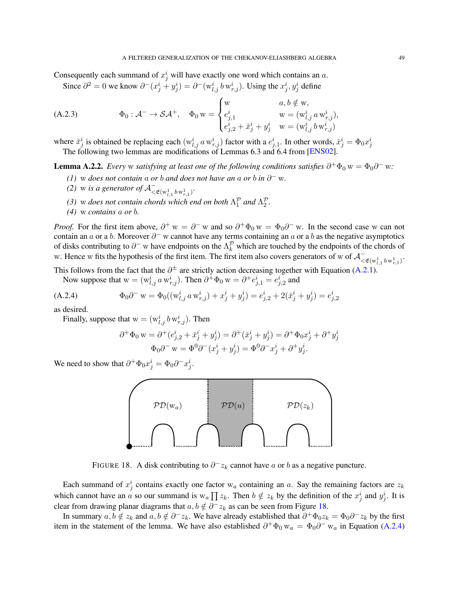<span id="page-48-4"></span>Consequently each summand of  $x_j^i$  will have exactly one word which contains an a.

<span id="page-48-2"></span>Since  $\partial^2 = 0$  we know  $\partial^-(x_j^i + y_j^i) = \partial^-(w_{l,j}^i b w_{r,j}^i)$ . Using the  $x_j^i, y_j^i$  define

(A.2.3) 
$$
\Phi_0: \mathcal{A}^- \to \mathcal{SA}^+, \quad \Phi_0 w = \begin{cases} w & a, b \notin w, \\ e^i_{j,1} & w = (w^i_{l,j} a w^i_{r,j}), \\ e^i_{j,2} + \tilde{x}^i_j + y^i_j & w = (w^i_{l,j} b w^i_{r,j}) \end{cases}
$$

where  $\check{x}_j^i$  is obtained be replacing each  $(w_{l,j}^i a w_{r,j}^i)$  factor with a  $e_{j,1}^i$ . In other words,  $\check{x}_j^i = \Phi_0 x_j^i$ The following two lemmas are modifications of Lemmas 6.3 and 6.4 from [\[ENS02\]](#page-55-12).

<span id="page-48-3"></span>**Lemma A.2.2.** *Every* w satisfying at least one of the following conditions satisfies  $\partial^+ \Phi_0 w = \Phi_0 \partial^- w$ .

- *(1)* w *does not contain* a *or b and does not have an* a *or b in*  $\partial$ <sup>−</sup> w.
- *(2)* w *is a generator of*  $A^-_{\lt \mathfrak{E}(w_{l,1}^1 b w_{r,1}^1)}$ .
- *(3)* w *does not contain chords which end on both*  $\Lambda_1^{\mathcal{P}}$  *and*  $\Lambda_2^{\mathcal{P}}$ *.*
- *(4)* w *contains* a *or* b*.*

*Proof.* For the first item above,  $\partial^+ w = \partial^- w$  and so  $\partial^+ \Phi_0 w = \Phi_0 \partial^- w$ . In the second case w can not contain an a or a b. Moreover  $\partial^-$  w cannot have any terms containing an a or a b as the negative asymptotics of disks contributing to  $\partial^-$  w have endpoints on the  $\Lambda_k^{\mathcal{P}}$  which are touched by the endpoints of the chords of w. Hence w fits the hypothesis of the first item. The first item also covers generators of w of  $\mathcal{A}_{\leq \mathfrak{E}(w_{l,1}^1 b w_{r,1}^1)}^{-1}$ .

This follows from the fact that the  $\partial^{\pm}$  are strictly action decreasing together with Equation [\(A.2.1\)](#page-47-0).

Now suppose that  $w = (w_{l,j}^i a w_{r,j}^i)$ . Then  $\partial^+ \Phi_0 w = \partial^+ e_{j,1}^i = e_{j,2}^i$  and

(A.2.4) 
$$
\Phi_0 \partial^- w = \Phi_0((w_{i,j}^i a w_{r,j}^i) + x_j^i + y_j^i) = e_{j,2}^i + 2(\check{x}_j^i + y_j^i) = e_{j,2}^i
$$

as desired.

Finally, suppose that  $w = (w_{l,j}^i b w_{r,j}^i)$ . Then

<span id="page-48-1"></span>
$$
\partial^+ \Phi_0 w = \partial^+ (e^i_{j,2} + \check{x}^i_j + y^i_j) = \partial^+ (\check{x}^i_j + y^i_j) = \partial^+ \Phi_0 x^i_j + \partial^+ y^i_j
$$
  

$$
\Phi_0 \partial^- w = \Phi^0 \partial^- (x^i_j + y^i_j) = \Phi^0 \partial^- x^i_j + \partial^+ y^i_j.
$$

We need to show that  $\partial^+ \Phi_0 x_j^i = \Phi_0 \partial^- x_j^i$ .



<span id="page-48-0"></span>FIGURE 18. A disk contributing to  $\partial^- z_k$  cannot have a or b as a negative puncture.

Each summand of  $x_j^i$  contains exactly one factor w<sub>a</sub> containing an a. Say the remaining factors are  $z_k$ which cannot have an a so our summand is  $w_a \prod z_k$ . Then  $b \notin z_k$  by the definition of the  $x_j^i$  and  $y_j^i$ . It is clear from drawing planar diagrams that  $a, b \notin \partial^- z_k$  as can be seen from Figure [18.](#page-48-0)

In summary  $a, b \notin z_k$  and  $a, b \notin \partial^- z_k$ . We have already established that  $\partial^+ \Phi_0 z_k = \Phi_0 \partial^- z_k$  by the first item in the statement of the lemma. We have also established  $\partial^+\Phi_0 w_a = \Phi_0 \partial^- w_a$  in Equation [\(A.2.4\)](#page-48-1)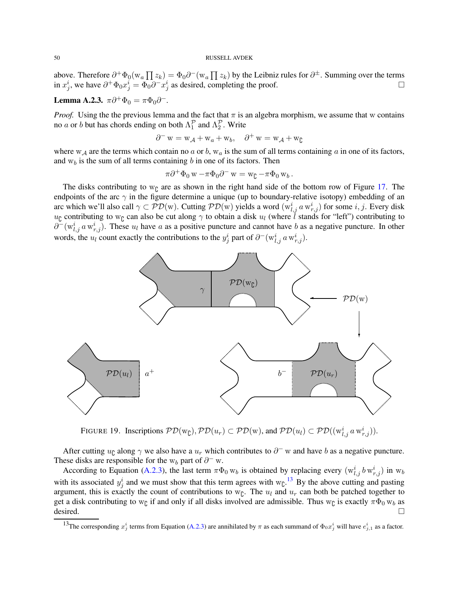above. Therefore  $\partial^+\Phi_0(w_a\prod z_k)=\Phi_0\partial^-(w_a\prod z_k)$  by the Leibniz rules for  $\partial^\pm$ . Summing over the terms in  $x_j^i$ , we have  $\partial^+ \Phi_0 x_j^i = \Phi_0 \partial^- x_j^i$  as desired, completing the proof.

# <span id="page-49-0"></span>**Lemma A.2.3.**  $\pi \partial^+ \Phi_0 = \pi \Phi_0 \partial^-$ .

*Proof.* Using the the previous lemma and the fact that  $\pi$  is an algebra morphism, we assume that w contains no *a* or *b* but has chords ending on both  $\Lambda_1^{\mathcal{P}}$  and  $\Lambda_2^{\mathcal{P}}$ . Write

$$
\partial^- w = w_{\mathcal{A}} + w_a + w_b, \quad \partial^+ w = w_{\mathcal{A}} + w_{\mathcal{C}}
$$

where  $w_A$  are the terms which contain no a or b,  $w_a$  is the sum of all terms containing a in one of its factors, and  $w<sub>b</sub>$  is the sum of all terms containing b in one of its factors. Then

$$
\pi \partial^+ \Phi_0 w - \pi \Phi_0 \partial^- w = w_0 - \pi \Phi_0 w_b.
$$

The disks contributing to  $w_{\zeta}$  are as shown in the right hand side of the bottom row of Figure [17.](#page-46-0) The endpoints of the arc  $\gamma$  in the figure determine a unique (up to boundary-relative isotopy) embedding of an arc which we'll also call  $\gamma \subset \mathcal{PD}(w)$ . Cutting  $\mathcal{PD}(w)$  yields a word  $(w_{l,j}^i a w_{r,j}^i)$  for some  $i, j$ . Every disk  $u_0$  contributing to w<sub>0</sub> can also be cut along  $\gamma$  to obtain a disk  $u_l$  (where l stands for "left") contributing to  $\partial^-(w_{l,j}^i a w_{r,j}^i)$ . These  $u_l$  have a as a positive puncture and cannot have b as a negative puncture. In other words, the  $u_l$  count exactly the contributions to the  $y_j^i$  part of  $\partial^-(w_{l,j}^i a w_{r,j}^i)$ .



FIGURE 19. Inscriptions  $PD(w_0), PD(u_r) \subset PD(w)$ , and  $PD(u_l) \subset PD((w_{l,j}^i a w_{r,j}^i))$ .

After cutting  $u_{\mathfrak{c}}$  along  $\gamma$  we also have a  $u_r$  which contributes to  $\partial^-$  w and have b as a negative puncture. These disks are responsible for the w<sub>b</sub> part of  $\partial^-$  w.

According to Equation [\(A.2.3\)](#page-48-2), the last term  $\pi \Phi_0 w_b$  is obtained by replacing every  $(w_{l,j}^i b w_{r,j}^i)$  in  $w_b$ with its associated  $y_j^i$  and we must show that this term agrees with w<sub> $c$ </sub>.<sup>[13](#page-49-1)</sup> By the above cutting and pasting argument, this is exactly the count of contributions to  $w_{\zeta}$ . The  $u_l$  and  $u_r$  can both be patched together to get a disk contributing to w<sub>C</sub> if and only if all disks involved are admissible. Thus w<sub>C</sub> is exactly  $\pi\Phi_0$  w<sub>b</sub> as desired.

<span id="page-49-1"></span><sup>&</sup>lt;sup>13</sup>The corresponding  $x_j^i$  terms from Equation [\(A.2.3\)](#page-48-2) are annihilated by  $\pi$  as each summand of  $\Phi_0 x_j^i$  will have  $e_{j,1}^i$  as a factor.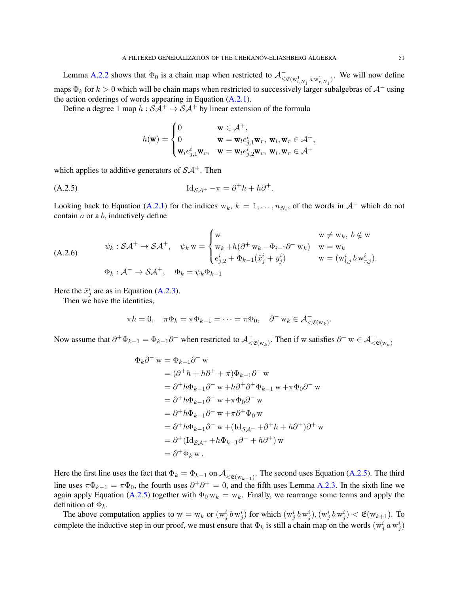Lemma [A.2.2](#page-48-3) shows that  $\Phi_0$  is a chain map when restricted to  $\mathcal{A}_{\leq \mathfrak{E}(w_{l,N_1}^1 a w_{r,N_1}^1)}^{\sim}$ . We will now define maps  $\Phi_k$  for  $k > 0$  which will be chain maps when restricted to successively larger subalgebras of  $A^-$  using the action orderings of words appearing in Equation  $(A.2.1)$ .

Define a degree 1 map  $h : S\mathcal{A}^+ \to S\mathcal{A}^+$  by linear extension of the formula

<span id="page-50-0"></span>
$$
h(\mathbf{w}) = \begin{cases} 0 & \mathbf{w} \in \mathcal{A}^+, \\ 0 & \mathbf{w} = \mathbf{w}_l e^i_{j,1} \mathbf{w}_r, \ \mathbf{w}_l, \mathbf{w}_r \in \mathcal{A}^+, \\ \mathbf{w}_l e^i_{j,1} \mathbf{w}_r, & \mathbf{w} = \mathbf{w}_l e^i_{j,2} \mathbf{w}_r, \ \mathbf{w}_l, \mathbf{w}_r \in \mathcal{A}^+ \end{cases}
$$

which applies to additive generators of  $\mathcal{SA}^+$ . Then

$$
\mathrm{Id}_{\mathcal{SA}^+} - \pi = \partial^+ h + h \partial^+.
$$

Looking back to Equation [\(A.2.1\)](#page-47-0) for the indices  $w_k$ ,  $k = 1, \ldots, n_{N_i}$ , of the words in  $A^-$  which do not contain  $a$  or a  $b$ , inductively define

<span id="page-50-1"></span>(A.2.6)  
\n
$$
\psi_k : \mathcal{SA}^+ \to \mathcal{SA}^+, \quad \psi_k \le \begin{cases}\n\mathbf{w} & \mathbf{w} \ne \mathbf{w}_k, \ b \notin \mathbf{w} \\
\mathbf{w}_k + h(\partial^+ \mathbf{w}_k - \Phi_{i-1} \partial^- \mathbf{w}_k) & \mathbf{w} = \mathbf{w}_k \\
e_{j,2}^i + \Phi_{k-1}(\tilde{x}_j^i + y_j^i) & \mathbf{w} = (\mathbf{w}_{l,j}^i b \mathbf{w}_{r,j}^i).\n\end{cases}
$$
\n
$$
\Phi_k : \mathcal{A}^- \to \mathcal{SA}^+, \quad \Phi_k = \psi_k \Phi_{k-1}
$$

Here the  $\check{x}^i_j$  are as in Equation [\(A.2.3\)](#page-48-2).

Then we have the identities,

$$
\pi h = 0, \quad \pi \Phi_k = \pi \Phi_{k-1} = \dots = \pi \Phi_0, \quad \partial^- w_k \in \mathcal{A}_{\langle \mathfrak{E}(w_k) \rangle}.
$$

Now assume that  $\partial^+\Phi_{k-1} = \Phi_{k-1}\partial^-$  when restricted to  $\mathcal{A}^-_{\lt \mathfrak{E}(w_k)}$ . Then if w satisfies  $\partial^- w \in \mathcal{A}^-_{\lt \mathfrak{E}(w_k)}$ 

$$
\Phi_k \partial^- w = \Phi_{k-1} \partial^- w
$$
  
=  $(\partial^+ h + h \partial^+ + \pi) \Phi_{k-1} \partial^- w$   
=  $\partial^+ h \Phi_{k-1} \partial^- w + h \partial^+ \partial^+ \Phi_{k-1} w + \pi \Phi_0 \partial^- w$   
=  $\partial^+ h \Phi_{k-1} \partial^- w + \pi \Phi_0 \partial^- w$   
=  $\partial^+ h \Phi_{k-1} \partial^- w + \pi \partial^+ \Phi_0 w$   
=  $\partial^+ h \Phi_{k-1} \partial^- w + (\mathrm{Id}_{S\mathcal{A}^+} + \partial^+ h + h \partial^+) \partial^+ w$   
=  $\partial^+ (\mathrm{Id}_{S\mathcal{A}^+} + h \Phi_{k-1} \partial^- + h \partial^+) w$   
=  $\partial^+ \Phi_k w$ .

Here the first line uses the fact that  $\Phi_k = \Phi_{k-1}$  on  $\mathcal{A}_{\langle \mathfrak{E}(w_{k-1}) \rangle}^{\perp}$ . The second uses Equation [\(A.2.5\)](#page-50-0). The third line uses  $\pi\Phi_{k-1} = \pi\Phi_0$ , the fourth uses  $\partial^+\partial^+ = 0$ , and the fifth uses Lemma [A.2.3.](#page-49-0) In the sixth line we again apply Equation [\(A.2.5\)](#page-50-0) together with  $\Phi_0 w_k = w_k$ . Finally, we rearrange some terms and apply the definition of  $\Phi_k$ .

The above computation applies to  $w = w_k$  or  $(w_j^i b w_j^i)$  for which  $(w_j^i b w_j^i)$ ,  $(w_j^i b w_j^i) < \mathfrak{E}(w_{k+1})$ . To complete the inductive step in our proof, we must ensure that  $\Phi_k$  is still a chain map on the words  $(w_j^i \, a \, w_j^i)$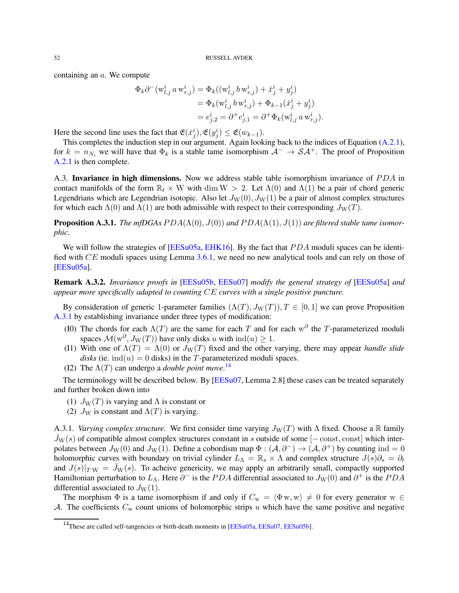<span id="page-51-3"></span>containing an a. We compute

$$
\Phi_k \partial^-(w_{l,j}^i a w_{r,j}^i) = \Phi_k((w_{l,j}^i b w_{r,j}^i) + \tilde{x}_j^i + y_j^i)
$$
  
=  $\Phi_k(w_{l,j}^i b w_{r,j}^i) + \Phi_{k-1}(\tilde{x}_j^i + y_j^i)$   
=  $e_{j,2}^i = \partial^+ e_{j,1}^i = \partial^+ \Phi_k(w_{l,j}^i a w_{r,j}^i).$ 

Here the second line uses the fact that  $\mathfrak{E}(\check{x}_j^i), \mathfrak{E}(y_j^i) \leq \mathfrak{E}(w_{k-1}).$ 

This completes the induction step in our argument. Again looking back to the indices of Equation [\(A.2.1\)](#page-47-0), for  $k = n_{N_i}$  we will have that  $\Phi_k$  is a stable tame isomorphism  $A^- \to S A^+$ . The proof of Proposition [A.2.1](#page-45-2) is then complete.

<span id="page-51-0"></span>A.3. Invariance in high dimensions. Now we address stable table isomorphism invariance of PDA in contact manifolds of the form  $\mathbb{R}_t \times W$  with dim  $W > 2$ . Let  $\Lambda(0)$  and  $\Lambda(1)$  be a pair of chord generic Legendrians which are Legendrian isotopic. Also let  $J_W(0)$ ,  $J_W(1)$  be a pair of almost complex structures for which each  $\Lambda(0)$  and  $\Lambda(1)$  are both admissible with respect to their corresponding  $J_W(T)$ .

<span id="page-51-1"></span>**Proposition A.3.1.** *The mfDGAs PDA*( $\Lambda$ (0),  $J$ (0)) *and PDA*( $\Lambda$ (1),  $J$ (1)) *are filtered stable tame isomorphic.*

We will follow the strategies of  $[EESu05a, EHK16]$  $[EESu05a, EHK16]$ . By the fact that  $PDA$  moduli spaces can be identified with CE moduli spaces using Lemma [3.6.1,](#page-20-0) we need no new analytical tools and can rely on those of [\[EESu05a\]](#page-55-17).

Remark A.3.2. *Invariance proofs in* [\[EESu05b,](#page-55-11) [EESu07\]](#page-55-18) *modify the general strategy of* [\[EESu05a\]](#page-55-17) *and appear more specifically adapted to counting* CE *curves with a single positive puncture.*

By consideration of generic 1-parameter families  $(\Lambda(T), J_W(T)), T \in [0, 1]$  we can prove Proposition [A.3.1](#page-51-1) by establishing invariance under three types of modification:

- (I0) The chords for each  $\Lambda(T)$  are the same for each T and for each w<sup> $\partial$ </sup> the T-parameterized moduli spaces  $\mathcal{M}(w^{\partial}, J_W(T))$  have only disks u with  $ind(u) \geq 1$ .
- (I1) With one of  $\Lambda(T) = \Lambda(0)$  or  $J_W(T)$  fixed and the other varying, there may appear *handle slide disks* (ie.  $\text{ind}(u) = 0$  disks) in the T-parameterized moduli spaces.
- (I2) The  $\Lambda(T)$  can undergo a *double point move*.<sup>[14](#page-51-2)</sup>

The terminology will be described below. By [\[EESu07,](#page-55-18) Lemma 2.8] these cases can be treated separately and further broken down into

- (1)  $J_W(T)$  is varying and  $\Lambda$  is constant or
- (2)  $J_W$  is constant and  $\Lambda(T)$  is varying.

A.3.1. *Varying complex structure.* We first consider time varying  $J_W(T)$  with  $\Lambda$  fixed. Choose a R family  $J_{W}(s)$  of compatible almost complex structures constant in s outside of some  $[-\text{const}, \text{const}]$  which interpolates between  $J_W(0)$  and  $J_W(1)$ . Define a cobordism map  $\Phi : (\mathcal{A}, \partial^-) \to (\mathcal{A}, \partial^+)$  by counting ind = 0 holomorphic curves with boundary on trivial cylinder  $L_\Lambda = \mathbb{R}_s \times \Lambda$  and complex structure  $J(s)\partial_s = \partial_t$ and  $J(s)|_{TW} = \tilde{J}_W(s)$ . To acheive genericity, we may apply an arbitrarily small, compactly supported Hamiltonian perturbation to  $L_A$ . Here  $\partial^-$  is the PDA differential associated to  $J_W(0)$  and  $\partial^+$  is the PDA differential associated to  $J_{\rm W}(1)$ .

The morphism  $\Phi$  is a tame isomorphism if and only if  $C_w = \langle \Phi w, w \rangle \neq 0$  for every generator w ∈ A. The coefficients  $C_w$  count unions of holomorphic strips u which have the same positive and negative

<span id="page-51-2"></span><sup>&</sup>lt;sup>14</sup>These are called self-tangencies or birth-death moments in [\[EESu05a,](#page-55-17) [EESu07,](#page-55-18) [EESu05b\]](#page-55-11).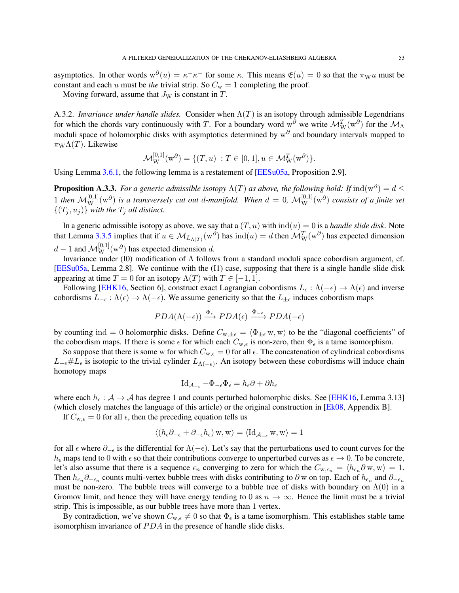<span id="page-52-0"></span>asymptotics. In other words  $w^{\partial}(u) = \kappa^+ \kappa^-$  for some  $\kappa$ . This means  $\mathfrak{E}(u) = 0$  so that the  $\pi_{\mathbf{W}} u$  must be constant and each u must be *the* trivial strip. So  $C_w = 1$  completing the proof.

Moving forward, assume that  $J_W$  is constant in  $T$ .

A.3.2. *Invariance under handle slides.* Consider when  $\Lambda(T)$  is an isotopy through admissible Legendrians for which the chords vary continuously with T. For a boundary word w<sup>∂</sup> we write  $\mathcal{M}_{W}^{T}(w^{\partial})$  for the  $\mathcal{M}_{\Lambda}$ moduli space of holomorphic disks with asymptotics determined by  $w^{\partial}$  and boundary intervals mapped to  $\pi_{\rm W}\Lambda(T)$ . Likewise

$$
\mathcal{M}_{\mathbf{W}}^{[0,1]}(\mathbf{w}^{\partial}) = \{ (T, u) : T \in [0, 1], u \in \mathcal{M}_{\mathbf{W}}^{T}(\mathbf{w}^{\partial}) \}.
$$

Using Lemma [3.6.1,](#page-20-0) the following lemma is a restatement of [\[EESu05a,](#page-55-17) Proposition 2.9].

**Proposition A.3.3.** For a generic admissible isotopy  $\Lambda(T)$  as above, the following hold: If  $ind(w^{\partial}) = d \leq$ 1 then  $M_{\rm W}^{[0,1]}(w^{\partial})$  is a transversely cut out d-manifold. When  $d=0$ ,  $M_{\rm W}^{[0,1]}(w^{\partial})$  consists of a finite set  $\{(T_i, u_j)\}$  *with the*  $T_j$  *all distinct.* 

In a generic admissible isotopy as above, we say that a  $(T, u)$  with  $ind(u) = 0$  is a *handle slide disk*. Note that Lemma [3.3.5](#page-17-1) implies that if  $u \in M_{L_{\Lambda(T)}}(w^{\partial})$  has  $ind(u) = d$  then  $M_W^T(w^{\partial})$  has expected dimension  $d-1$  and  $\mathcal{M}_{\text{W}}^{[0,1]}(\text{w}^{\partial})$  has expected dimension d.

Invariance under (I0) modification of Λ follows from a standard moduli space cobordism argument, cf. [\[EESu05a,](#page-55-17) Lemma 2.8]. We continue with the (I1) case, supposing that there is a single handle slide disk appearing at time  $T = 0$  for an isotopy  $\Lambda(T)$  with  $T \in [-1, 1]$ .

Following [\[EHK16,](#page-55-19) Section 6], construct exact Lagrangian cobordisms  $L_{\epsilon} : \Lambda(-\epsilon) \to \Lambda(\epsilon)$  and inverse cobordisms  $L_{-\epsilon} : \Lambda(\epsilon) \to \Lambda(-\epsilon)$ . We assume genericity so that the  $L_{\pm \epsilon}$  induces cobordism maps

$$
PDA(\Lambda(-\epsilon)) \xrightarrow{\Phi_{\epsilon}} PDA(\epsilon) \xrightarrow{\Phi_{-\epsilon}} PDA(-\epsilon)
$$

by counting ind = 0 holomorphic disks. Define  $C_{w, \pm \epsilon} = \langle \Phi_{\pm \epsilon} w, w \rangle$  to be the "diagonal coefficients" of the cobordism maps. If there is some  $\epsilon$  for which each  $C_{w,\epsilon}$  is non-zero, then  $\Phi_{\epsilon}$  is a tame isomorphism.

So suppose that there is some w for which  $C_{w,\epsilon} = 0$  for all  $\epsilon$ . The concatenation of cylindrical cobordisms  $L_{-\epsilon} \# L_{\epsilon}$  is isotopic to the trivial cylinder  $L_{\Lambda(-\epsilon)}$ . An isotopy between these cobordisms will induce chain homotopy maps

$$
Id_{\mathcal{A}_{-\epsilon}} - \Phi_{-\epsilon} \Phi_{\epsilon} = h_{\epsilon} \partial + \partial h_{\epsilon}
$$

where each  $h_{\epsilon}$ :  $A \rightarrow A$  has degree 1 and counts perturbed holomorphic disks. See [\[EHK16,](#page-55-19) Lemma 3.13] (which closely matches the language of this article) or the original construction in [\[Ek08,](#page-55-7) Appendix B].

If  $C_{w,\epsilon} = 0$  for all  $\epsilon$ , then the preceding equation tells us

$$
\langle (h_{\epsilon}\partial_{-\epsilon} + \partial_{-\epsilon}h_{\epsilon}) w, w \rangle = \langle \mathrm{Id}_{\mathcal{A}_{-\epsilon}} w, w \rangle = 1
$$

for all  $\epsilon$  where  $\partial_{-\epsilon}$  is the differential for  $\Lambda(-\epsilon)$ . Let's say that the perturbations used to count curves for the  $h_{\epsilon}$  maps tend to 0 with  $\epsilon$  so that their contributions converge to unperturbed curves as  $\epsilon \to 0$ . To be concrete, let's also assume that there is a sequence  $\epsilon_n$  converging to zero for which the  $C_{w,\epsilon_n} = \langle h_{\epsilon_n} \partial w, w \rangle = 1$ . Then  $h_{\epsilon_n}\partial_{-\epsilon_n}$  counts multi-vertex bubble trees with disks contributing to  $\partial$  w on top. Each of  $h_{\epsilon_n}$  and  $\partial_{-\epsilon_n}$ must be non-zero. The bubble trees will converge to a bubble tree of disks with boundary on  $\Lambda(0)$  in a Gromov limit, and hence they will have energy tending to 0 as  $n \to \infty$ . Hence the limit must be a trivial strip. This is impossible, as our bubble trees have more than 1 vertex.

By contradiction, we've shown  $C_{w,\epsilon} \neq 0$  so that  $\Phi_{\epsilon}$  is a tame isomorphism. This establishes stable tame isomorphism invariance of  $PDA$  in the presence of handle slide disks.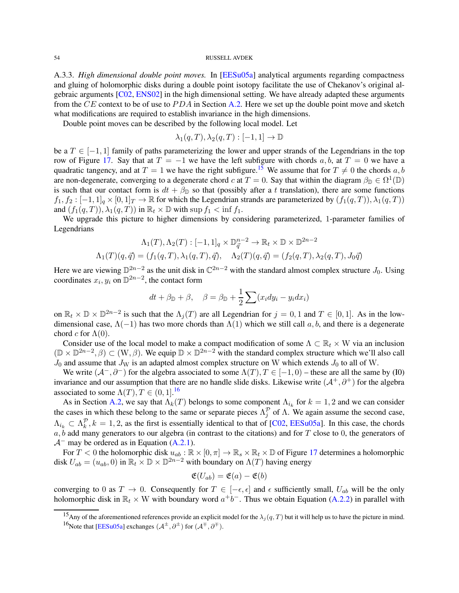<span id="page-53-3"></span><span id="page-53-0"></span>A.3.3. *High dimensional double point moves.* In [\[EESu05a\]](#page-55-17) analytical arguments regarding compactness and gluing of holomorphic disks during a double point isotopy facilitate the use of Chekanov's original algebraic arguments [\[C02,](#page-54-1) [ENS02\]](#page-55-12) in the high dimensional setting. We have already adapted these arguments from the CE context to be of use to  $PDA$  in Section [A.2.](#page-45-0) Here we set up the double point move and sketch what modifications are required to establish invariance in the high dimensions.

Double point moves can be described by the following local model. Let

$$
\lambda_1(q,T), \lambda_2(q,T): [-1,1] \to \mathbb{D}
$$

be a  $T \in [-1, 1]$  family of paths parameterizing the lower and upper strands of the Legendrians in the top row of Figure [17.](#page-46-0) Say that at  $T = -1$  we have the left subfigure with chords a, b, at  $T = 0$  we have a quadratic tangency, and at  $T = 1$  we have the right subfigure.<sup>[15](#page-53-1)</sup> We assume that for  $T \neq 0$  the chords a, b are non-degenerate, converging to a degenerate chord c at  $T = 0$ . Say that within the diagram  $\beta_{\mathbb{D}} \in \Omega^1(\mathbb{D})$ is such that our contact form is  $dt + \beta_{\mathbb{D}}$  so that (possibly after a t translation), there are some functions  $f_1, f_2: [-1, 1]_q \times [0, 1]_T \to \mathbb{R}$  for which the Legendrian strands are parameterized by  $(f_1(q, T)), \lambda_1(q, T)$ and  $(f_1(q, T)), \lambda_1(q, T))$  in  $\mathbb{R}_t \times \mathbb{D}$  with sup  $f_1 < \inf f_1$ .

We upgrade this picture to higher dimensions by considering parameterized, 1-parameter families of Legendrians

$$
\Lambda_1(T), \Lambda_2(T) : [-1, 1]_q \times \mathbb{D}_{\vec{q}}^{n-2} \to \mathbb{R}_t \times \mathbb{D} \times \mathbb{D}^{2n-2}
$$
  

$$
\Lambda_1(T)(q, \vec{q}) = (f_1(q, T), \lambda_1(q, T), \vec{q}), \quad \Lambda_2(T)(q, \vec{q}) = (f_2(q, T), \lambda_2(q, T), J_0\vec{q})
$$

Here we are viewing  $\mathbb{D}^{2n-2}$  as the unit disk in  $\mathbb{C}^{2n-2}$  with the standard almost complex structure  $J_0$ . Using coordinates  $x_i, y_i$  on  $\mathbb{D}^{2n-2}$ , the contact form

$$
dt + \beta_{\mathbb{D}} + \beta, \quad \beta = \beta_{\mathbb{D}} + \frac{1}{2} \sum (x_i dy_i - y_i dx_i)
$$

on  $\mathbb{R}_t \times \mathbb{D} \times \mathbb{D}^{2n-2}$  is such that the  $\Lambda_j(T)$  are all Legendrian for  $j = 0, 1$  and  $T \in [0, 1]$ . As in the lowdimensional case,  $\Lambda(-1)$  has two more chords than  $\Lambda(1)$  which we still call a, b, and there is a degenerate chord c for  $\Lambda(0)$ .

Consider use of the local model to make a compact modification of some  $\Lambda \subset \mathbb{R}_t \times W$  via an inclusion  $(\mathbb{D} \times \mathbb{D}^{2n-2}, \beta) \subset (W, \beta)$ . We equip  $\mathbb{D} \times \mathbb{D}^{2n-2}$  with the standard complex structure which we'll also call  $J_0$  and assume that  $J_W$  is an adapted almost complex structure on W which extends  $J_0$  to all of W.

We write  $(A^-, \partial^-)$  for the algebra associated to some  $\Lambda(T)$ ,  $T \in [-1, 0)$  – these are all the same by (I0) invariance and our assumption that there are no handle slide disks. Likewise write  $(\mathcal{A}^+, \partial^+)$  for the algebra associated to some  $\Lambda(T)$ ,  $T \in (0, 1]$ .<sup>[16](#page-53-2)</sup>

As in Section [A.2,](#page-45-0) we say that  $\Lambda_k(T)$  belongs to some component  $\Lambda_{i_k}$  for  $k = 1, 2$  and we can consider the cases in which these belong to the same or separate pieces  $\Lambda_j^{\mathcal{P}}$  of  $\Lambda$ . We again assume the second case,  $\Lambda_{i_k} \subset \Lambda_k^{\mathcal{P}}, k = 1, 2$ , as the first is essentially identical to that of [\[C02,](#page-54-1) [EESu05a\]](#page-55-17). In this case, the chords  $a, b$  add many generators to our algebra (in contrast to the citations) and for T close to 0, the generators of  $\mathcal{A}^-$  may be ordered as in Equation [\(A.2.1\)](#page-47-0).

For  $T < 0$  the holomorphic disk  $u_{ab} : \mathbb{R} \times [0, \pi] \to \mathbb{R}_s \times \mathbb{R}_t \times \mathbb{D}$  of Figure [17](#page-46-0) determines a holomorphic disk  $U_{ab} = (u_{ab}, 0)$  in  $\mathbb{R}_t \times \mathbb{D} \times \mathbb{D}^{2n-2}$  with boundary on  $\Lambda(T)$  having energy

$$
\mathfrak{E}(U_{ab})=\mathfrak{E}(a)-\mathfrak{E}(b)
$$

converging to 0 as  $T \to 0$ . Consequently for  $T \in [-\epsilon, \epsilon]$  and  $\epsilon$  sufficiently small,  $U_{ab}$  will be the only holomorphic disk in  $\mathbb{R}_t \times W$  with boundary word  $a^+b^-$ . Thus we obtain Equation [\(A.2.2\)](#page-47-1) in parallel with

<span id="page-53-2"></span><span id="page-53-1"></span><sup>&</sup>lt;sup>15</sup>Any of the aforementioned references provide an explicit model for the  $\lambda_j(q, T)$  but it will help us to have the picture in mind. <sup>16</sup>Note that [\[EESu05a\]](#page-55-17) exchanges  $(\mathcal{A}^{\pm}, \partial^{\pm})$  for  $(\mathcal{A}^{\mp}, \partial^{\mp})$ .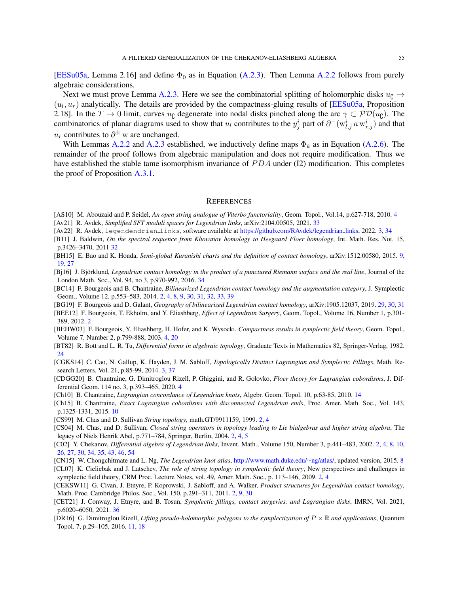<span id="page-54-24"></span>[\[EESu05a,](#page-55-17) Lemma 2.16] and define  $\Phi_0$  as in Equation [\(A.2.3\)](#page-48-2). Then Lemma [A.2.2](#page-48-3) follows from purely algebraic considerations.

Next we must prove Lemma [A.2.3.](#page-49-0) Here we see the combinatorial splitting of holomorphic disks  $u_{\mathfrak{g}} \mapsto$  $(u_l, u_r)$  analytically. The details are provided by the compactness-gluing results of [\[EESu05a,](#page-55-17) Proposition 2.18]. In the  $T \to 0$  limit, curves  $u_{\zeta}$  degenerate into nodal disks pinched along the arc  $\gamma \subset \mathcal{PD}(u_{\zeta})$ . The combinatorics of planar diagrams used to show that  $u_l$  contributes to the  $y_j^i$  part of  $\partial^-(w_{l,j}^i a w_{r,j}^i)$  and that  $u_r$  contributes to  $\partial^{\pm}$  w are unchanged.

With Lemmas [A.2.2](#page-48-3) and [A.2.3](#page-49-0) established, we inductively define maps  $\Phi_k$  as in Equation [\(A.2.6\)](#page-50-1). The remainder of the proof follows from algebraic manipulation and does not require modification. Thus we have established the stable tame isomorphism invariance of PDA under (I2) modification. This completes the proof of Proposition [A.3.1.](#page-51-1)

#### <span id="page-54-0"></span>**REFERENCES**

- <span id="page-54-21"></span><span id="page-54-10"></span>[AS10] M. Abouzaid and P. Seidel, *An open string analogue of Viterbo functoriality*, Geom. Topol., Vol.14, p.627-718, 2010. [4](#page-3-2) [Av21] R. Avdek, *Simplified SFT moduli spaces for Legendrian links*, arXiv:2104.00505, 2021. [33](#page-32-1)
- <span id="page-54-9"></span>[Av22] R. Avdek, legendendrian links, software available at [https://github.com/RAvdek/legendrian](https://github.com/RAvdek/legendrian_links) links, 2022. [3,](#page-2-2) [34](#page-33-2)
- <span id="page-54-20"></span>[B11] J. Baldwin, *On the spectral sequence from Khovanov homology to Heegaard Floer homology*, Int. Math. Res. Not. 15, p.3426–3470, 2011 [32](#page-31-0)
- <span id="page-54-14"></span>[BH15] E. Bao and K. Honda, *Semi-global Kuranishi charts and the definition of contact homology*, arXiv:1512.00580, 2015. [9,](#page-8-2) [19,](#page-18-0) [27](#page-26-1)
- <span id="page-54-22"></span>[Bj16] J. Björklund, *Legendrian contact homology in the product of a punctured Riemann surface and the real line*, Journal of the London Math. Soc., Vol. 94, no 3, p.970-992, 2016. [34](#page-33-2)
- <span id="page-54-3"></span>[BC14] F. Bourgeois and B. Chantraine, *Bilinearized Legendrian contact homology and the augmentation category*, J. Symplectic Geom., Volume 12, p.553–583, 2014. [2,](#page-1-3) [4,](#page-3-2) [8,](#page-7-1) [9,](#page-8-2) [30,](#page-29-0) [31,](#page-30-0) [32,](#page-31-0) [33,](#page-32-1) [39](#page-38-0)
- <span id="page-54-19"></span>[BG19] F. Bourgeois and D. Galant, *Geography of bilinearized Legendrian contact homology*, arXiv:1905.12037, 2019. [29,](#page-28-2) [30,](#page-29-0) [31](#page-30-0)
- <span id="page-54-2"></span>[BEE12] F. Bourgeois, T. Ekholm, and Y. Eliashberg, *Effect of Legendrain Surgery*, Geom. Topol., Volume 16, Number 1, p.301- 389, 2012. [2](#page-1-3)
- <span id="page-54-12"></span>[BEHW03] F. Bourgeois, Y. Eliashberg, H. Hofer, and K. Wysocki, *Compactness results in symplectic field theory*, Geom. Topol., Volume 7, Number 2, p.799-888, 2003. [4,](#page-3-2) [20](#page-19-1)
- <span id="page-54-18"></span>[BT82] R. Bott and L. R. Tu, *Differential forms in algebraic topology*, Graduate Texts in Mathematics 82, Springer-Verlag, 1982.  $24$
- <span id="page-54-8"></span>[CGKS14] C. Cao, N. Gallup, K. Hayden, J. M. Sabloff, *Topologically Distinct Lagrangian and Symplectic Fillings*, Math. Research Letters, Vol. 21, p.85-99, 2014. [3,](#page-2-2) [37](#page-36-2)
- <span id="page-54-11"></span>[CDGG20] B. Chantraine, G. Dimitroglou Rizell, P. Ghiggini, and R. Golovko, *Floer theory for Lagrangian cobordisms*, J. Differential Geom. 114 no. 3, p.393–465, 2020. [4](#page-3-2)
- <span id="page-54-17"></span>[Ch10] B. Chantraine, *Lagrangian concordance of Legendrian knots*, Algebr. Geom. Topol. 10, p.63-85, 2010. [14](#page-13-3)
- <span id="page-54-15"></span>[Ch15] B. Chantraine, *Exact Lagrangian cobordisms with disconnected Legendrian ends*, Proc. Amer. Math. Soc., Vol. 143, p.1325-1331, 2015. [10](#page-9-2)
- <span id="page-54-6"></span>[CS99] M. Chas and D. Sullivan *String topology*, math.GT/9911159, 1999. [2,](#page-1-3) [4](#page-3-2)
- <span id="page-54-7"></span>[CS04] M. Chas, and D. Sullivan, *Closed string operators in topology leading to Lie bialgebras and higher string algebra*, The legacy of Niels Henrik Abel, p.771–784, Springer, Berlin, 2004. [2,](#page-1-3) [4,](#page-3-2) [5](#page-4-3)
- <span id="page-54-1"></span>[C02] Y. Chekanov, *Differential algebra of Legendrian links*, Invent. Math., Volume 150, Number 3, p.441–483, 2002. [2,](#page-1-3) [4,](#page-3-2) [8,](#page-7-1) [10,](#page-9-2) [26,](#page-25-3) [27,](#page-26-1) [30,](#page-29-0) [34,](#page-33-2) [35,](#page-34-2) [43,](#page-42-1) [46,](#page-45-3) [54](#page-53-3)
- <span id="page-54-13"></span>[CN15] W. Chongchitmate and L. Ng, *The Legendrian knot atlas*, [http://www.math.duke.edu/](http://www.math.duke.edu/~ng/atlas/)∼ng/atlas/, updated version, 2015. [8](#page-7-1)
- <span id="page-54-5"></span>[CL07] K. Cieliebak and J. Latschev, *The role of string topology in symplectic field theory*, New perspectives and challenges in symplectic field theory, CRM Proc. Lecture Notes, vol. 49, Amer. Math. Soc., p. 113–146, 2009. [2,](#page-1-3) [4](#page-3-2)
- <span id="page-54-4"></span>[CEKSW11] G. Civan, J. Etnyre, P. Koprowski, J. Sabloff, and A. Walker, *Product structures for Legendrian contact homology*, Math. Proc. Cambridge Philos. Soc., Vol. 150, p.291–311, 2011. [2,](#page-1-3) [9,](#page-8-2) [30](#page-29-0)
- <span id="page-54-23"></span>[CET21] J. Conway, J. Etnyre, and B. Tosun, *Symplectic fillings, contact surgeries, and Lagrangian disks*, IMRN, Vol. 2021, p.6020–6050, 2021. [36](#page-35-1)
- <span id="page-54-16"></span>[DR16] G. Dimitroglou Rizell, *Lifting pseudo-holomorphic polygons to the symplectization of* P × R *and applications*, Quantum Topol. 7, p.29–105, 2016. [11,](#page-10-1) [18](#page-17-4)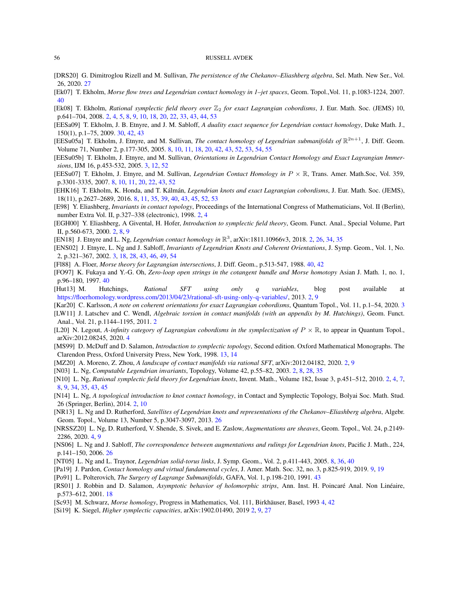- <span id="page-55-26"></span>[DRS20] G. Dimitroglou Rizell and M. Sullivan, *The persistence of the Chekanov–Eliashberg algebra*, Sel. Math. New Ser., Vol. 26, 2020. [27](#page-26-1)
- <span id="page-55-30"></span>[Ek07] T. Ekholm, *Morse flow trees and Legendrian contact homology in 1–jet spaces*, Geom. Topol.,Vol. 11, p.1083-1224, 2007. [40](#page-39-1)
- <span id="page-55-7"></span>[Ek08] T. Ekholm, *Rational symplectic field theory over*  $\mathbb{Z}_2$  *for exact Lagrangian cobordisms*, J. Eur. Math. Soc. (JEMS) 10, p.641–704, 2008. [2,](#page-1-3) [4,](#page-3-2) [5,](#page-4-3) [8,](#page-7-1) [9,](#page-8-2) [10,](#page-9-2) [18,](#page-17-4) [20,](#page-19-1) [22,](#page-21-3) [33,](#page-32-1) [43,](#page-42-1) [44,](#page-43-2) [53](#page-52-0)
- <span id="page-55-27"></span>[EESa09] T. Ekholm, J. B. Etnyre, and J. M. Sabloff, *A duality exact sequence for Legendrian contact homology*, Duke Math. J., 150(1), p.1–75, 2009. [30,](#page-29-0) [42,](#page-41-3) [43](#page-42-1)
- <span id="page-55-17"></span>[EESu05a] T. Ekholm, J. Etnyre, and M. Sullivan, *The contact homology of Legendrian submanifolds of*  $\mathbb{R}^{2n+1}$ , J. Diff. Geom. Volume 71, Number 2, p.177-305, 2005. [8,](#page-7-1) [10,](#page-9-2) [11,](#page-10-1) [18,](#page-17-4) [20,](#page-19-1) [42,](#page-41-3) [43,](#page-42-1) [52,](#page-51-3) [53,](#page-52-0) [54,](#page-53-3) [55](#page-54-24)
- <span id="page-55-11"></span>[EESu05b] T. Ekholm, J. Etnyre, and M. Sullivan, *Orientations in Legendrian Contact Homology and Exact Lagrangian Immersions*, IJM 16, p.453-532, 2005. [3,](#page-2-2) [12,](#page-11-2) [52](#page-51-3)
- <span id="page-55-18"></span>[EESu07] T. Ekholm, J. Etnyre, and M. Sullivan, *Legendrian Contact Homology in* P × R, Trans. Amer. Math.Soc, Vol. 359, p.3301-3335, 2007. [8,](#page-7-1) [10,](#page-9-2) [11,](#page-10-1) [20,](#page-19-1) [22,](#page-21-3) [43,](#page-42-1) [52](#page-51-3)
- <span id="page-55-19"></span>[EHK16] T. Ekholm, K. Honda, and T. K´alm´an, *Legendrian knots and exact Lagrangian cobordisms*, J. Eur. Math. Soc. (JEMS), 18(11), p.2627–2689, 2016. [8,](#page-7-1) [11,](#page-10-1) [35,](#page-34-2) [39,](#page-38-0) [40,](#page-39-1) [43,](#page-42-1) [45,](#page-44-2) [52,](#page-51-3) [53](#page-52-0)
- <span id="page-55-0"></span>[E98] Y. Eliashberg, *Invariants in contact topology*, Proceedings of the International Congress of Mathematicians, Vol. II (Berlin), number Extra Vol. II, p.327–338 (electronic), 1998. [2,](#page-1-3) [4](#page-3-2)
- <span id="page-55-3"></span>[EGH00] Y. Eliashberg, A Givental, H. Hofer, *Introduction to symplectic field theory*, Geom. Funct. Anal., Special Volume, Part II, p.560-673, 2000. [2,](#page-1-3) [8,](#page-7-1) [9](#page-8-2)
- <span id="page-55-1"></span>[EN18] J. Etnyre and L. Ng, *Legendrian contact homology in* R 3 , arXiv:1811.10966v3, 2018. [2,](#page-1-3) [26,](#page-25-3) [34,](#page-33-2) [35](#page-34-2)
- <span id="page-55-12"></span>[ENS02] J. Etnyre, L. Ng and J. Sabloff, *Invariants of Legendrian Knots and Coherent Orientations*, J. Symp. Geom., Vol. 1, No. 2, p.321–367, 2002. [3,](#page-2-2) [18,](#page-17-4) [28,](#page-27-2) [43,](#page-42-1) [46,](#page-45-3) [49,](#page-48-4) [54](#page-53-3)
- <span id="page-55-28"></span>[Fl88] A. Floer, *Morse theory for Lagrangian intersections*, J. Diff. Geom., p.513-547, 1988. [40,](#page-39-1) [42](#page-41-3)
- <span id="page-55-29"></span>[FO97] K. Fukaya and Y.-G. Oh, *Zero-loop open strings in the cotangent bundle and Morse homotopy* Asian J. Math. 1, no. 1, p.96–180, 1997. [40](#page-39-1)
- <span id="page-55-8"></span>[Hut13] M. Hutchings, *Rational SFT using only q variables*, blog post available at [https://floerhomology.wordpress.com/2013/04/23/rational-sft-using-only-q-variables/,](https://floerhomology.wordpress.com/2013/04/23/rational-sft-using-only-q-variables/) 2013. [2,](#page-1-3) [9](#page-8-2)
- <span id="page-55-13"></span>[Kar20] C. Karlsson, *A note on coherent orientations for exact Lagrangian cobordisms*, Quantum Topol., Vol. 11, p.1–54, 2020. [3](#page-2-2)
- <span id="page-55-4"></span>[LW11] J. Latschev and C. Wendl, *Algebraic torsion in contact manifolds (with an appendix by M. Hutchings)*, Geom. Funct. Anal., Vol. 21, p.1144–1195, 2011. [2](#page-1-3)
- <span id="page-55-14"></span>[L20] N. Legout, *A-infinity category of Lagrangian cobordisms in the symplectization of*  $P \times \mathbb{R}$ , to appear in Quantum Topol., arXiv:2012.08245, 2020. [4](#page-3-2)
- <span id="page-55-22"></span>[MS99] D. McDuff and D. Salamon, *Introduction to symplectic topology*, Second edition. Oxford Mathematical Monographs. The Clarendon Press, Oxford University Press, New York, 1998. [13,](#page-12-0) [14](#page-13-3)
- <span id="page-55-5"></span>[MZ20] A. Moreno, Z. Zhou, *A landscape of contact manifolds via rational SFT*, arXiv:2012.04182, 2020. [2,](#page-1-3) [9](#page-8-2)
- <span id="page-55-6"></span>[N03] L. Ng, *Computable Legendrian invariants*, Topology, Volume 42, p.55–82, 2003. [2,](#page-1-3) [8,](#page-7-1) [28,](#page-27-2) [35](#page-34-2)
- <span id="page-55-10"></span>[N10] L. Ng, *Rational symplectic field theory for Legendrian knots*, Invent. Math., Volume 182, Issue 3, p.451–512, 2010. [2,](#page-1-3) [4,](#page-3-2) [7,](#page-6-3) [8,](#page-7-1) [9,](#page-8-2) [34,](#page-33-2) [35,](#page-34-2) [43,](#page-42-1) [45](#page-44-2)
- <span id="page-55-2"></span>[N14] L. Ng, *A topological introduction to knot contact homology*, in Contact and Symplectic Topology, Bolyai Soc. Math. Stud. 26 (Springer, Berlin), 2014. [2,](#page-1-3) [10](#page-9-2)
- <span id="page-55-24"></span>[NR13] L. Ng and D. Rutherford, *Satellites of Legendrian knots and representations of the Chekanov–Eliashberg algebra*, Algebr. Geom. Topol., Volume 13, Number 5, p.3047-3097, 2013. [26](#page-25-3)
- <span id="page-55-15"></span>[NRSSZ20] L. Ng, D. Rutherford, V. Shende, S. Sivek, and E. Zaslow, *Augmentations are sheaves*, Geom. Topol., Vol. 24, p.2149- 2286, 2020. [4,](#page-3-2) [9](#page-8-2)
- <span id="page-55-25"></span>[NS06] L. Ng and J. Sabloff, *The correspondence between augmentations and rulings for Legendrian knots*, Pacific J. Math., 224, p.141–150, 2006. [26](#page-25-3)
- <span id="page-55-20"></span>[NT05] L. Ng and L. Traynor, *Legendrian solid-torus links*, J. Symp. Geom., Vol. 2, p.411-443, 2005. [8,](#page-7-1) [36,](#page-35-1) [40](#page-39-1)
- <span id="page-55-21"></span>[Pa19] J. Pardon, *Contact homology and virtual fundamental cycles*, J. Amer. Math. Soc. 32, no. 3, p.825-919, 2019. [9,](#page-8-2) [19](#page-18-0)
- <span id="page-55-31"></span>[Po91] L. Polterovich, *The Surgery of Lagrange Submanifolds*, GAFA, Vol. 1, p.198-210, 1991. [43](#page-42-1)
- <span id="page-55-23"></span>[RS01] J. Robbin and D. Salamon, *Asymptotic behavior of holomorphic strips*, Ann. Inst. H. Poincaré Anal. Non Linéaire, p.573–612, 2001. [18](#page-17-4)
- <span id="page-55-16"></span>[Sc93] M. Schwarz, *Morse homology*, Progress in Mathematics, Vol. 111, Birkhäuser, Basel, 1993 [4,](#page-3-2) [42](#page-41-3)
- <span id="page-55-9"></span>[Si19] K. Siegel, *Higher symplectic capacities*, arXiv:1902.01490, 2019 [2,](#page-1-3) [9,](#page-8-2) [27](#page-26-1)